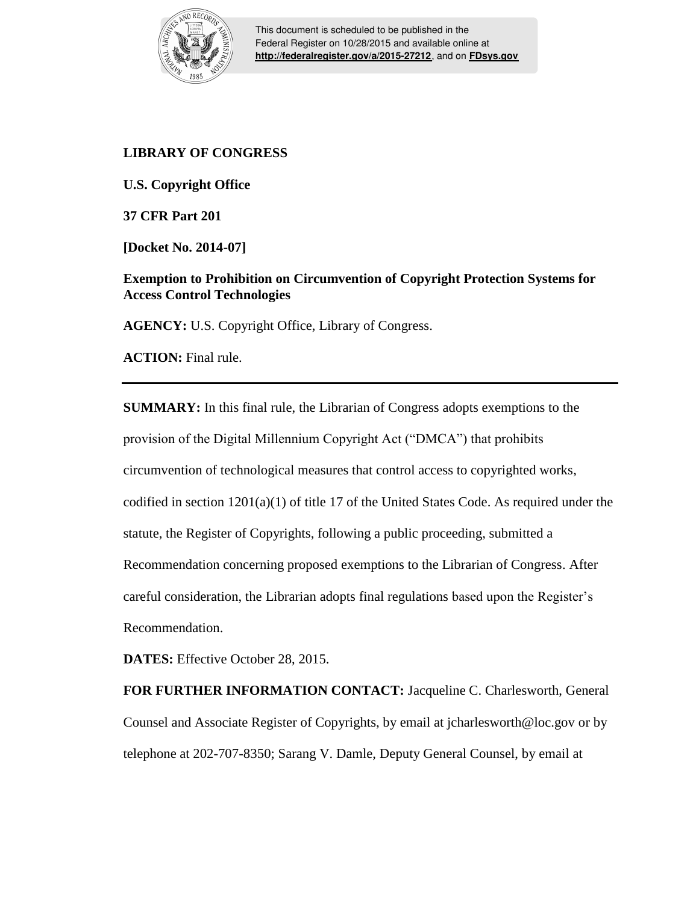

This document is scheduled to be published in the Federal Register on 10/28/2015 and available online at **<http://federalregister.gov/a/2015-27212>**, and on **[FDsys.gov](http://federalregister.gov/a/2015-27212.pdf)**

# **LIBRARY OF CONGRESS**

**U.S. Copyright Office**

**37 CFR Part 201**

**[Docket No. 2014-07]**

**Exemption to Prohibition on Circumvention of Copyright Protection Systems for Access Control Technologies**

**AGENCY:** U.S. Copyright Office, Library of Congress.

**ACTION:** Final rule.

**SUMMARY:** In this final rule, the Librarian of Congress adopts exemptions to the provision of the Digital Millennium Copyright Act ("DMCA") that prohibits circumvention of technological measures that control access to copyrighted works, codified in section 1201(a)(1) of title 17 of the United States Code. As required under the statute, the Register of Copyrights, following a public proceeding, submitted a Recommendation concerning proposed exemptions to the Librarian of Congress. After careful consideration, the Librarian adopts final regulations based upon the Register's Recommendation.

**DATES:** Effective October 28, 2015.

**FOR FURTHER INFORMATION CONTACT:** Jacqueline C. Charlesworth, General Counsel and Associate Register of Copyrights, by email at jcharlesworth@loc.gov or by telephone at 202-707-8350; Sarang V. Damle, Deputy General Counsel, by email at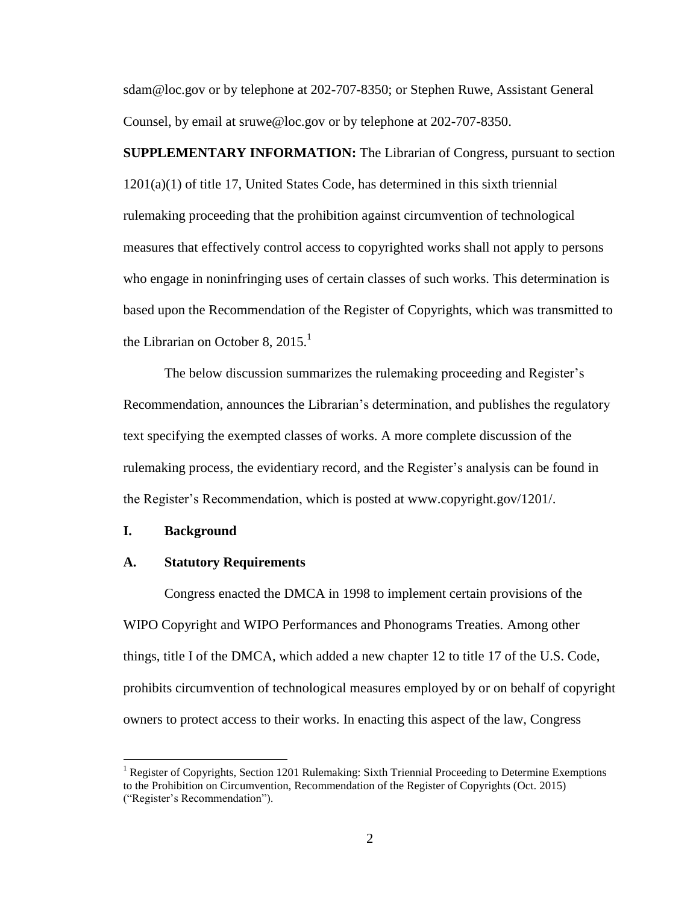sdam@loc.gov or by telephone at 202-707-8350; or Stephen Ruwe, Assistant General Counsel, by email at sruwe@loc.gov or by telephone at 202-707-8350.

**SUPPLEMENTARY INFORMATION:** The Librarian of Congress, pursuant to section 1201(a)(1) of title 17, United States Code, has determined in this sixth triennial rulemaking proceeding that the prohibition against circumvention of technological measures that effectively control access to copyrighted works shall not apply to persons who engage in noninfringing uses of certain classes of such works. This determination is based upon the Recommendation of the Register of Copyrights, which was transmitted to the Librarian on October 8, 2015.<sup>1</sup>

The below discussion summarizes the rulemaking proceeding and Register's Recommendation, announces the Librarian's determination, and publishes the regulatory text specifying the exempted classes of works. A more complete discussion of the rulemaking process, the evidentiary record, and the Register's analysis can be found in the Register's Recommendation, which is posted at www.copyright.gov/1201/.

# **I. Background**

 $\overline{a}$ 

#### **A. Statutory Requirements**

Congress enacted the DMCA in 1998 to implement certain provisions of the WIPO Copyright and WIPO Performances and Phonograms Treaties. Among other things, title I of the DMCA, which added a new chapter 12 to title 17 of the U.S. Code, prohibits circumvention of technological measures employed by or on behalf of copyright owners to protect access to their works. In enacting this aspect of the law, Congress

<sup>&</sup>lt;sup>1</sup> Register of Copyrights, Section 1201 Rulemaking: Sixth Triennial Proceeding to Determine Exemptions to the Prohibition on Circumvention, Recommendation of the Register of Copyrights (Oct. 2015) ("Register's Recommendation").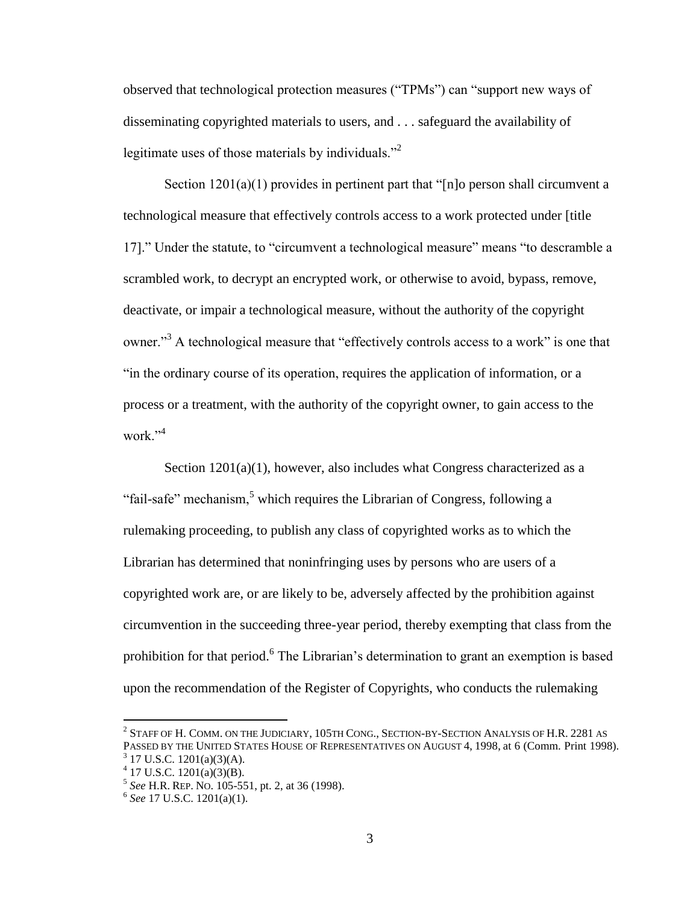observed that technological protection measures ("TPMs") can "support new ways of disseminating copyrighted materials to users, and . . . safeguard the availability of legitimate uses of those materials by individuals."<sup>2</sup>

Section  $1201(a)(1)$  provides in pertinent part that "[n]o person shall circumvent a technological measure that effectively controls access to a work protected under [title 17]." Under the statute, to "circumvent a technological measure" means "to descramble a scrambled work, to decrypt an encrypted work, or otherwise to avoid, bypass, remove, deactivate, or impair a technological measure, without the authority of the copyright owner.<sup>33</sup> A technological measure that "effectively controls access to a work" is one that "in the ordinary course of its operation, requires the application of information, or a process or a treatment, with the authority of the copyright owner, to gain access to the work."<sup>4</sup>

Section 1201(a)(1), however, also includes what Congress characterized as a "fail-safe" mechanism, $5$  which requires the Librarian of Congress, following a rulemaking proceeding, to publish any class of copyrighted works as to which the Librarian has determined that noninfringing uses by persons who are users of a copyrighted work are, or are likely to be, adversely affected by the prohibition against circumvention in the succeeding three-year period, thereby exempting that class from the prohibition for that period.<sup>6</sup> The Librarian's determination to grant an exemption is based upon the recommendation of the Register of Copyrights, who conducts the rulemaking

 $^2$  Staff of H. Comm. on the Judiciary, 105th Cong., Section-by-Section Analysis of H.R. 2281 as PASSED BY THE UNITED STATES HOUSE OF REPRESENTATIVES ON AUGUST 4, 1998, at 6 (Comm. Print 1998).  $3$  17 U.S.C. 1201(a)(3)(A).

 $4$  17 U.S.C. 1201(a)(3)(B).

<sup>5</sup> *See* H.R. REP. NO. 105-551, pt. 2, at 36 (1998).

<sup>6</sup> *See* 17 U.S.C. 1201(a)(1).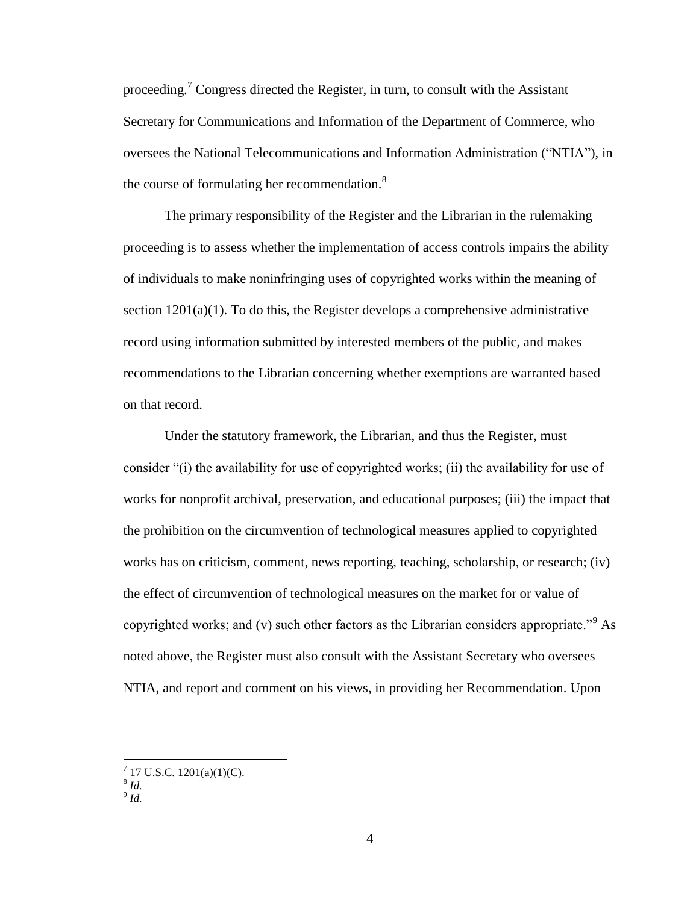proceeding.<sup>7</sup> Congress directed the Register, in turn, to consult with the Assistant Secretary for Communications and Information of the Department of Commerce, who oversees the National Telecommunications and Information Administration ("NTIA"), in the course of formulating her recommendation. $8$ 

The primary responsibility of the Register and the Librarian in the rulemaking proceeding is to assess whether the implementation of access controls impairs the ability of individuals to make noninfringing uses of copyrighted works within the meaning of section 1201(a)(1). To do this, the Register develops a comprehensive administrative record using information submitted by interested members of the public, and makes recommendations to the Librarian concerning whether exemptions are warranted based on that record.

Under the statutory framework, the Librarian, and thus the Register, must consider "(i) the availability for use of copyrighted works; (ii) the availability for use of works for nonprofit archival, preservation, and educational purposes; (iii) the impact that the prohibition on the circumvention of technological measures applied to copyrighted works has on criticism, comment, news reporting, teaching, scholarship, or research; (iv) the effect of circumvention of technological measures on the market for or value of copyrighted works; and (v) such other factors as the Librarian considers appropriate.<sup>"9</sup> As noted above, the Register must also consult with the Assistant Secretary who oversees NTIA, and report and comment on his views, in providing her Recommendation. Upon

 $7$  17 U.S.C. 1201(a)(1)(C).

<sup>8</sup> *Id.*

<sup>9</sup> *Id.*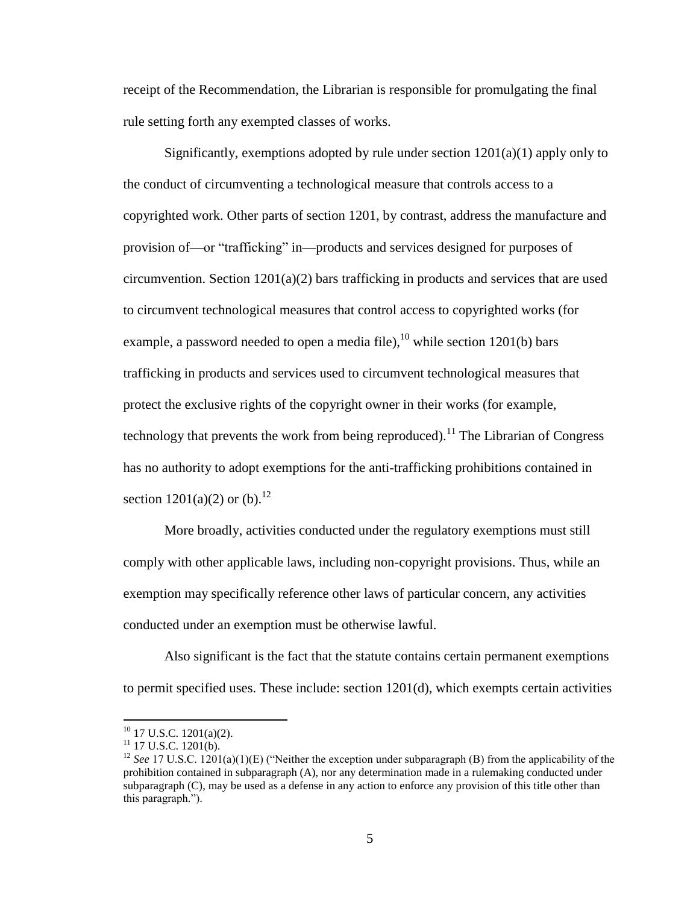receipt of the Recommendation, the Librarian is responsible for promulgating the final rule setting forth any exempted classes of works.

Significantly, exemptions adopted by rule under section  $1201(a)(1)$  apply only to the conduct of circumventing a technological measure that controls access to a copyrighted work. Other parts of section 1201, by contrast, address the manufacture and provision of—or "trafficking" in—products and services designed for purposes of circumvention. Section 1201(a)(2) bars trafficking in products and services that are used to circumvent technological measures that control access to copyrighted works (for example, a password needed to open a media file), <sup>10</sup> while section 1201(b) bars trafficking in products and services used to circumvent technological measures that protect the exclusive rights of the copyright owner in their works (for example, technology that prevents the work from being reproduced).<sup>11</sup> The Librarian of Congress has no authority to adopt exemptions for the anti-trafficking prohibitions contained in section  $1201(a)(2)$  or (b).<sup>12</sup>

More broadly, activities conducted under the regulatory exemptions must still comply with other applicable laws, including non-copyright provisions. Thus, while an exemption may specifically reference other laws of particular concern, any activities conducted under an exemption must be otherwise lawful.

Also significant is the fact that the statute contains certain permanent exemptions to permit specified uses. These include: section 1201(d), which exempts certain activities

 $10$  17 U.S.C. 1201(a)(2).

 $11$  17 U.S.C. 1201(b).

<sup>&</sup>lt;sup>12</sup> See 17 U.S.C. 1201(a)(1)(E) ("Neither the exception under subparagraph (B) from the applicability of the prohibition contained in subparagraph (A), nor any determination made in a rulemaking conducted under subparagraph (C), may be used as a defense in any action to enforce any provision of this title other than this paragraph.").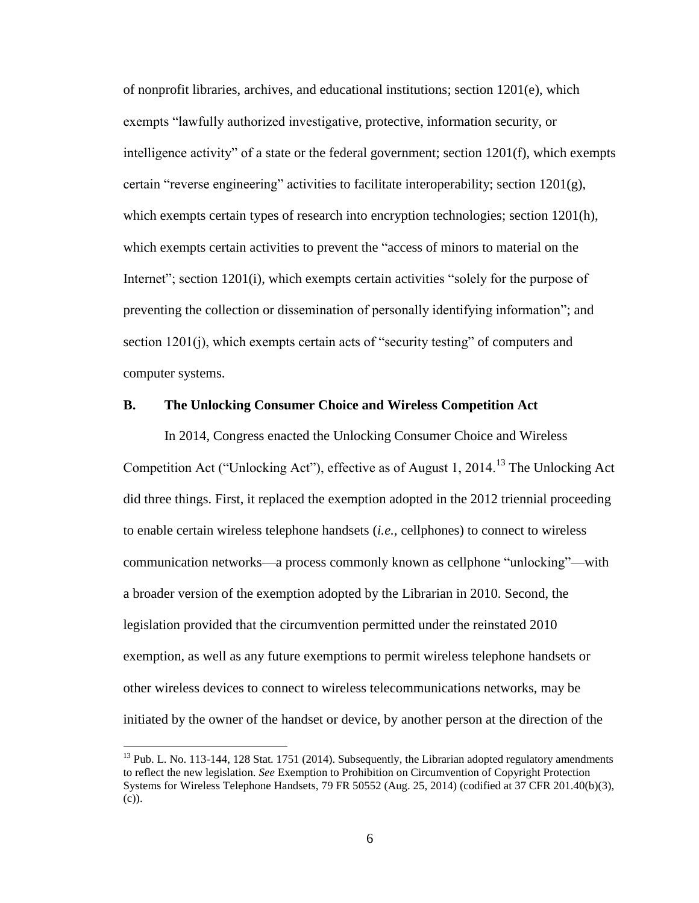of nonprofit libraries, archives, and educational institutions; section 1201(e), which exempts "lawfully authorized investigative, protective, information security, or intelligence activity" of a state or the federal government; section 1201(f), which exempts certain "reverse engineering" activities to facilitate interoperability; section  $1201(g)$ , which exempts certain types of research into encryption technologies; section 1201(h), which exempts certain activities to prevent the "access of minors to material on the Internet"; section 1201(i), which exempts certain activities "solely for the purpose of preventing the collection or dissemination of personally identifying information"; and section 1201(j), which exempts certain acts of "security testing" of computers and computer systems.

### **B. The Unlocking Consumer Choice and Wireless Competition Act**

In 2014, Congress enacted the Unlocking Consumer Choice and Wireless Competition Act ("Unlocking Act"), effective as of August 1,  $2014$ <sup>13</sup>. The Unlocking Act did three things. First, it replaced the exemption adopted in the 2012 triennial proceeding to enable certain wireless telephone handsets (*i.e.,* cellphones) to connect to wireless communication networks—a process commonly known as cellphone "unlocking"—with a broader version of the exemption adopted by the Librarian in 2010. Second, the legislation provided that the circumvention permitted under the reinstated 2010 exemption, as well as any future exemptions to permit wireless telephone handsets or other wireless devices to connect to wireless telecommunications networks, may be initiated by the owner of the handset or device, by another person at the direction of the

<sup>&</sup>lt;sup>13</sup> Pub. L. No. 113-144, 128 Stat. 1751 (2014). Subsequently, the Librarian adopted regulatory amendments to reflect the new legislation. *See* Exemption to Prohibition on Circumvention of Copyright Protection Systems for Wireless Telephone Handsets, 79 FR 50552 (Aug. 25, 2014) (codified at 37 CFR 201.40(b)(3), (c)).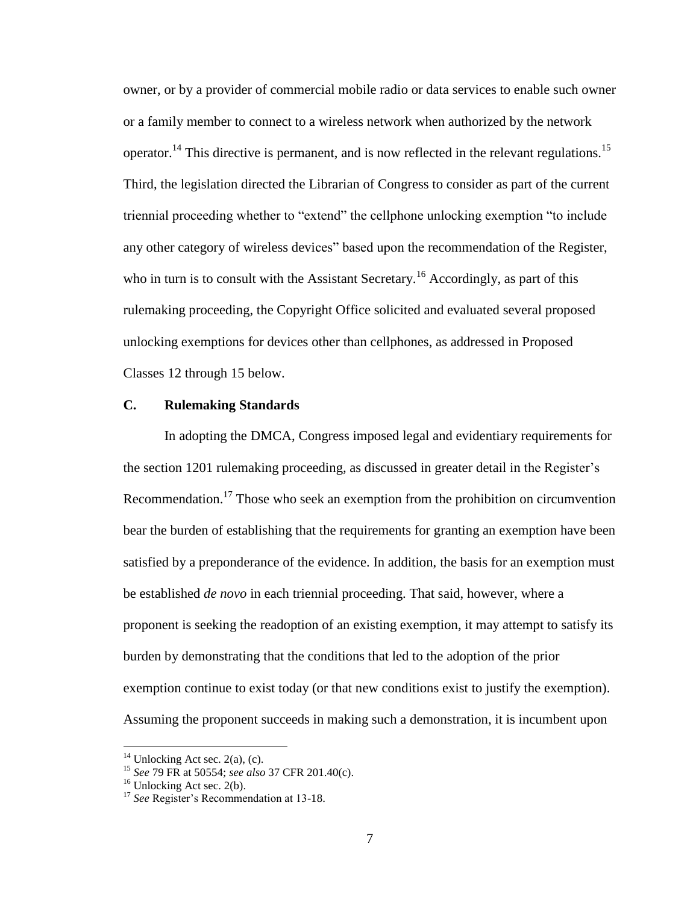owner, or by a provider of commercial mobile radio or data services to enable such owner or a family member to connect to a wireless network when authorized by the network operator.<sup>14</sup> This directive is permanent, and is now reflected in the relevant regulations.<sup>15</sup> Third, the legislation directed the Librarian of Congress to consider as part of the current triennial proceeding whether to "extend" the cellphone unlocking exemption "to include any other category of wireless devices" based upon the recommendation of the Register, who in turn is to consult with the Assistant Secretary.<sup>16</sup> Accordingly, as part of this rulemaking proceeding, the Copyright Office solicited and evaluated several proposed unlocking exemptions for devices other than cellphones, as addressed in Proposed Classes 12 through 15 below.

### **C. Rulemaking Standards**

In adopting the DMCA, Congress imposed legal and evidentiary requirements for the section 1201 rulemaking proceeding, as discussed in greater detail in the Register's Recommendation.<sup>17</sup> Those who seek an exemption from the prohibition on circumvention bear the burden of establishing that the requirements for granting an exemption have been satisfied by a preponderance of the evidence. In addition, the basis for an exemption must be established *de novo* in each triennial proceeding. That said, however, where a proponent is seeking the readoption of an existing exemption, it may attempt to satisfy its burden by demonstrating that the conditions that led to the adoption of the prior exemption continue to exist today (or that new conditions exist to justify the exemption). Assuming the proponent succeeds in making such a demonstration, it is incumbent upon

 $14$  Unlocking Act sec. 2(a), (c).

<sup>15</sup> *See* 79 FR at 50554; *see also* 37 CFR 201.40(c).

 $16$  Unlocking Act sec.  $2(b)$ .

<sup>&</sup>lt;sup>17</sup> *See* Register's Recommendation at 13-18.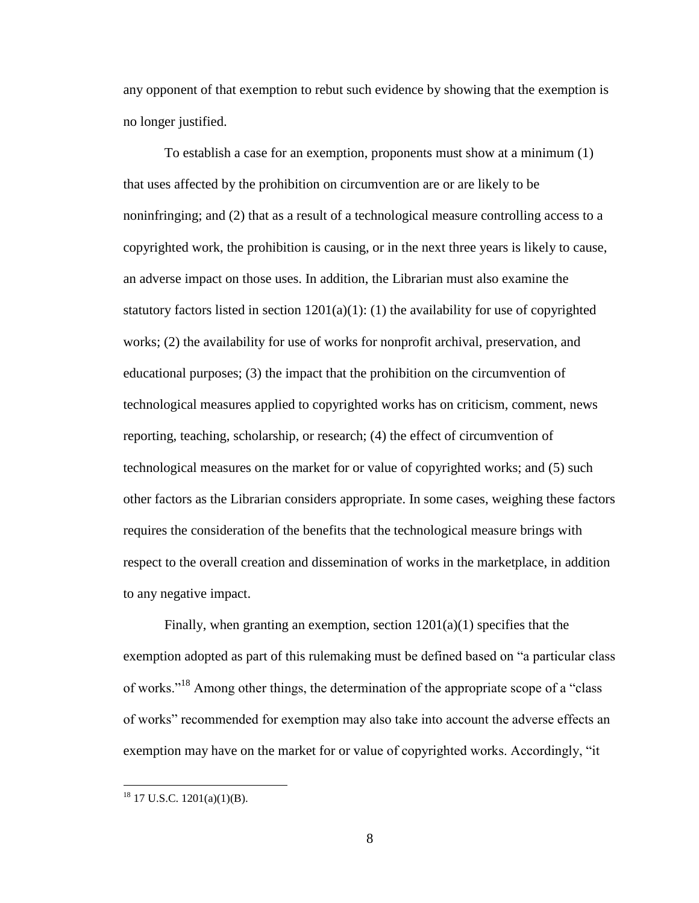any opponent of that exemption to rebut such evidence by showing that the exemption is no longer justified.

To establish a case for an exemption, proponents must show at a minimum (1) that uses affected by the prohibition on circumvention are or are likely to be noninfringing; and (2) that as a result of a technological measure controlling access to a copyrighted work, the prohibition is causing, or in the next three years is likely to cause, an adverse impact on those uses. In addition, the Librarian must also examine the statutory factors listed in section  $1201(a)(1)$ : (1) the availability for use of copyrighted works; (2) the availability for use of works for nonprofit archival, preservation, and educational purposes; (3) the impact that the prohibition on the circumvention of technological measures applied to copyrighted works has on criticism, comment, news reporting, teaching, scholarship, or research; (4) the effect of circumvention of technological measures on the market for or value of copyrighted works; and (5) such other factors as the Librarian considers appropriate. In some cases, weighing these factors requires the consideration of the benefits that the technological measure brings with respect to the overall creation and dissemination of works in the marketplace, in addition to any negative impact.

Finally, when granting an exemption, section 1201(a)(1) specifies that the exemption adopted as part of this rulemaking must be defined based on "a particular class of works."<sup>18</sup> Among other things, the determination of the appropriate scope of a "class" of works" recommended for exemption may also take into account the adverse effects an exemption may have on the market for or value of copyrighted works. Accordingly, "it

 $18$  17 U.S.C. 1201(a)(1)(B).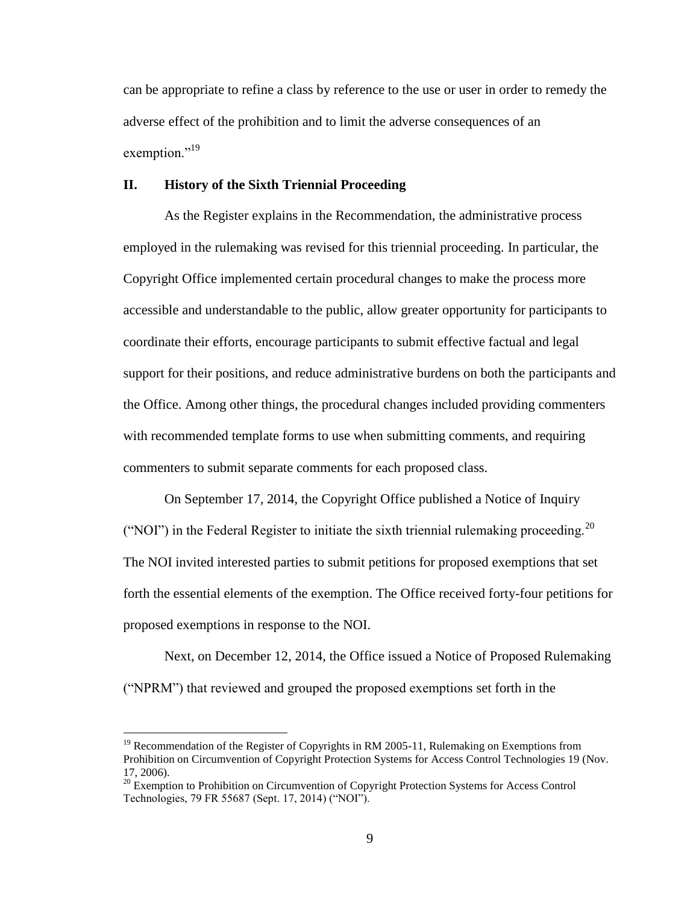can be appropriate to refine a class by reference to the use or user in order to remedy the adverse effect of the prohibition and to limit the adverse consequences of an exemption."<sup>19</sup>

# **II. History of the Sixth Triennial Proceeding**

As the Register explains in the Recommendation, the administrative process employed in the rulemaking was revised for this triennial proceeding. In particular, the Copyright Office implemented certain procedural changes to make the process more accessible and understandable to the public, allow greater opportunity for participants to coordinate their efforts, encourage participants to submit effective factual and legal support for their positions, and reduce administrative burdens on both the participants and the Office. Among other things, the procedural changes included providing commenters with recommended template forms to use when submitting comments, and requiring commenters to submit separate comments for each proposed class.

On September 17, 2014, the Copyright Office published a Notice of Inquiry ("NOI") in the Federal Register to initiate the sixth triennial rulemaking proceeding.<sup>20</sup> The NOI invited interested parties to submit petitions for proposed exemptions that set forth the essential elements of the exemption. The Office received forty-four petitions for proposed exemptions in response to the NOI.

Next, on December 12, 2014, the Office issued a Notice of Proposed Rulemaking ("NPRM") that reviewed and grouped the proposed exemptions set forth in the

 $19$  Recommendation of the Register of Copyrights in RM 2005-11, Rulemaking on Exemptions from Prohibition on Circumvention of Copyright Protection Systems for Access Control Technologies 19 (Nov. 17, 2006).

 $20$  Exemption to Prohibition on Circumvention of Copyright Protection Systems for Access Control Technologies, 79 FR 55687 (Sept. 17, 2014) ("NOI").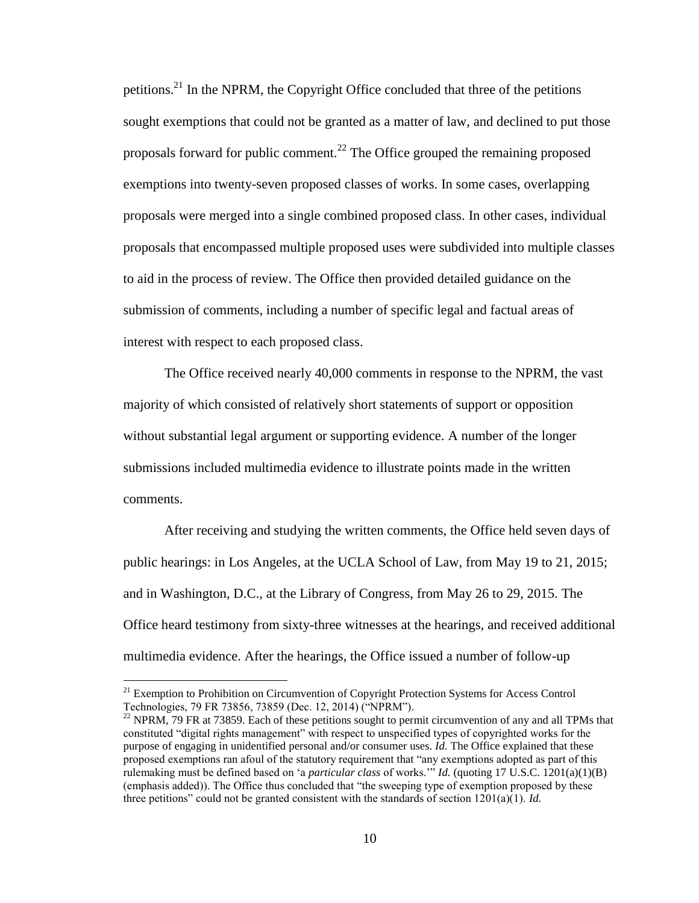petitions.<sup>21</sup> In the NPRM, the Copyright Office concluded that three of the petitions sought exemptions that could not be granted as a matter of law, and declined to put those proposals forward for public comment.<sup>22</sup> The Office grouped the remaining proposed exemptions into twenty-seven proposed classes of works. In some cases, overlapping proposals were merged into a single combined proposed class. In other cases, individual proposals that encompassed multiple proposed uses were subdivided into multiple classes to aid in the process of review. The Office then provided detailed guidance on the submission of comments, including a number of specific legal and factual areas of interest with respect to each proposed class.

The Office received nearly 40,000 comments in response to the NPRM, the vast majority of which consisted of relatively short statements of support or opposition without substantial legal argument or supporting evidence. A number of the longer submissions included multimedia evidence to illustrate points made in the written comments.

After receiving and studying the written comments, the Office held seven days of public hearings: in Los Angeles, at the UCLA School of Law, from May 19 to 21, 2015; and in Washington, D.C., at the Library of Congress, from May 26 to 29, 2015. The Office heard testimony from sixty-three witnesses at the hearings, and received additional multimedia evidence. After the hearings, the Office issued a number of follow-up

 $21$  Exemption to Prohibition on Circumvention of Copyright Protection Systems for Access Control Technologies, 79 FR 73856, 73859 (Dec. 12, 2014) ("NPRM").

 $^{22}$  NPRM, 79 FR at 73859. Each of these petitions sought to permit circumvention of any and all TPMs that constituted "digital rights management" with respect to unspecified types of copyrighted works for the purpose of engaging in unidentified personal and/or consumer uses. *Id.* The Office explained that these proposed exemptions ran afoul of the statutory requirement that "any exemptions adopted as part of this rulemaking must be defined based on 'a *particular class* of works.'" *Id.* (quoting 17 U.S.C. 1201(a)(1)(B) (emphasis added)). The Office thus concluded that "the sweeping type of exemption proposed by these three petitions" could not be granted consistent with the standards of section 1201(a)(1). *Id.*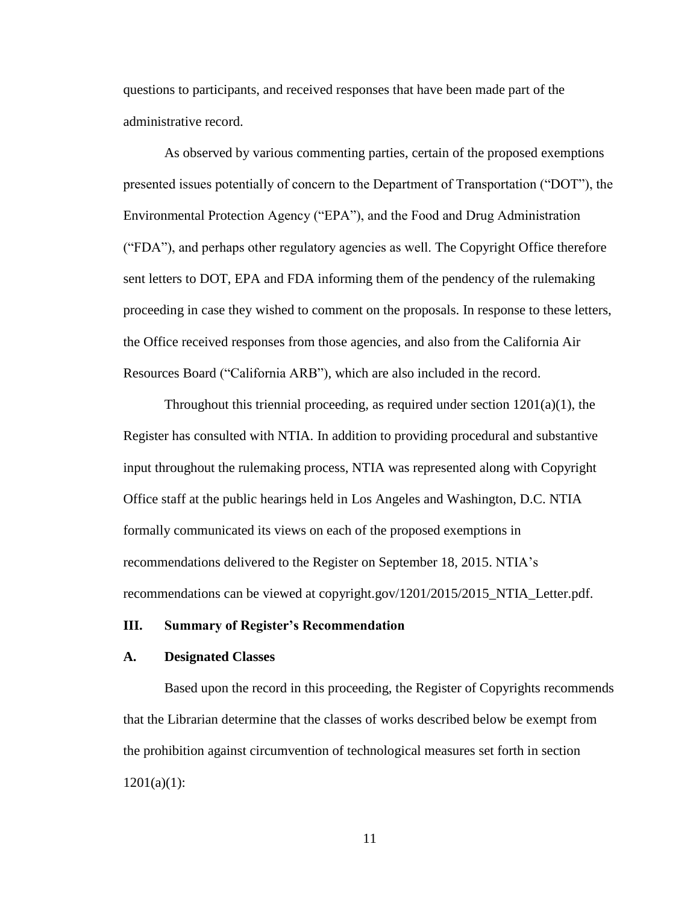questions to participants, and received responses that have been made part of the administrative record.

As observed by various commenting parties, certain of the proposed exemptions presented issues potentially of concern to the Department of Transportation ("DOT"), the Environmental Protection Agency ("EPA"), and the Food and Drug Administration ("FDA"), and perhaps other regulatory agencies as well. The Copyright Office therefore sent letters to DOT, EPA and FDA informing them of the pendency of the rulemaking proceeding in case they wished to comment on the proposals. In response to these letters, the Office received responses from those agencies, and also from the California Air Resources Board ("California ARB"), which are also included in the record.

Throughout this triennial proceeding, as required under section  $1201(a)(1)$ , the Register has consulted with NTIA. In addition to providing procedural and substantive input throughout the rulemaking process, NTIA was represented along with Copyright Office staff at the public hearings held in Los Angeles and Washington, D.C. NTIA formally communicated its views on each of the proposed exemptions in recommendations delivered to the Register on September 18, 2015. NTIA's recommendations can be viewed at copyright.gov/1201/2015/2015\_NTIA\_Letter.pdf.

# **III. Summary of Register's Recommendation**

#### **A. Designated Classes**

Based upon the record in this proceeding, the Register of Copyrights recommends that the Librarian determine that the classes of works described below be exempt from the prohibition against circumvention of technological measures set forth in section  $1201(a)(1)$ :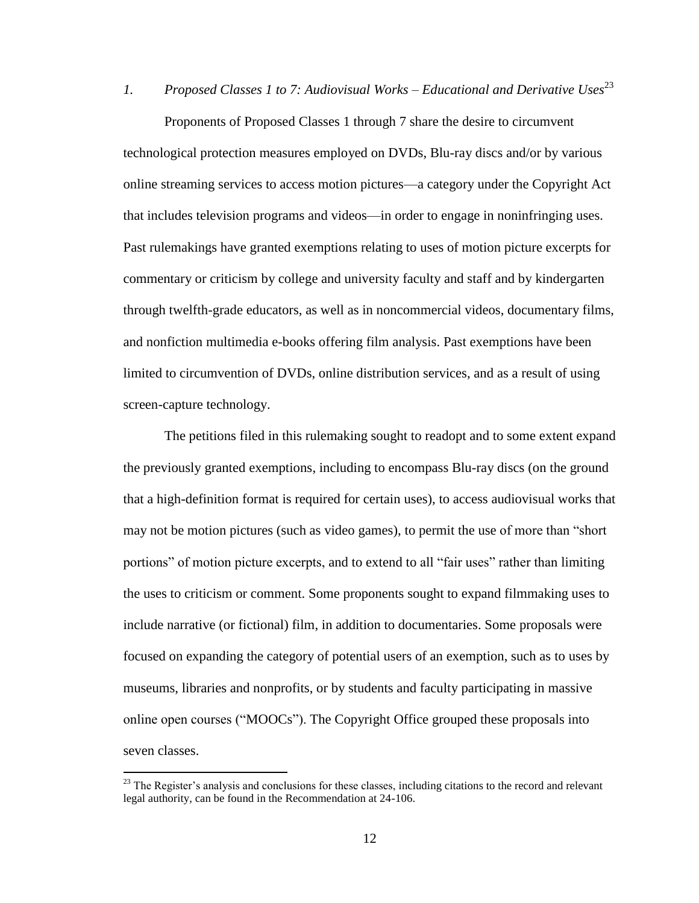*1. Proposed Classes 1 to 7: Audiovisual Works – Educational and Derivative Uses*<sup>23</sup>

Proponents of Proposed Classes 1 through 7 share the desire to circumvent technological protection measures employed on DVDs, Blu-ray discs and/or by various online streaming services to access motion pictures—a category under the Copyright Act that includes television programs and videos—in order to engage in noninfringing uses. Past rulemakings have granted exemptions relating to uses of motion picture excerpts for commentary or criticism by college and university faculty and staff and by kindergarten through twelfth-grade educators, as well as in noncommercial videos, documentary films, and nonfiction multimedia e-books offering film analysis. Past exemptions have been limited to circumvention of DVDs, online distribution services, and as a result of using screen-capture technology.

The petitions filed in this rulemaking sought to readopt and to some extent expand the previously granted exemptions, including to encompass Blu-ray discs (on the ground that a high-definition format is required for certain uses), to access audiovisual works that may not be motion pictures (such as video games), to permit the use of more than "short portions" of motion picture excerpts, and to extend to all "fair uses" rather than limiting the uses to criticism or comment. Some proponents sought to expand filmmaking uses to include narrative (or fictional) film, in addition to documentaries. Some proposals were focused on expanding the category of potential users of an exemption, such as to uses by museums, libraries and nonprofits, or by students and faculty participating in massive online open courses ("MOOCs"). The Copyright Office grouped these proposals into seven classes.

<sup>&</sup>lt;sup>23</sup> The Register's analysis and conclusions for these classes, including citations to the record and relevant legal authority, can be found in the Recommendation at 24-106.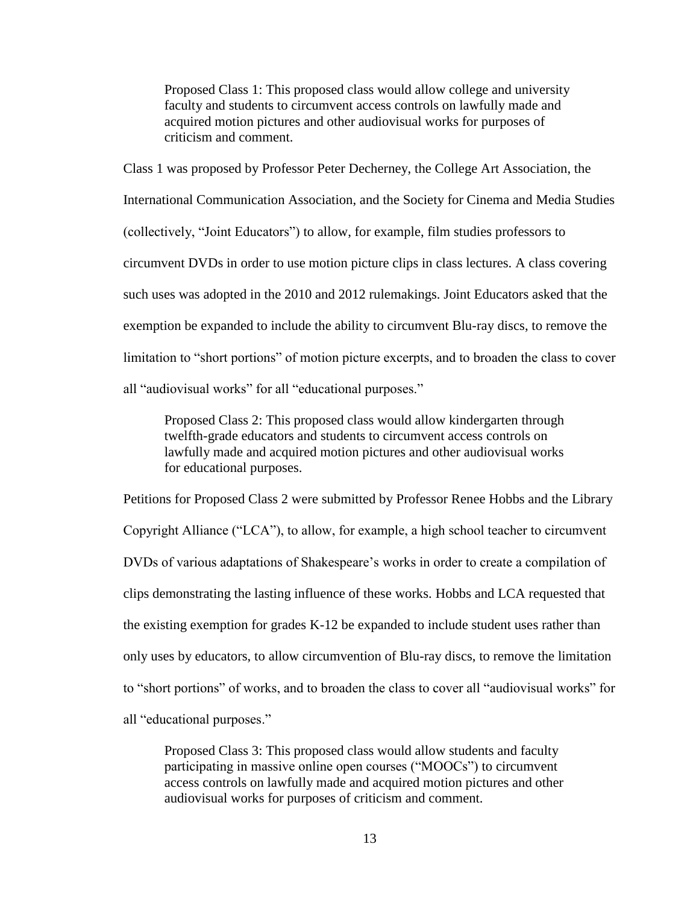Proposed Class 1: This proposed class would allow college and university faculty and students to circumvent access controls on lawfully made and acquired motion pictures and other audiovisual works for purposes of criticism and comment.

Class 1 was proposed by Professor Peter Decherney, the College Art Association, the International Communication Association, and the Society for Cinema and Media Studies (collectively, "Joint Educators") to allow, for example, film studies professors to circumvent DVDs in order to use motion picture clips in class lectures. A class covering such uses was adopted in the 2010 and 2012 rulemakings. Joint Educators asked that the exemption be expanded to include the ability to circumvent Blu-ray discs, to remove the limitation to "short portions" of motion picture excerpts, and to broaden the class to cover all "audiovisual works" for all "educational purposes."

Proposed Class 2: This proposed class would allow kindergarten through twelfth-grade educators and students to circumvent access controls on lawfully made and acquired motion pictures and other audiovisual works for educational purposes.

Petitions for Proposed Class 2 were submitted by Professor Renee Hobbs and the Library Copyright Alliance ("LCA"), to allow, for example, a high school teacher to circumvent DVDs of various adaptations of Shakespeare's works in order to create a compilation of clips demonstrating the lasting influence of these works. Hobbs and LCA requested that the existing exemption for grades K-12 be expanded to include student uses rather than only uses by educators, to allow circumvention of Blu-ray discs, to remove the limitation to "short portions" of works, and to broaden the class to cover all "audiovisual works" for all "educational purposes."

Proposed Class 3: This proposed class would allow students and faculty participating in massive online open courses ("MOOCs") to circumvent access controls on lawfully made and acquired motion pictures and other audiovisual works for purposes of criticism and comment.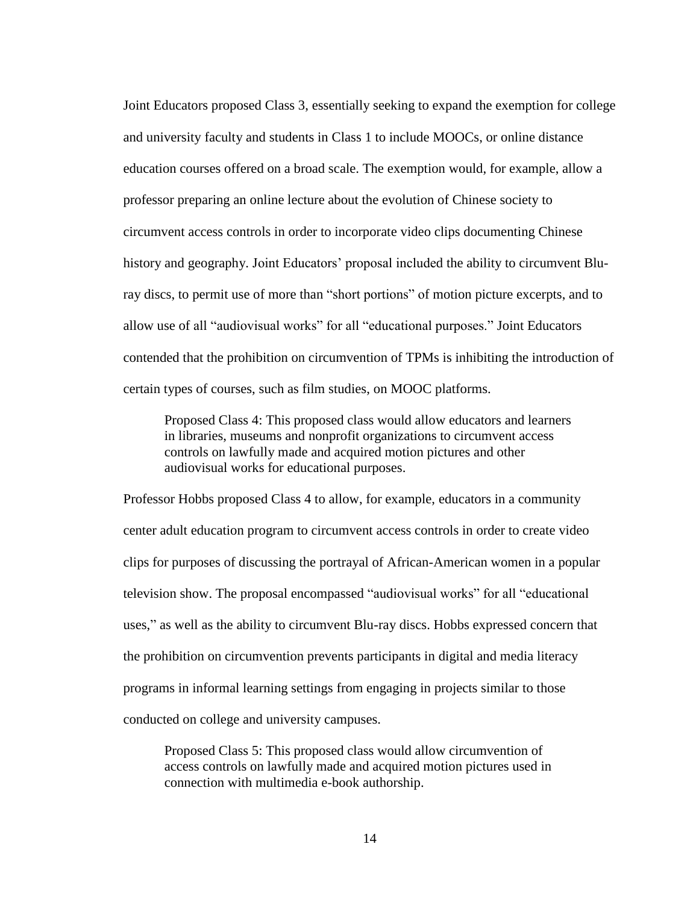Joint Educators proposed Class 3, essentially seeking to expand the exemption for college and university faculty and students in Class 1 to include MOOCs, or online distance education courses offered on a broad scale. The exemption would, for example, allow a professor preparing an online lecture about the evolution of Chinese society to circumvent access controls in order to incorporate video clips documenting Chinese history and geography. Joint Educators' proposal included the ability to circumvent Bluray discs, to permit use of more than "short portions" of motion picture excerpts, and to allow use of all "audiovisual works" for all "educational purposes." Joint Educators contended that the prohibition on circumvention of TPMs is inhibiting the introduction of certain types of courses, such as film studies, on MOOC platforms.

Proposed Class 4: This proposed class would allow educators and learners in libraries, museums and nonprofit organizations to circumvent access controls on lawfully made and acquired motion pictures and other audiovisual works for educational purposes.

Professor Hobbs proposed Class 4 to allow, for example, educators in a community center adult education program to circumvent access controls in order to create video clips for purposes of discussing the portrayal of African-American women in a popular television show. The proposal encompassed "audiovisual works" for all "educational uses," as well as the ability to circumvent Blu-ray discs. Hobbs expressed concern that the prohibition on circumvention prevents participants in digital and media literacy programs in informal learning settings from engaging in projects similar to those conducted on college and university campuses.

Proposed Class 5: This proposed class would allow circumvention of access controls on lawfully made and acquired motion pictures used in connection with multimedia e-book authorship.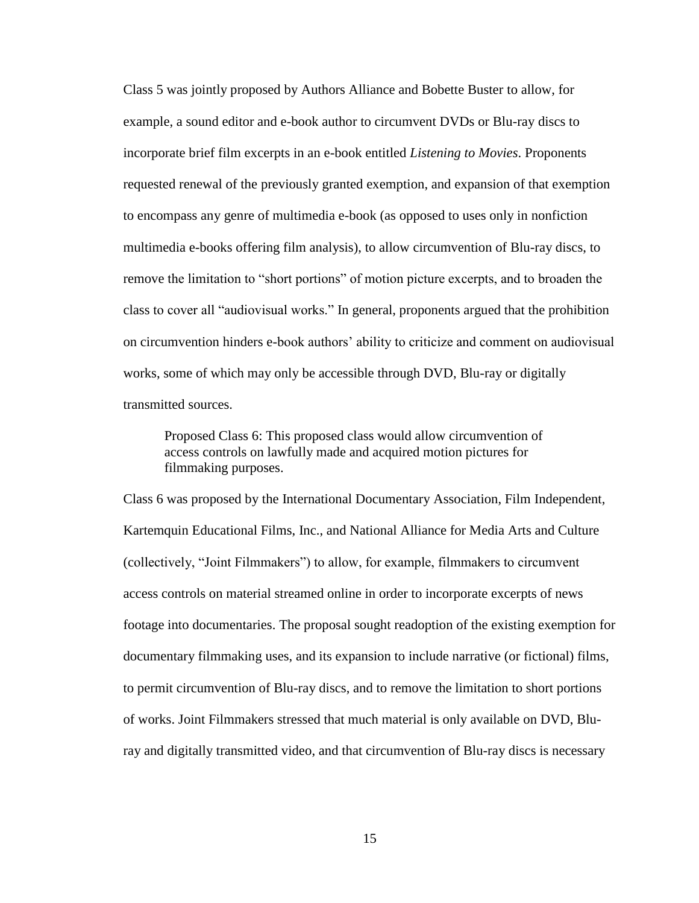Class 5 was jointly proposed by Authors Alliance and Bobette Buster to allow, for example, a sound editor and e-book author to circumvent DVDs or Blu-ray discs to incorporate brief film excerpts in an e-book entitled *Listening to Movies*. Proponents requested renewal of the previously granted exemption, and expansion of that exemption to encompass any genre of multimedia e-book (as opposed to uses only in nonfiction multimedia e-books offering film analysis), to allow circumvention of Blu-ray discs, to remove the limitation to "short portions" of motion picture excerpts, and to broaden the class to cover all "audiovisual works." In general, proponents argued that the prohibition on circumvention hinders e-book authors' ability to criticize and comment on audiovisual works, some of which may only be accessible through DVD, Blu-ray or digitally transmitted sources.

Proposed Class 6: This proposed class would allow circumvention of access controls on lawfully made and acquired motion pictures for filmmaking purposes.

Class 6 was proposed by the International Documentary Association, Film Independent, Kartemquin Educational Films, Inc., and National Alliance for Media Arts and Culture (collectively, "Joint Filmmakers") to allow, for example, filmmakers to circumvent access controls on material streamed online in order to incorporate excerpts of news footage into documentaries. The proposal sought readoption of the existing exemption for documentary filmmaking uses, and its expansion to include narrative (or fictional) films, to permit circumvention of Blu-ray discs, and to remove the limitation to short portions of works. Joint Filmmakers stressed that much material is only available on DVD, Bluray and digitally transmitted video, and that circumvention of Blu-ray discs is necessary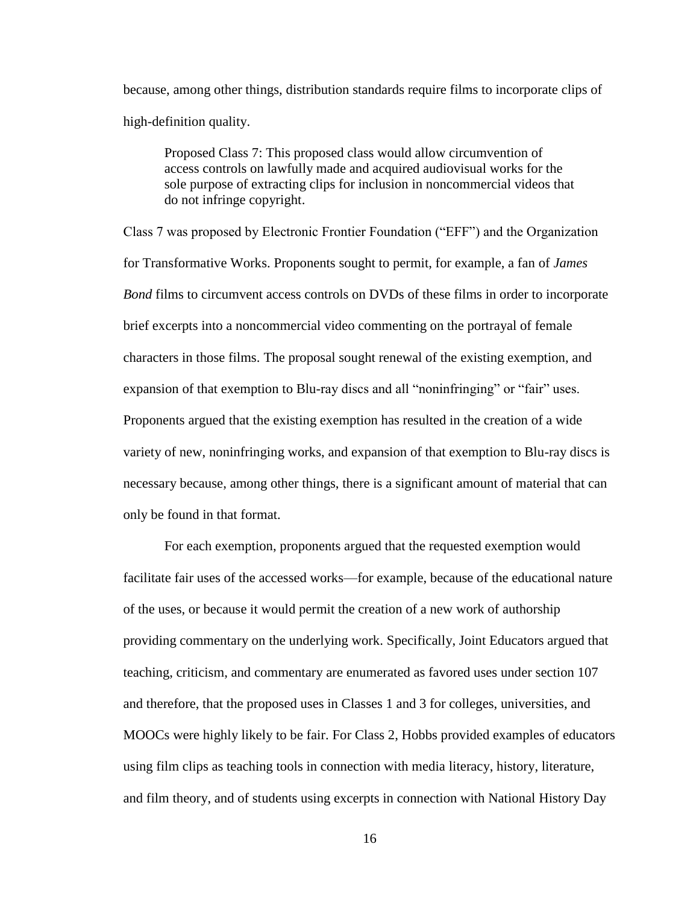because, among other things, distribution standards require films to incorporate clips of high-definition quality.

Proposed Class 7: This proposed class would allow circumvention of access controls on lawfully made and acquired audiovisual works for the sole purpose of extracting clips for inclusion in noncommercial videos that do not infringe copyright.

Class 7 was proposed by Electronic Frontier Foundation ("EFF") and the Organization for Transformative Works. Proponents sought to permit, for example, a fan of *James Bond* films to circumvent access controls on DVDs of these films in order to incorporate brief excerpts into a noncommercial video commenting on the portrayal of female characters in those films. The proposal sought renewal of the existing exemption, and expansion of that exemption to Blu-ray discs and all "noninfringing" or "fair" uses. Proponents argued that the existing exemption has resulted in the creation of a wide variety of new, noninfringing works, and expansion of that exemption to Blu-ray discs is necessary because, among other things, there is a significant amount of material that can only be found in that format.

For each exemption, proponents argued that the requested exemption would facilitate fair uses of the accessed works—for example, because of the educational nature of the uses, or because it would permit the creation of a new work of authorship providing commentary on the underlying work. Specifically, Joint Educators argued that teaching, criticism, and commentary are enumerated as favored uses under section 107 and therefore, that the proposed uses in Classes 1 and 3 for colleges, universities, and MOOCs were highly likely to be fair. For Class 2, Hobbs provided examples of educators using film clips as teaching tools in connection with media literacy, history, literature, and film theory, and of students using excerpts in connection with National History Day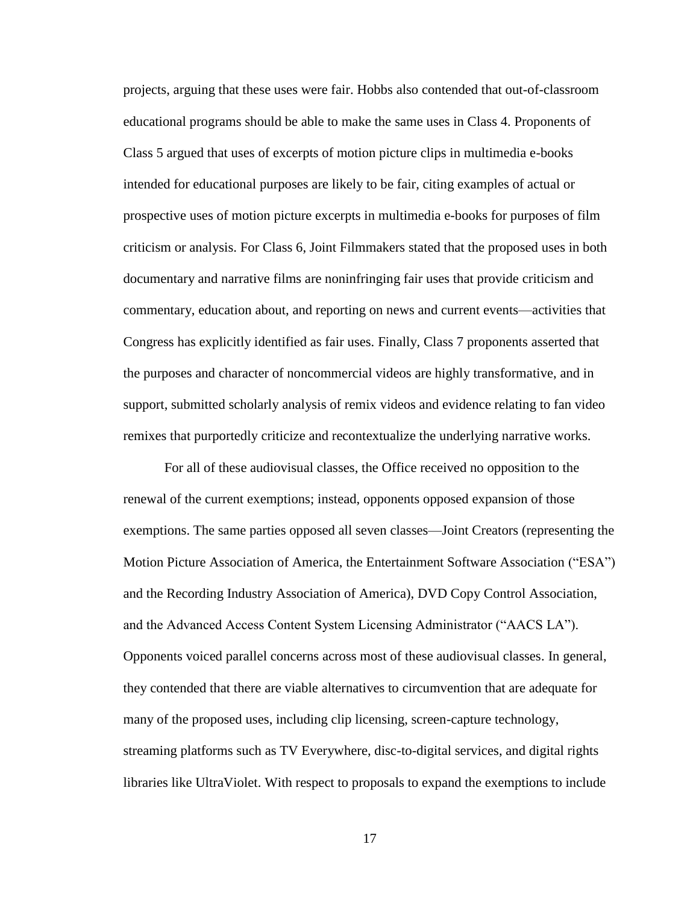projects, arguing that these uses were fair. Hobbs also contended that out-of-classroom educational programs should be able to make the same uses in Class 4. Proponents of Class 5 argued that uses of excerpts of motion picture clips in multimedia e-books intended for educational purposes are likely to be fair, citing examples of actual or prospective uses of motion picture excerpts in multimedia e-books for purposes of film criticism or analysis. For Class 6, Joint Filmmakers stated that the proposed uses in both documentary and narrative films are noninfringing fair uses that provide criticism and commentary, education about, and reporting on news and current events—activities that Congress has explicitly identified as fair uses. Finally, Class 7 proponents asserted that the purposes and character of noncommercial videos are highly transformative, and in support, submitted scholarly analysis of remix videos and evidence relating to fan video remixes that purportedly criticize and recontextualize the underlying narrative works.

For all of these audiovisual classes, the Office received no opposition to the renewal of the current exemptions; instead, opponents opposed expansion of those exemptions. The same parties opposed all seven classes—Joint Creators (representing the Motion Picture Association of America, the Entertainment Software Association ("ESA") and the Recording Industry Association of America), DVD Copy Control Association, and the Advanced Access Content System Licensing Administrator ("AACS LA"). Opponents voiced parallel concerns across most of these audiovisual classes. In general, they contended that there are viable alternatives to circumvention that are adequate for many of the proposed uses, including clip licensing, screen-capture technology, streaming platforms such as TV Everywhere, disc-to-digital services, and digital rights libraries like UltraViolet. With respect to proposals to expand the exemptions to include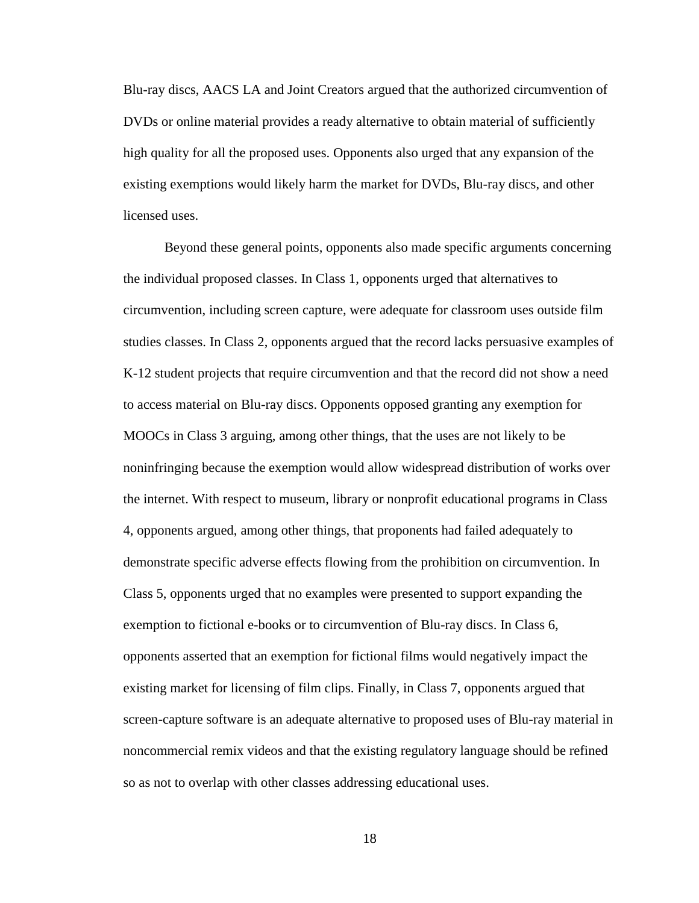Blu-ray discs, AACS LA and Joint Creators argued that the authorized circumvention of DVDs or online material provides a ready alternative to obtain material of sufficiently high quality for all the proposed uses. Opponents also urged that any expansion of the existing exemptions would likely harm the market for DVDs, Blu-ray discs, and other licensed uses.

Beyond these general points, opponents also made specific arguments concerning the individual proposed classes. In Class 1, opponents urged that alternatives to circumvention, including screen capture, were adequate for classroom uses outside film studies classes. In Class 2, opponents argued that the record lacks persuasive examples of K-12 student projects that require circumvention and that the record did not show a need to access material on Blu-ray discs. Opponents opposed granting any exemption for MOOCs in Class 3 arguing, among other things, that the uses are not likely to be noninfringing because the exemption would allow widespread distribution of works over the internet. With respect to museum, library or nonprofit educational programs in Class 4, opponents argued, among other things, that proponents had failed adequately to demonstrate specific adverse effects flowing from the prohibition on circumvention. In Class 5, opponents urged that no examples were presented to support expanding the exemption to fictional e-books or to circumvention of Blu-ray discs. In Class 6, opponents asserted that an exemption for fictional films would negatively impact the existing market for licensing of film clips. Finally, in Class 7, opponents argued that screen-capture software is an adequate alternative to proposed uses of Blu-ray material in noncommercial remix videos and that the existing regulatory language should be refined so as not to overlap with other classes addressing educational uses.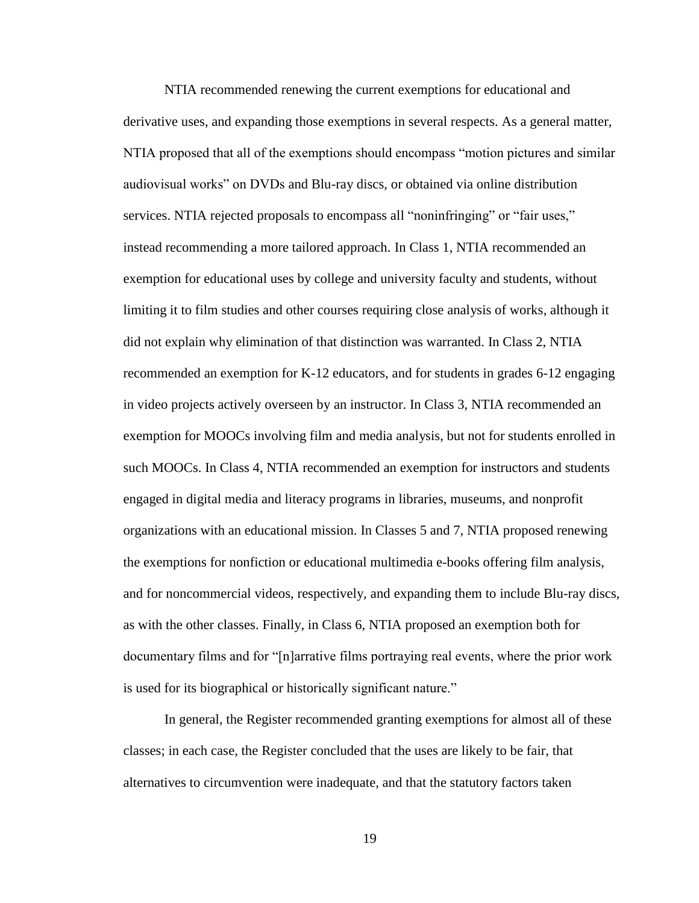NTIA recommended renewing the current exemptions for educational and derivative uses, and expanding those exemptions in several respects. As a general matter, NTIA proposed that all of the exemptions should encompass "motion pictures and similar audiovisual works" on DVDs and Blu-ray discs, or obtained via online distribution services. NTIA rejected proposals to encompass all "noninfringing" or "fair uses," instead recommending a more tailored approach. In Class 1, NTIA recommended an exemption for educational uses by college and university faculty and students, without limiting it to film studies and other courses requiring close analysis of works, although it did not explain why elimination of that distinction was warranted. In Class 2, NTIA recommended an exemption for K-12 educators, and for students in grades 6-12 engaging in video projects actively overseen by an instructor. In Class 3, NTIA recommended an exemption for MOOCs involving film and media analysis, but not for students enrolled in such MOOCs. In Class 4, NTIA recommended an exemption for instructors and students engaged in digital media and literacy programs in libraries, museums, and nonprofit organizations with an educational mission. In Classes 5 and 7, NTIA proposed renewing the exemptions for nonfiction or educational multimedia e-books offering film analysis, and for noncommercial videos, respectively, and expanding them to include Blu-ray discs, as with the other classes. Finally, in Class 6, NTIA proposed an exemption both for documentary films and for "[n]arrative films portraying real events, where the prior work is used for its biographical or historically significant nature."

In general, the Register recommended granting exemptions for almost all of these classes; in each case, the Register concluded that the uses are likely to be fair, that alternatives to circumvention were inadequate, and that the statutory factors taken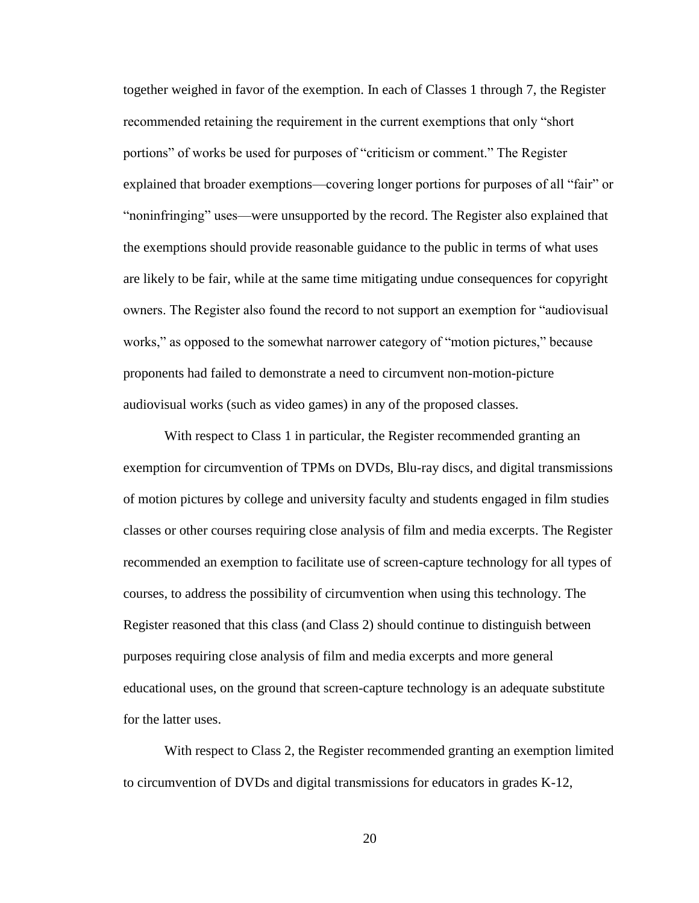together weighed in favor of the exemption. In each of Classes 1 through 7, the Register recommended retaining the requirement in the current exemptions that only "short portions" of works be used for purposes of "criticism or comment." The Register explained that broader exemptions—covering longer portions for purposes of all "fair" or "noninfringing" uses—were unsupported by the record. The Register also explained that the exemptions should provide reasonable guidance to the public in terms of what uses are likely to be fair, while at the same time mitigating undue consequences for copyright owners. The Register also found the record to not support an exemption for "audiovisual works," as opposed to the somewhat narrower category of "motion pictures," because proponents had failed to demonstrate a need to circumvent non-motion-picture audiovisual works (such as video games) in any of the proposed classes.

With respect to Class 1 in particular, the Register recommended granting an exemption for circumvention of TPMs on DVDs, Blu-ray discs, and digital transmissions of motion pictures by college and university faculty and students engaged in film studies classes or other courses requiring close analysis of film and media excerpts. The Register recommended an exemption to facilitate use of screen-capture technology for all types of courses, to address the possibility of circumvention when using this technology. The Register reasoned that this class (and Class 2) should continue to distinguish between purposes requiring close analysis of film and media excerpts and more general educational uses, on the ground that screen-capture technology is an adequate substitute for the latter uses.

With respect to Class 2, the Register recommended granting an exemption limited to circumvention of DVDs and digital transmissions for educators in grades K-12,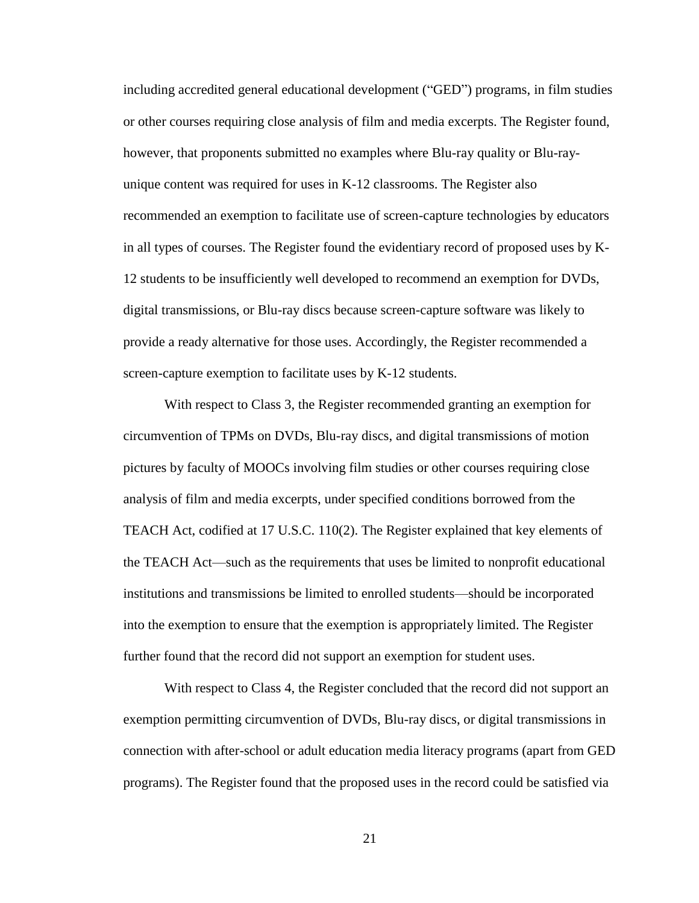including accredited general educational development ("GED") programs, in film studies or other courses requiring close analysis of film and media excerpts. The Register found, however, that proponents submitted no examples where Blu-ray quality or Blu-rayunique content was required for uses in K-12 classrooms. The Register also recommended an exemption to facilitate use of screen-capture technologies by educators in all types of courses. The Register found the evidentiary record of proposed uses by K-12 students to be insufficiently well developed to recommend an exemption for DVDs, digital transmissions, or Blu-ray discs because screen-capture software was likely to provide a ready alternative for those uses. Accordingly, the Register recommended a screen-capture exemption to facilitate uses by K-12 students.

With respect to Class 3, the Register recommended granting an exemption for circumvention of TPMs on DVDs, Blu-ray discs, and digital transmissions of motion pictures by faculty of MOOCs involving film studies or other courses requiring close analysis of film and media excerpts, under specified conditions borrowed from the TEACH Act, codified at 17 U.S.C. 110(2). The Register explained that key elements of the TEACH Act—such as the requirements that uses be limited to nonprofit educational institutions and transmissions be limited to enrolled students—should be incorporated into the exemption to ensure that the exemption is appropriately limited. The Register further found that the record did not support an exemption for student uses.

With respect to Class 4, the Register concluded that the record did not support an exemption permitting circumvention of DVDs, Blu-ray discs, or digital transmissions in connection with after-school or adult education media literacy programs (apart from GED programs). The Register found that the proposed uses in the record could be satisfied via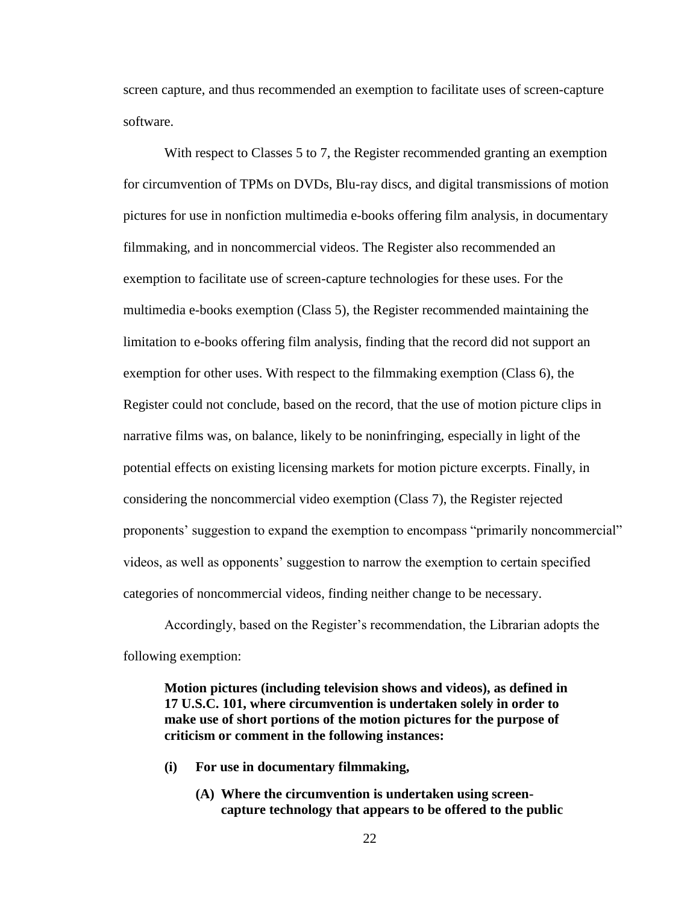screen capture, and thus recommended an exemption to facilitate uses of screen-capture software.

With respect to Classes 5 to 7, the Register recommended granting an exemption for circumvention of TPMs on DVDs, Blu-ray discs, and digital transmissions of motion pictures for use in nonfiction multimedia e-books offering film analysis, in documentary filmmaking, and in noncommercial videos. The Register also recommended an exemption to facilitate use of screen-capture technologies for these uses. For the multimedia e-books exemption (Class 5), the Register recommended maintaining the limitation to e-books offering film analysis, finding that the record did not support an exemption for other uses. With respect to the filmmaking exemption (Class 6), the Register could not conclude, based on the record, that the use of motion picture clips in narrative films was, on balance, likely to be noninfringing, especially in light of the potential effects on existing licensing markets for motion picture excerpts. Finally, in considering the noncommercial video exemption (Class 7), the Register rejected proponents' suggestion to expand the exemption to encompass "primarily noncommercial" videos, as well as opponents' suggestion to narrow the exemption to certain specified categories of noncommercial videos, finding neither change to be necessary.

Accordingly, based on the Register's recommendation, the Librarian adopts the following exemption:

**Motion pictures (including television shows and videos), as defined in 17 U.S.C. 101, where circumvention is undertaken solely in order to make use of short portions of the motion pictures for the purpose of criticism or comment in the following instances:**

- **(i) For use in documentary filmmaking,** 
	- **(A) Where the circumvention is undertaken using screencapture technology that appears to be offered to the public**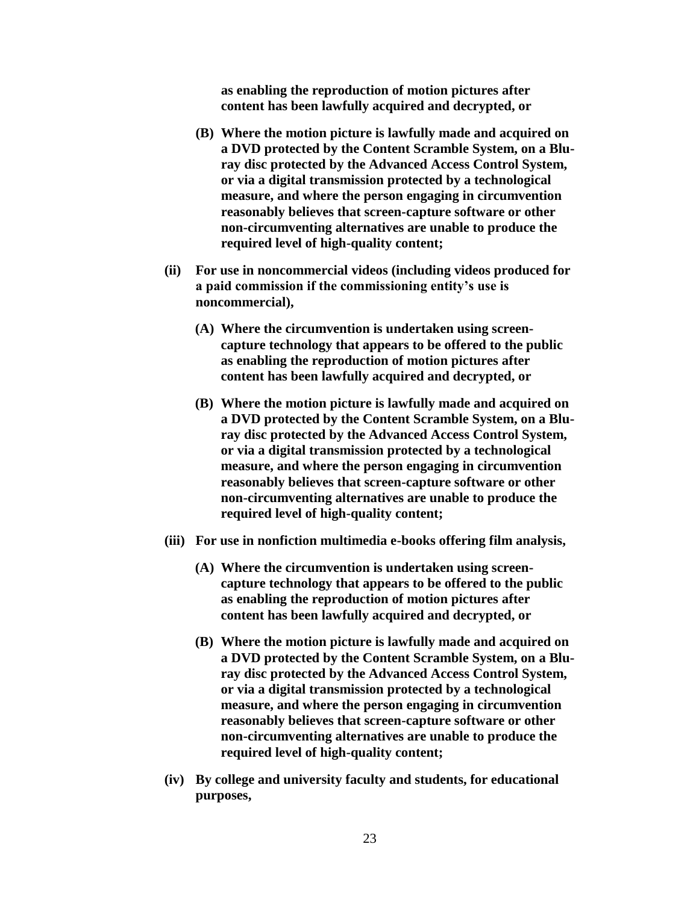**as enabling the reproduction of motion pictures after content has been lawfully acquired and decrypted, or**

- **(B) Where the motion picture is lawfully made and acquired on a DVD protected by the Content Scramble System, on a Bluray disc protected by the Advanced Access Control System, or via a digital transmission protected by a technological measure, and where the person engaging in circumvention reasonably believes that screen-capture software or other non-circumventing alternatives are unable to produce the required level of high-quality content;**
- **(ii) For use in noncommercial videos (including videos produced for a paid commission if the commissioning entity's use is noncommercial),** 
	- **(A) Where the circumvention is undertaken using screencapture technology that appears to be offered to the public as enabling the reproduction of motion pictures after content has been lawfully acquired and decrypted, or**
	- **(B) Where the motion picture is lawfully made and acquired on a DVD protected by the Content Scramble System, on a Bluray disc protected by the Advanced Access Control System, or via a digital transmission protected by a technological measure, and where the person engaging in circumvention reasonably believes that screen-capture software or other non-circumventing alternatives are unable to produce the required level of high-quality content;**
- **(iii) For use in nonfiction multimedia e-books offering film analysis,**
	- **(A) Where the circumvention is undertaken using screencapture technology that appears to be offered to the public as enabling the reproduction of motion pictures after content has been lawfully acquired and decrypted, or**
	- **(B) Where the motion picture is lawfully made and acquired on a DVD protected by the Content Scramble System, on a Bluray disc protected by the Advanced Access Control System, or via a digital transmission protected by a technological measure, and where the person engaging in circumvention reasonably believes that screen-capture software or other non-circumventing alternatives are unable to produce the required level of high-quality content;**
- **(iv) By college and university faculty and students, for educational purposes,**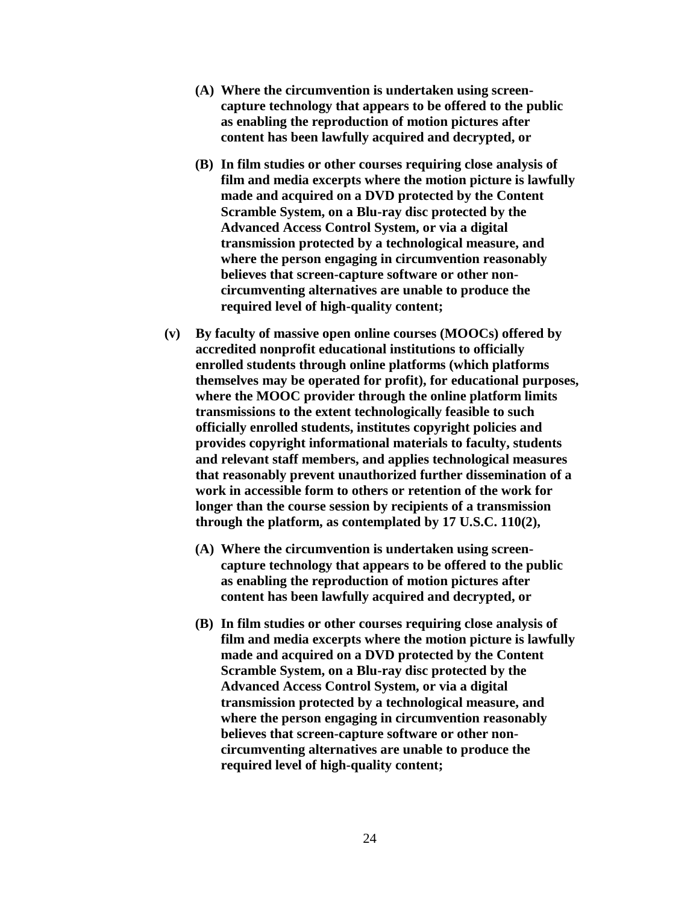- **(A) Where the circumvention is undertaken using screencapture technology that appears to be offered to the public as enabling the reproduction of motion pictures after content has been lawfully acquired and decrypted, or**
- **(B) In film studies or other courses requiring close analysis of film and media excerpts where the motion picture is lawfully made and acquired on a DVD protected by the Content Scramble System, on a Blu-ray disc protected by the Advanced Access Control System, or via a digital transmission protected by a technological measure, and where the person engaging in circumvention reasonably believes that screen-capture software or other noncircumventing alternatives are unable to produce the required level of high-quality content;**
- **(v) By faculty of massive open online courses (MOOCs) offered by accredited nonprofit educational institutions to officially enrolled students through online platforms (which platforms themselves may be operated for profit), for educational purposes, where the MOOC provider through the online platform limits transmissions to the extent technologically feasible to such officially enrolled students, institutes copyright policies and provides copyright informational materials to faculty, students and relevant staff members, and applies technological measures that reasonably prevent unauthorized further dissemination of a work in accessible form to others or retention of the work for longer than the course session by recipients of a transmission through the platform, as contemplated by 17 U.S.C. 110(2),**
	- **(A) Where the circumvention is undertaken using screencapture technology that appears to be offered to the public as enabling the reproduction of motion pictures after content has been lawfully acquired and decrypted, or**
	- **(B) In film studies or other courses requiring close analysis of film and media excerpts where the motion picture is lawfully made and acquired on a DVD protected by the Content Scramble System, on a Blu-ray disc protected by the Advanced Access Control System, or via a digital transmission protected by a technological measure, and where the person engaging in circumvention reasonably believes that screen-capture software or other noncircumventing alternatives are unable to produce the required level of high-quality content;**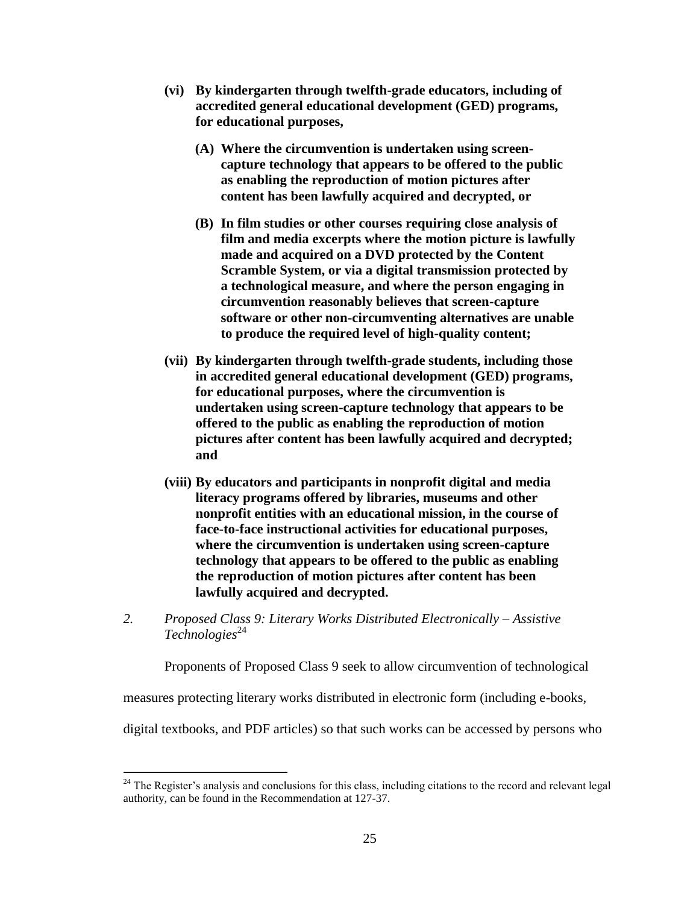- **(vi) By kindergarten through twelfth-grade educators, including of accredited general educational development (GED) programs, for educational purposes,**
	- **(A) Where the circumvention is undertaken using screencapture technology that appears to be offered to the public as enabling the reproduction of motion pictures after content has been lawfully acquired and decrypted, or**
	- **(B) In film studies or other courses requiring close analysis of film and media excerpts where the motion picture is lawfully made and acquired on a DVD protected by the Content Scramble System, or via a digital transmission protected by a technological measure, and where the person engaging in circumvention reasonably believes that screen-capture software or other non-circumventing alternatives are unable to produce the required level of high-quality content;**
- **(vii) By kindergarten through twelfth-grade students, including those in accredited general educational development (GED) programs, for educational purposes, where the circumvention is undertaken using screen-capture technology that appears to be offered to the public as enabling the reproduction of motion pictures after content has been lawfully acquired and decrypted; and**
- **(viii) By educators and participants in nonprofit digital and media literacy programs offered by libraries, museums and other nonprofit entities with an educational mission, in the course of face-to-face instructional activities for educational purposes, where the circumvention is undertaken using screen-capture technology that appears to be offered to the public as enabling the reproduction of motion pictures after content has been lawfully acquired and decrypted.**
- *2. Proposed Class 9: Literary Works Distributed Electronically – Assistive*   $Technologies<sup>24</sup>$

Proponents of Proposed Class 9 seek to allow circumvention of technological

measures protecting literary works distributed in electronic form (including e-books,

 $\overline{a}$ 

digital textbooks, and PDF articles) so that such works can be accessed by persons who

 $24$  The Register's analysis and conclusions for this class, including citations to the record and relevant legal authority, can be found in the Recommendation at 127-37.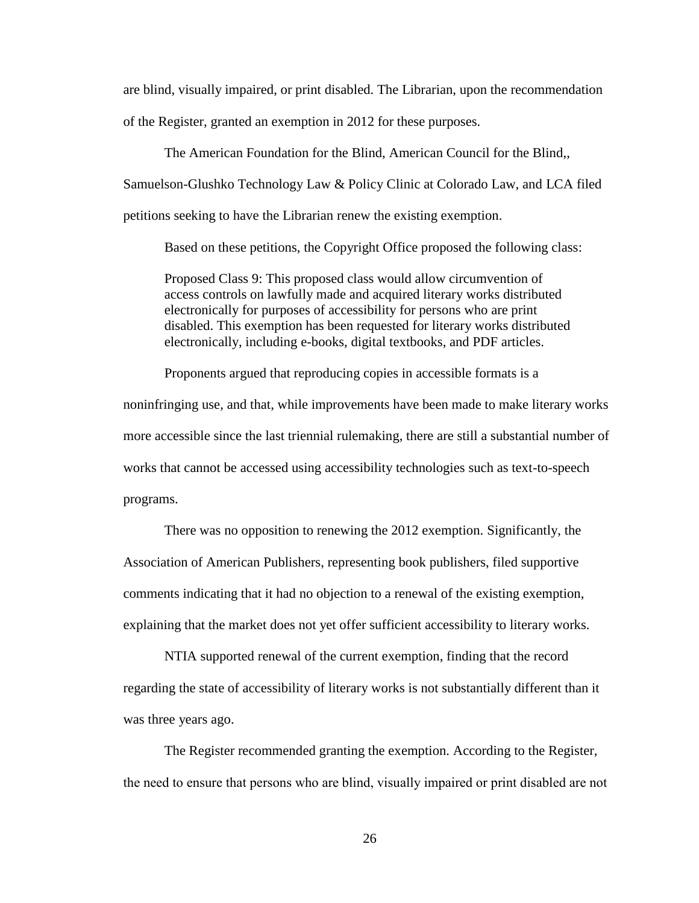are blind, visually impaired, or print disabled. The Librarian, upon the recommendation of the Register, granted an exemption in 2012 for these purposes.

The American Foundation for the Blind, American Council for the Blind,, Samuelson-Glushko Technology Law & Policy Clinic at Colorado Law, and LCA filed petitions seeking to have the Librarian renew the existing exemption.

Based on these petitions, the Copyright Office proposed the following class:

Proposed Class 9: This proposed class would allow circumvention of access controls on lawfully made and acquired literary works distributed electronically for purposes of accessibility for persons who are print disabled. This exemption has been requested for literary works distributed electronically, including e-books, digital textbooks, and PDF articles.

Proponents argued that reproducing copies in accessible formats is a noninfringing use, and that, while improvements have been made to make literary works more accessible since the last triennial rulemaking, there are still a substantial number of works that cannot be accessed using accessibility technologies such as text-to-speech programs.

There was no opposition to renewing the 2012 exemption. Significantly, the Association of American Publishers, representing book publishers, filed supportive comments indicating that it had no objection to a renewal of the existing exemption, explaining that the market does not yet offer sufficient accessibility to literary works.

NTIA supported renewal of the current exemption, finding that the record regarding the state of accessibility of literary works is not substantially different than it was three years ago.

The Register recommended granting the exemption. According to the Register, the need to ensure that persons who are blind, visually impaired or print disabled are not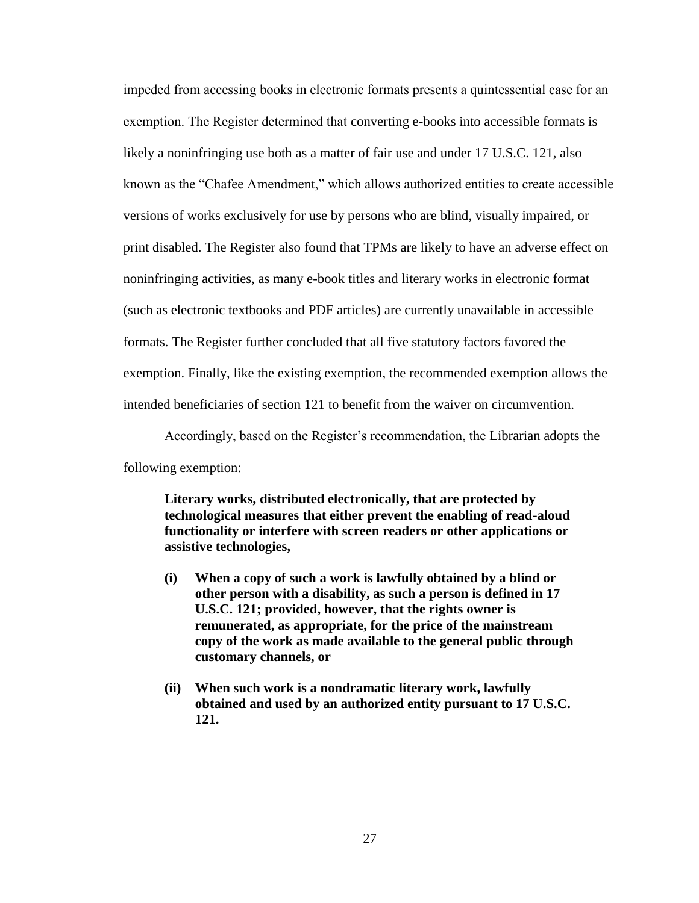impeded from accessing books in electronic formats presents a quintessential case for an exemption. The Register determined that converting e-books into accessible formats is likely a noninfringing use both as a matter of fair use and under 17 U.S.C. 121, also known as the "Chafee Amendment," which allows authorized entities to create accessible versions of works exclusively for use by persons who are blind, visually impaired, or print disabled. The Register also found that TPMs are likely to have an adverse effect on noninfringing activities, as many e-book titles and literary works in electronic format (such as electronic textbooks and PDF articles) are currently unavailable in accessible formats. The Register further concluded that all five statutory factors favored the exemption. Finally, like the existing exemption, the recommended exemption allows the intended beneficiaries of section 121 to benefit from the waiver on circumvention.

Accordingly, based on the Register's recommendation, the Librarian adopts the

following exemption:

**Literary works, distributed electronically, that are protected by technological measures that either prevent the enabling of read-aloud functionality or interfere with screen readers or other applications or assistive technologies,** 

- **(i) When a copy of such a work is lawfully obtained by a blind or other person with a disability, as such a person is defined in 17 U.S.C. 121; provided, however, that the rights owner is remunerated, as appropriate, for the price of the mainstream copy of the work as made available to the general public through customary channels, or**
- **(ii) When such work is a nondramatic literary work, lawfully obtained and used by an authorized entity pursuant to 17 U.S.C. 121.**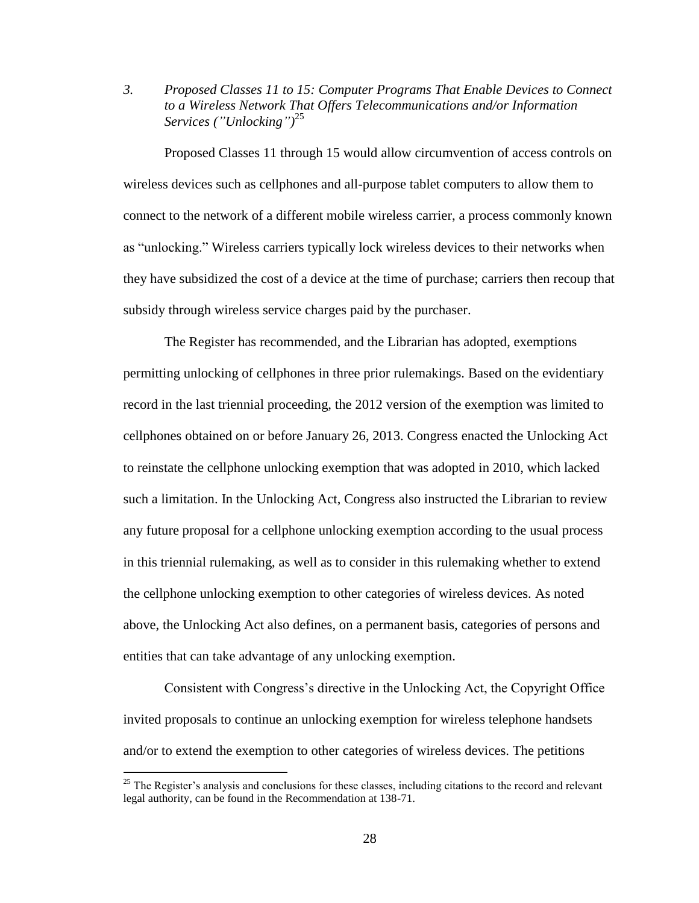*3. Proposed Classes 11 to 15: Computer Programs That Enable Devices to Connect to a Wireless Network That Offers Telecommunications and/or Information Services ("Unlocking")* 25

Proposed Classes 11 through 15 would allow circumvention of access controls on wireless devices such as cellphones and all-purpose tablet computers to allow them to connect to the network of a different mobile wireless carrier, a process commonly known as "unlocking." Wireless carriers typically lock wireless devices to their networks when they have subsidized the cost of a device at the time of purchase; carriers then recoup that subsidy through wireless service charges paid by the purchaser.

The Register has recommended, and the Librarian has adopted, exemptions permitting unlocking of cellphones in three prior rulemakings. Based on the evidentiary record in the last triennial proceeding, the 2012 version of the exemption was limited to cellphones obtained on or before January 26, 2013. Congress enacted the Unlocking Act to reinstate the cellphone unlocking exemption that was adopted in 2010, which lacked such a limitation. In the Unlocking Act, Congress also instructed the Librarian to review any future proposal for a cellphone unlocking exemption according to the usual process in this triennial rulemaking, as well as to consider in this rulemaking whether to extend the cellphone unlocking exemption to other categories of wireless devices. As noted above, the Unlocking Act also defines, on a permanent basis, categories of persons and entities that can take advantage of any unlocking exemption.

Consistent with Congress's directive in the Unlocking Act, the Copyright Office invited proposals to continue an unlocking exemption for wireless telephone handsets and/or to extend the exemption to other categories of wireless devices. The petitions

<sup>&</sup>lt;sup>25</sup> The Register's analysis and conclusions for these classes, including citations to the record and relevant legal authority, can be found in the Recommendation at 138-71.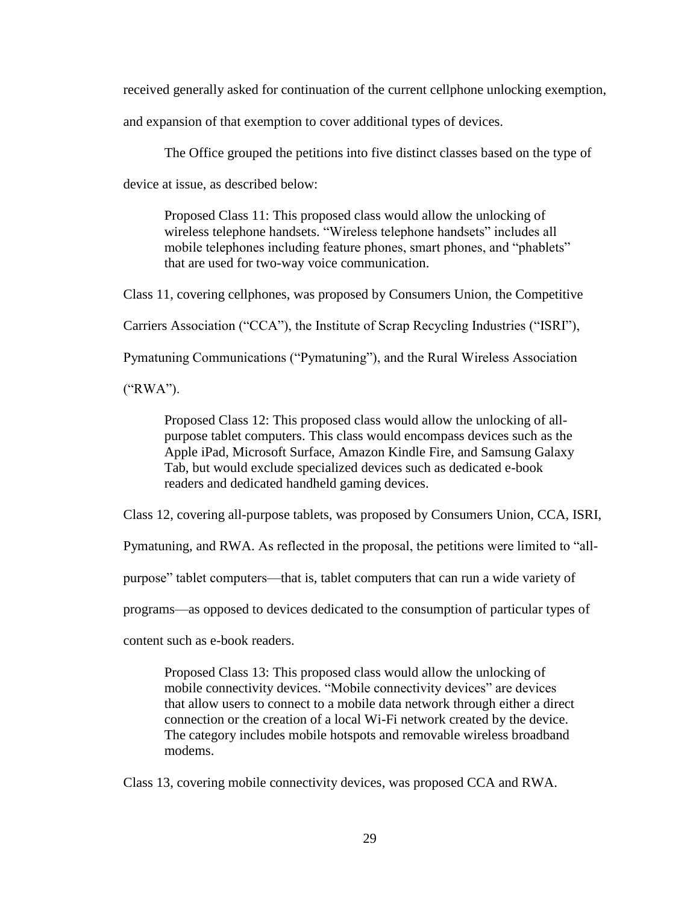received generally asked for continuation of the current cellphone unlocking exemption,

and expansion of that exemption to cover additional types of devices.

The Office grouped the petitions into five distinct classes based on the type of

device at issue, as described below:

Proposed Class 11: This proposed class would allow the unlocking of wireless telephone handsets. "Wireless telephone handsets" includes all mobile telephones including feature phones, smart phones, and "phablets" that are used for two-way voice communication.

Class 11, covering cellphones, was proposed by Consumers Union, the Competitive

Carriers Association ("CCA"), the Institute of Scrap Recycling Industries ("ISRI"),

Pymatuning Communications ("Pymatuning"), and the Rural Wireless Association

("RWA").

Proposed Class 12: This proposed class would allow the unlocking of allpurpose tablet computers. This class would encompass devices such as the Apple iPad, Microsoft Surface, Amazon Kindle Fire, and Samsung Galaxy Tab, but would exclude specialized devices such as dedicated e-book readers and dedicated handheld gaming devices.

Class 12, covering all-purpose tablets, was proposed by Consumers Union, CCA, ISRI,

Pymatuning, and RWA. As reflected in the proposal, the petitions were limited to "all-

purpose" tablet computers—that is, tablet computers that can run a wide variety of

programs—as opposed to devices dedicated to the consumption of particular types of

content such as e-book readers.

Proposed Class 13: This proposed class would allow the unlocking of mobile connectivity devices. "Mobile connectivity devices" are devices that allow users to connect to a mobile data network through either a direct connection or the creation of a local Wi-Fi network created by the device. The category includes mobile hotspots and removable wireless broadband modems.

Class 13, covering mobile connectivity devices, was proposed CCA and RWA.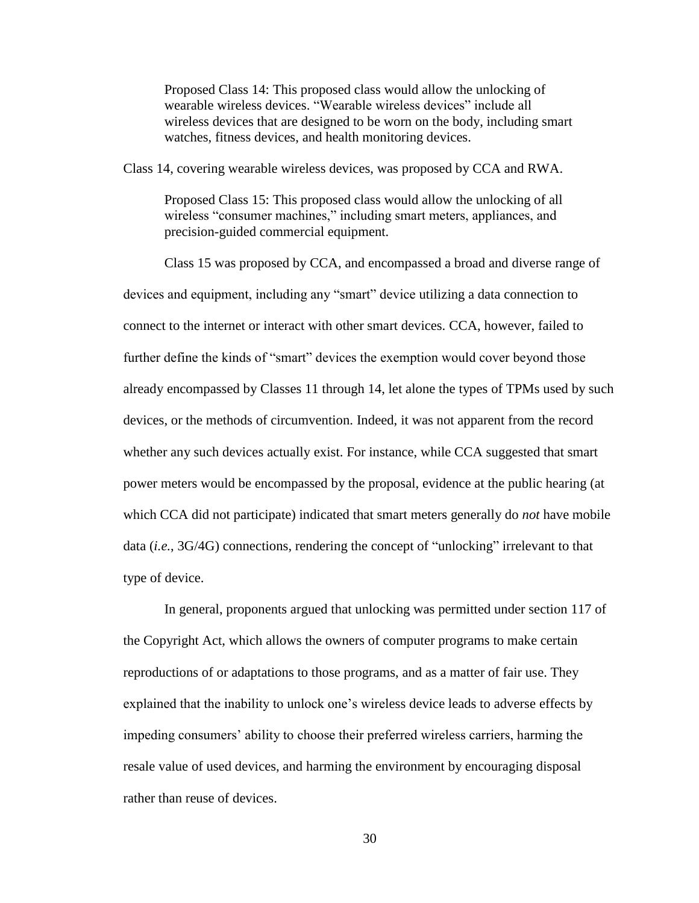Proposed Class 14: This proposed class would allow the unlocking of wearable wireless devices. "Wearable wireless devices" include all wireless devices that are designed to be worn on the body, including smart watches, fitness devices, and health monitoring devices.

Class 14, covering wearable wireless devices, was proposed by CCA and RWA.

Proposed Class 15: This proposed class would allow the unlocking of all wireless "consumer machines," including smart meters, appliances, and precision-guided commercial equipment.

Class 15 was proposed by CCA, and encompassed a broad and diverse range of devices and equipment, including any "smart" device utilizing a data connection to connect to the internet or interact with other smart devices. CCA, however, failed to further define the kinds of "smart" devices the exemption would cover beyond those already encompassed by Classes 11 through 14, let alone the types of TPMs used by such devices, or the methods of circumvention. Indeed, it was not apparent from the record whether any such devices actually exist. For instance, while CCA suggested that smart power meters would be encompassed by the proposal, evidence at the public hearing (at which CCA did not participate) indicated that smart meters generally do *not* have mobile data (*i.e.*, 3G/4G) connections, rendering the concept of "unlocking" irrelevant to that type of device.

In general, proponents argued that unlocking was permitted under section 117 of the Copyright Act, which allows the owners of computer programs to make certain reproductions of or adaptations to those programs, and as a matter of fair use. They explained that the inability to unlock one's wireless device leads to adverse effects by impeding consumers' ability to choose their preferred wireless carriers, harming the resale value of used devices, and harming the environment by encouraging disposal rather than reuse of devices.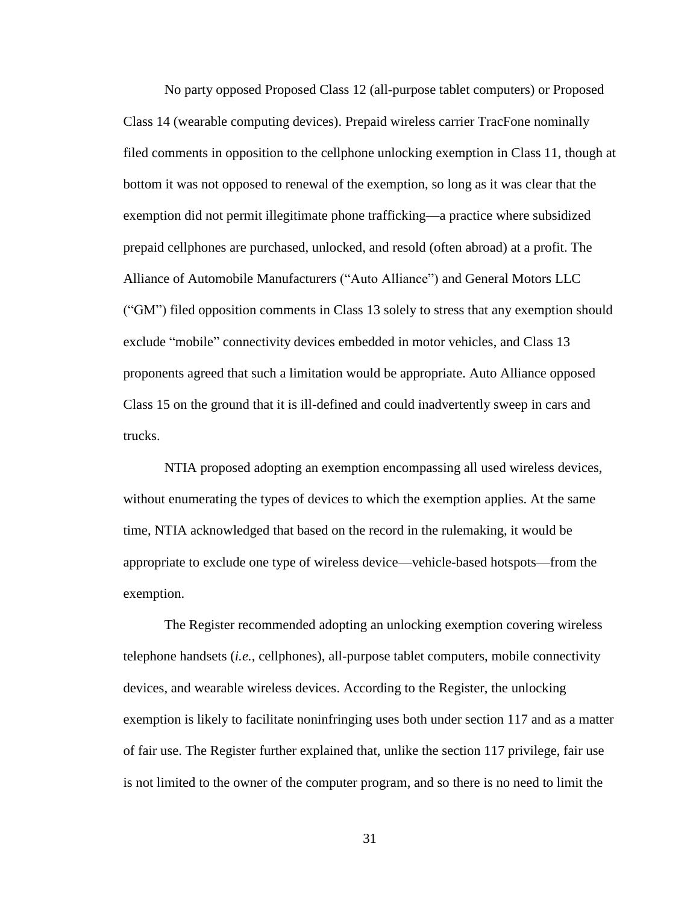No party opposed Proposed Class 12 (all-purpose tablet computers) or Proposed Class 14 (wearable computing devices). Prepaid wireless carrier TracFone nominally filed comments in opposition to the cellphone unlocking exemption in Class 11, though at bottom it was not opposed to renewal of the exemption, so long as it was clear that the exemption did not permit illegitimate phone trafficking—a practice where subsidized prepaid cellphones are purchased, unlocked, and resold (often abroad) at a profit. The Alliance of Automobile Manufacturers ("Auto Alliance") and General Motors LLC ("GM") filed opposition comments in Class 13 solely to stress that any exemption should exclude "mobile" connectivity devices embedded in motor vehicles, and Class 13 proponents agreed that such a limitation would be appropriate. Auto Alliance opposed Class 15 on the ground that it is ill-defined and could inadvertently sweep in cars and trucks.

NTIA proposed adopting an exemption encompassing all used wireless devices, without enumerating the types of devices to which the exemption applies. At the same time, NTIA acknowledged that based on the record in the rulemaking, it would be appropriate to exclude one type of wireless device—vehicle-based hotspots—from the exemption.

The Register recommended adopting an unlocking exemption covering wireless telephone handsets (*i.e.*, cellphones), all-purpose tablet computers, mobile connectivity devices, and wearable wireless devices. According to the Register, the unlocking exemption is likely to facilitate noninfringing uses both under section 117 and as a matter of fair use. The Register further explained that, unlike the section 117 privilege, fair use is not limited to the owner of the computer program, and so there is no need to limit the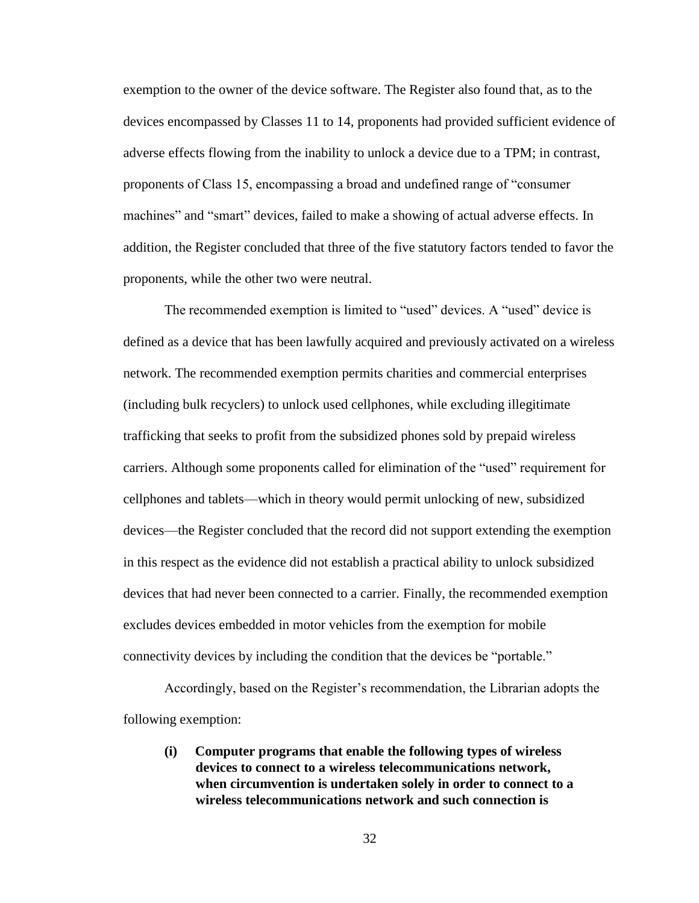exemption to the owner of the device software. The Register also found that, as to the devices encompassed by Classes 11 to 14, proponents had provided sufficient evidence of adverse effects flowing from the inability to unlock a device due to a TPM; in contrast, proponents of Class 15, encompassing a broad and undefined range of "consumer machines" and "smart" devices, failed to make a showing of actual adverse effects. In addition, the Register concluded that three of the five statutory factors tended to favor the proponents, while the other two were neutral.

The recommended exemption is limited to "used" devices. A "used" device is defined as a device that has been lawfully acquired and previously activated on a wireless network. The recommended exemption permits charities and commercial enterprises (including bulk recyclers) to unlock used cellphones, while excluding illegitimate trafficking that seeks to profit from the subsidized phones sold by prepaid wireless carriers. Although some proponents called for elimination of the "used" requirement for cellphones and tablets—which in theory would permit unlocking of new, subsidized devices—the Register concluded that the record did not support extending the exemption in this respect as the evidence did not establish a practical ability to unlock subsidized devices that had never been connected to a carrier. Finally, the recommended exemption excludes devices embedded in motor vehicles from the exemption for mobile connectivity devices by including the condition that the devices be "portable."

Accordingly, based on the Register's recommendation, the Librarian adopts the following exemption:

**(i) Computer programs that enable the following types of wireless devices to connect to a wireless telecommunications network, when circumvention is undertaken solely in order to connect to a wireless telecommunications network and such connection is**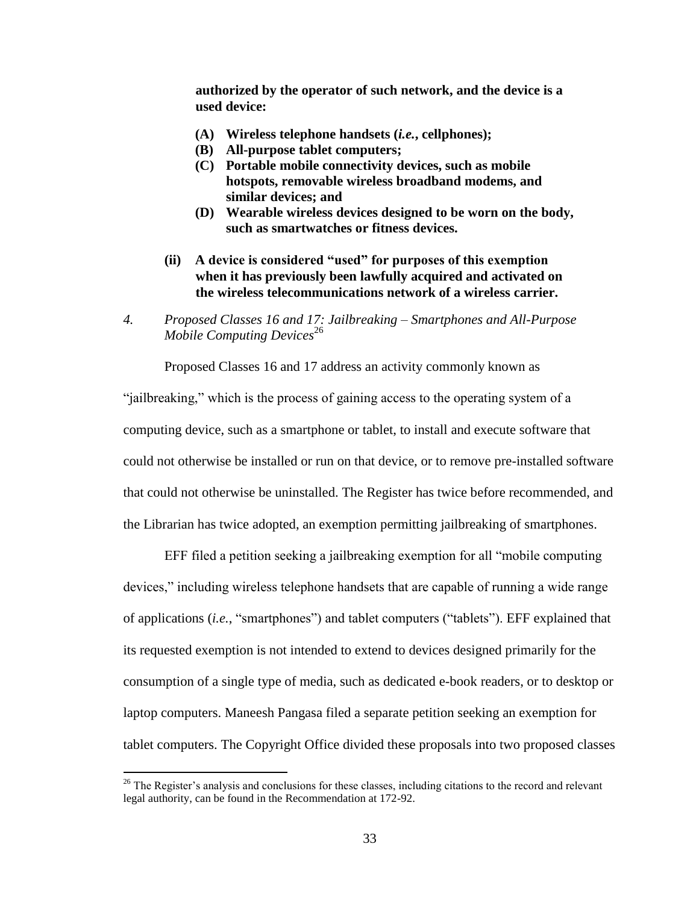**authorized by the operator of such network, and the device is a used device:**

- **(A) Wireless telephone handsets (***i.e.***, cellphones);**
- **(B) All-purpose tablet computers;**
- **(C) Portable mobile connectivity devices, such as mobile hotspots, removable wireless broadband modems, and similar devices; and**
- **(D) Wearable wireless devices designed to be worn on the body, such as smartwatches or fitness devices.**
- **(ii) A device is considered "used" for purposes of this exemption when it has previously been lawfully acquired and activated on the wireless telecommunications network of a wireless carrier.**
- *4. Proposed Classes 16 and 17: Jailbreaking – Smartphones and All-Purpose Mobile Computing Devices*<sup>26</sup>

Proposed Classes 16 and 17 address an activity commonly known as

"jailbreaking," which is the process of gaining access to the operating system of a computing device, such as a smartphone or tablet, to install and execute software that could not otherwise be installed or run on that device, or to remove pre-installed software that could not otherwise be uninstalled. The Register has twice before recommended, and the Librarian has twice adopted, an exemption permitting jailbreaking of smartphones.

EFF filed a petition seeking a jailbreaking exemption for all "mobile computing devices," including wireless telephone handsets that are capable of running a wide range of applications (*i.e.*, "smartphones") and tablet computers ("tablets"). EFF explained that its requested exemption is not intended to extend to devices designed primarily for the consumption of a single type of media, such as dedicated e-book readers, or to desktop or laptop computers. Maneesh Pangasa filed a separate petition seeking an exemption for tablet computers. The Copyright Office divided these proposals into two proposed classes

<sup>&</sup>lt;sup>26</sup> The Register's analysis and conclusions for these classes, including citations to the record and relevant legal authority, can be found in the Recommendation at 172-92.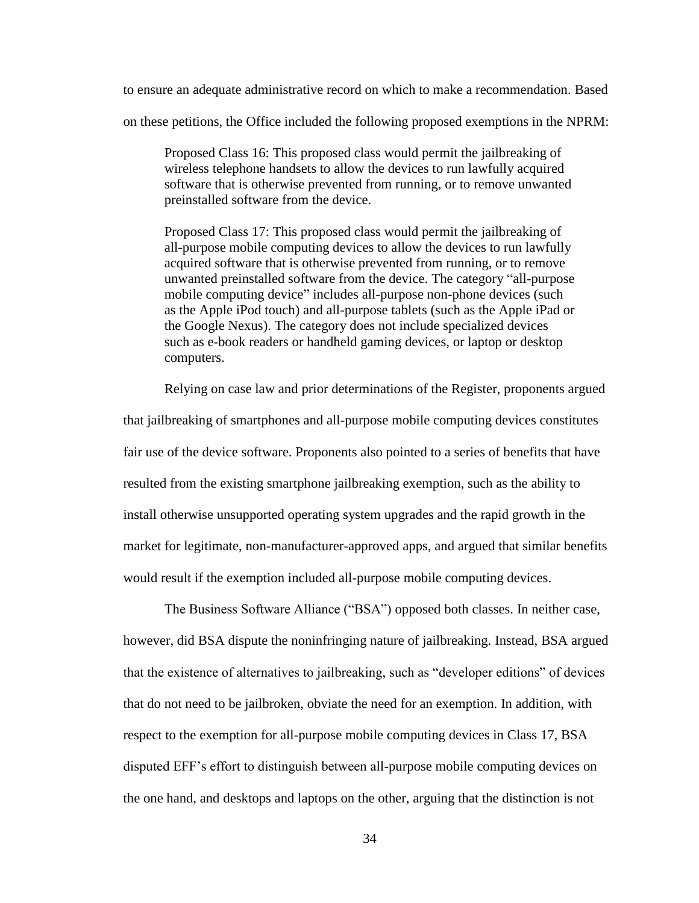to ensure an adequate administrative record on which to make a recommendation. Based

on these petitions, the Office included the following proposed exemptions in the NPRM:

Proposed Class 16: This proposed class would permit the jailbreaking of wireless telephone handsets to allow the devices to run lawfully acquired software that is otherwise prevented from running, or to remove unwanted preinstalled software from the device.

Proposed Class 17: This proposed class would permit the jailbreaking of all-purpose mobile computing devices to allow the devices to run lawfully acquired software that is otherwise prevented from running, or to remove unwanted preinstalled software from the device. The category "all-purpose mobile computing device" includes all-purpose non-phone devices (such as the Apple iPod touch) and all-purpose tablets (such as the Apple iPad or the Google Nexus). The category does not include specialized devices such as e-book readers or handheld gaming devices, or laptop or desktop computers.

Relying on case law and prior determinations of the Register, proponents argued that jailbreaking of smartphones and all-purpose mobile computing devices constitutes fair use of the device software. Proponents also pointed to a series of benefits that have resulted from the existing smartphone jailbreaking exemption, such as the ability to install otherwise unsupported operating system upgrades and the rapid growth in the market for legitimate, non-manufacturer-approved apps, and argued that similar benefits would result if the exemption included all-purpose mobile computing devices.

The Business Software Alliance ("BSA") opposed both classes. In neither case, however, did BSA dispute the noninfringing nature of jailbreaking. Instead, BSA argued that the existence of alternatives to jailbreaking, such as "developer editions" of devices that do not need to be jailbroken, obviate the need for an exemption. In addition, with respect to the exemption for all-purpose mobile computing devices in Class 17, BSA disputed EFF's effort to distinguish between all-purpose mobile computing devices on the one hand, and desktops and laptops on the other, arguing that the distinction is not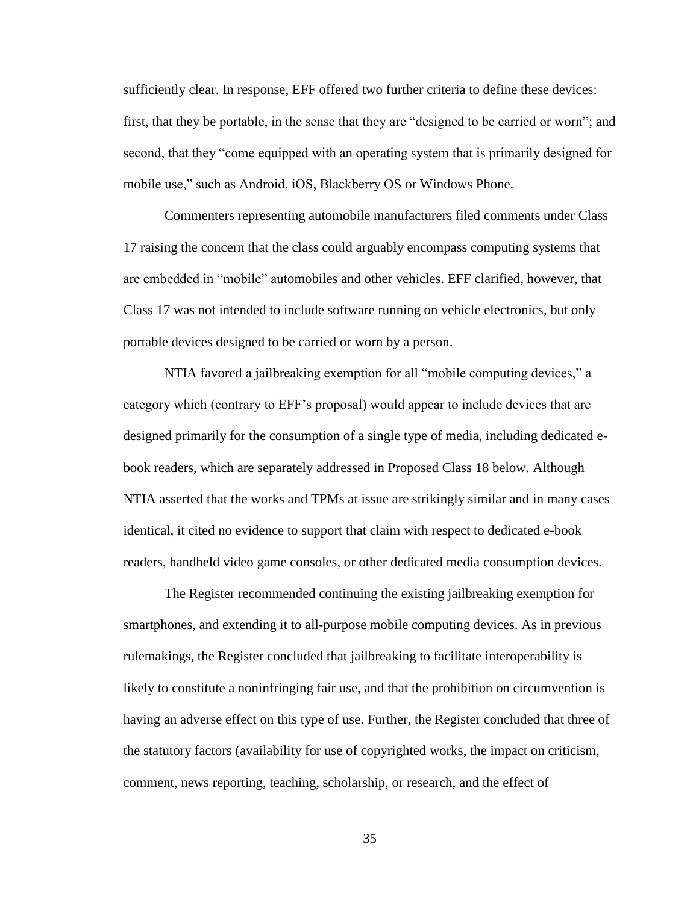sufficiently clear. In response, EFF offered two further criteria to define these devices: first, that they be portable, in the sense that they are "designed to be carried or worn"; and second, that they "come equipped with an operating system that is primarily designed for mobile use," such as Android, iOS, Blackberry OS or Windows Phone.

Commenters representing automobile manufacturers filed comments under Class 17 raising the concern that the class could arguably encompass computing systems that are embedded in "mobile" automobiles and other vehicles. EFF clarified, however, that Class 17 was not intended to include software running on vehicle electronics, but only portable devices designed to be carried or worn by a person.

NTIA favored a jailbreaking exemption for all "mobile computing devices," a category which (contrary to EFF's proposal) would appear to include devices that are designed primarily for the consumption of a single type of media, including dedicated ebook readers, which are separately addressed in Proposed Class 18 below. Although NTIA asserted that the works and TPMs at issue are strikingly similar and in many cases identical, it cited no evidence to support that claim with respect to dedicated e-book readers, handheld video game consoles, or other dedicated media consumption devices.

The Register recommended continuing the existing jailbreaking exemption for smartphones, and extending it to all-purpose mobile computing devices. As in previous rulemakings, the Register concluded that jailbreaking to facilitate interoperability is likely to constitute a noninfringing fair use, and that the prohibition on circumvention is having an adverse effect on this type of use. Further, the Register concluded that three of the statutory factors (availability for use of copyrighted works, the impact on criticism, comment, news reporting, teaching, scholarship, or research, and the effect of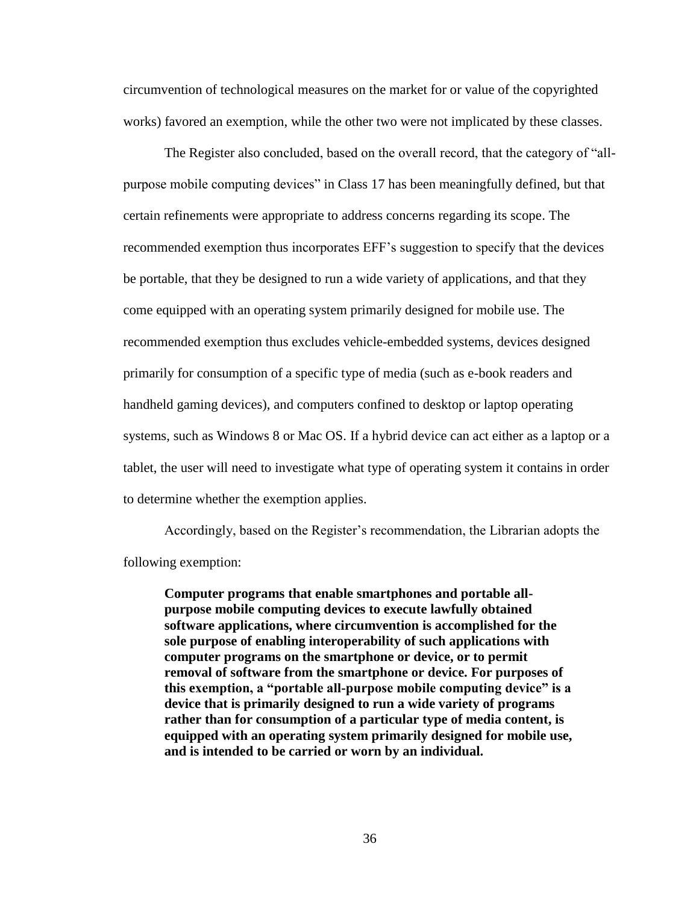circumvention of technological measures on the market for or value of the copyrighted works) favored an exemption, while the other two were not implicated by these classes.

The Register also concluded, based on the overall record, that the category of "allpurpose mobile computing devices" in Class 17 has been meaningfully defined, but that certain refinements were appropriate to address concerns regarding its scope. The recommended exemption thus incorporates EFF's suggestion to specify that the devices be portable, that they be designed to run a wide variety of applications, and that they come equipped with an operating system primarily designed for mobile use. The recommended exemption thus excludes vehicle-embedded systems, devices designed primarily for consumption of a specific type of media (such as e-book readers and handheld gaming devices), and computers confined to desktop or laptop operating systems, such as Windows 8 or Mac OS. If a hybrid device can act either as a laptop or a tablet, the user will need to investigate what type of operating system it contains in order to determine whether the exemption applies.

Accordingly, based on the Register's recommendation, the Librarian adopts the following exemption:

**Computer programs that enable smartphones and portable allpurpose mobile computing devices to execute lawfully obtained software applications, where circumvention is accomplished for the sole purpose of enabling interoperability of such applications with computer programs on the smartphone or device, or to permit removal of software from the smartphone or device. For purposes of this exemption, a "portable all-purpose mobile computing device" is a device that is primarily designed to run a wide variety of programs rather than for consumption of a particular type of media content, is equipped with an operating system primarily designed for mobile use, and is intended to be carried or worn by an individual.**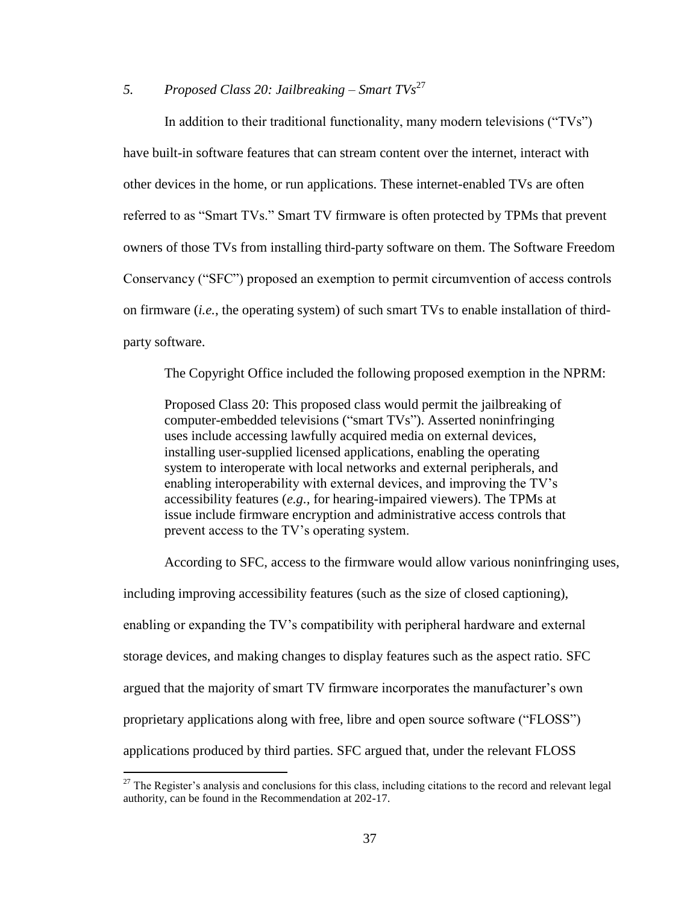## *5. Proposed Class 20: Jailbreaking – Smart TVs*<sup>27</sup>

In addition to their traditional functionality, many modern televisions ("TVs") have built-in software features that can stream content over the internet, interact with other devices in the home, or run applications. These internet-enabled TVs are often referred to as "Smart TVs." Smart TV firmware is often protected by TPMs that prevent owners of those TVs from installing third-party software on them. The Software Freedom Conservancy ("SFC") proposed an exemption to permit circumvention of access controls on firmware (*i.e.*, the operating system) of such smart TVs to enable installation of thirdparty software.

The Copyright Office included the following proposed exemption in the NPRM:

Proposed Class 20: This proposed class would permit the jailbreaking of computer-embedded televisions ("smart TVs"). Asserted noninfringing uses include accessing lawfully acquired media on external devices, installing user-supplied licensed applications, enabling the operating system to interoperate with local networks and external peripherals, and enabling interoperability with external devices, and improving the TV's accessibility features (*e.g.,* for hearing-impaired viewers). The TPMs at issue include firmware encryption and administrative access controls that prevent access to the TV's operating system.

According to SFC, access to the firmware would allow various noninfringing uses, including improving accessibility features (such as the size of closed captioning), enabling or expanding the TV's compatibility with peripheral hardware and external storage devices, and making changes to display features such as the aspect ratio. SFC argued that the majority of smart TV firmware incorporates the manufacturer's own proprietary applications along with free, libre and open source software ("FLOSS") applications produced by third parties. SFC argued that, under the relevant FLOSS

 $27$  The Register's analysis and conclusions for this class, including citations to the record and relevant legal authority, can be found in the Recommendation at 202-17.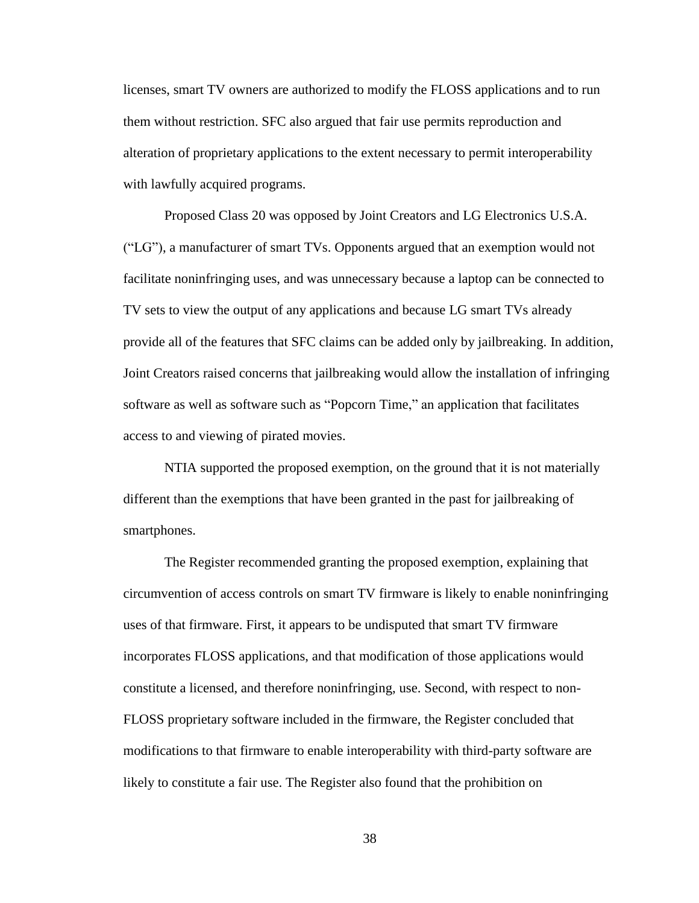licenses, smart TV owners are authorized to modify the FLOSS applications and to run them without restriction. SFC also argued that fair use permits reproduction and alteration of proprietary applications to the extent necessary to permit interoperability with lawfully acquired programs.

Proposed Class 20 was opposed by Joint Creators and LG Electronics U.S.A. ("LG"), a manufacturer of smart TVs. Opponents argued that an exemption would not facilitate noninfringing uses, and was unnecessary because a laptop can be connected to TV sets to view the output of any applications and because LG smart TVs already provide all of the features that SFC claims can be added only by jailbreaking. In addition, Joint Creators raised concerns that jailbreaking would allow the installation of infringing software as well as software such as "Popcorn Time," an application that facilitates access to and viewing of pirated movies.

NTIA supported the proposed exemption, on the ground that it is not materially different than the exemptions that have been granted in the past for jailbreaking of smartphones.

The Register recommended granting the proposed exemption, explaining that circumvention of access controls on smart TV firmware is likely to enable noninfringing uses of that firmware. First, it appears to be undisputed that smart TV firmware incorporates FLOSS applications, and that modification of those applications would constitute a licensed, and therefore noninfringing, use. Second, with respect to non-FLOSS proprietary software included in the firmware, the Register concluded that modifications to that firmware to enable interoperability with third-party software are likely to constitute a fair use. The Register also found that the prohibition on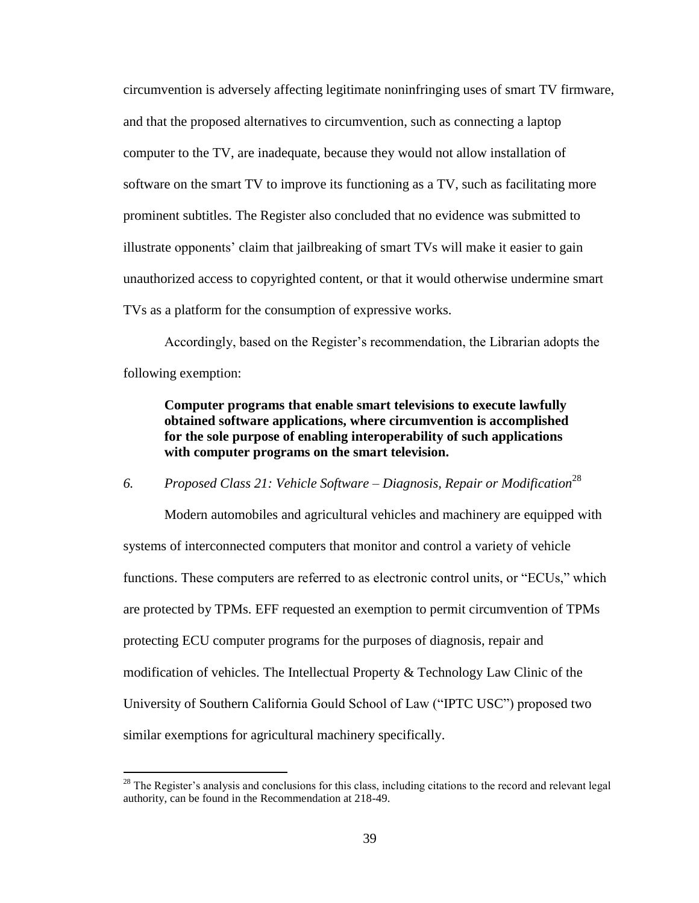circumvention is adversely affecting legitimate noninfringing uses of smart TV firmware, and that the proposed alternatives to circumvention, such as connecting a laptop computer to the TV, are inadequate, because they would not allow installation of software on the smart TV to improve its functioning as a TV, such as facilitating more prominent subtitles. The Register also concluded that no evidence was submitted to illustrate opponents' claim that jailbreaking of smart TVs will make it easier to gain unauthorized access to copyrighted content, or that it would otherwise undermine smart TVs as a platform for the consumption of expressive works.

Accordingly, based on the Register's recommendation, the Librarian adopts the following exemption:

# **Computer programs that enable smart televisions to execute lawfully obtained software applications, where circumvention is accomplished for the sole purpose of enabling interoperability of such applications with computer programs on the smart television.**

## *6. Proposed Class 21: Vehicle Software – Diagnosis, Repair or Modification*<sup>28</sup>

Modern automobiles and agricultural vehicles and machinery are equipped with systems of interconnected computers that monitor and control a variety of vehicle functions. These computers are referred to as electronic control units, or "ECUs," which are protected by TPMs. EFF requested an exemption to permit circumvention of TPMs protecting ECU computer programs for the purposes of diagnosis, repair and modification of vehicles. The Intellectual Property & Technology Law Clinic of the University of Southern California Gould School of Law ("IPTC USC") proposed two similar exemptions for agricultural machinery specifically.

 $28$  The Register's analysis and conclusions for this class, including citations to the record and relevant legal authority, can be found in the Recommendation at 218-49.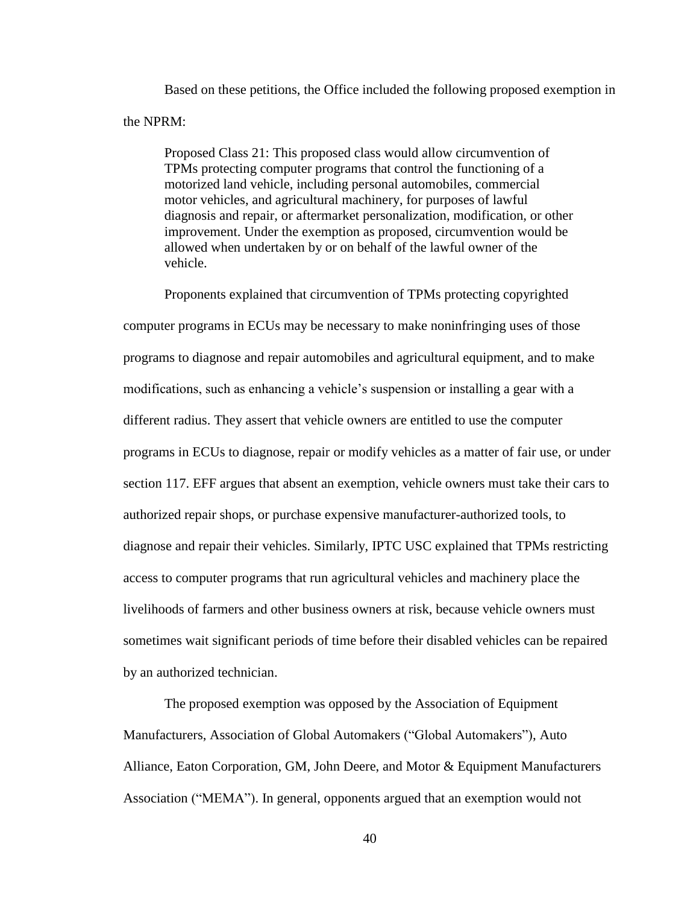Based on these petitions, the Office included the following proposed exemption in the NPRM:

Proposed Class 21: This proposed class would allow circumvention of TPMs protecting computer programs that control the functioning of a motorized land vehicle, including personal automobiles, commercial motor vehicles, and agricultural machinery, for purposes of lawful diagnosis and repair, or aftermarket personalization, modification, or other improvement. Under the exemption as proposed, circumvention would be allowed when undertaken by or on behalf of the lawful owner of the vehicle.

Proponents explained that circumvention of TPMs protecting copyrighted computer programs in ECUs may be necessary to make noninfringing uses of those programs to diagnose and repair automobiles and agricultural equipment, and to make modifications, such as enhancing a vehicle's suspension or installing a gear with a different radius. They assert that vehicle owners are entitled to use the computer programs in ECUs to diagnose, repair or modify vehicles as a matter of fair use, or under section 117. EFF argues that absent an exemption, vehicle owners must take their cars to authorized repair shops, or purchase expensive manufacturer-authorized tools, to diagnose and repair their vehicles. Similarly, IPTC USC explained that TPMs restricting access to computer programs that run agricultural vehicles and machinery place the livelihoods of farmers and other business owners at risk, because vehicle owners must sometimes wait significant periods of time before their disabled vehicles can be repaired by an authorized technician.

The proposed exemption was opposed by the Association of Equipment Manufacturers, Association of Global Automakers ("Global Automakers"), Auto Alliance, Eaton Corporation, GM, John Deere, and Motor & Equipment Manufacturers Association ("MEMA"). In general, opponents argued that an exemption would not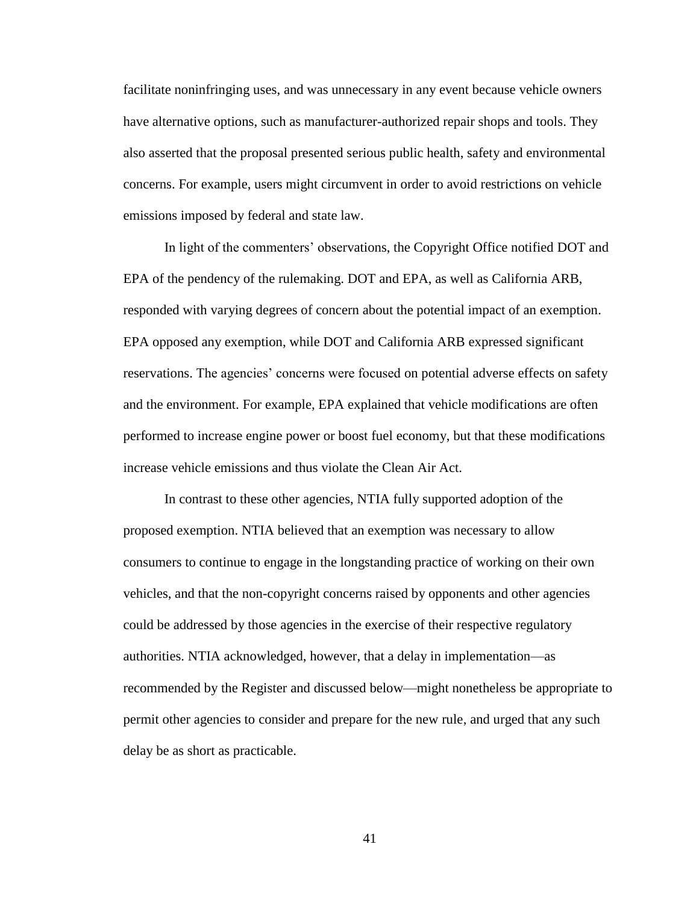facilitate noninfringing uses, and was unnecessary in any event because vehicle owners have alternative options, such as manufacturer-authorized repair shops and tools. They also asserted that the proposal presented serious public health, safety and environmental concerns. For example, users might circumvent in order to avoid restrictions on vehicle emissions imposed by federal and state law.

In light of the commenters' observations, the Copyright Office notified DOT and EPA of the pendency of the rulemaking. DOT and EPA, as well as California ARB, responded with varying degrees of concern about the potential impact of an exemption. EPA opposed any exemption, while DOT and California ARB expressed significant reservations. The agencies' concerns were focused on potential adverse effects on safety and the environment. For example, EPA explained that vehicle modifications are often performed to increase engine power or boost fuel economy, but that these modifications increase vehicle emissions and thus violate the Clean Air Act.

In contrast to these other agencies, NTIA fully supported adoption of the proposed exemption. NTIA believed that an exemption was necessary to allow consumers to continue to engage in the longstanding practice of working on their own vehicles, and that the non-copyright concerns raised by opponents and other agencies could be addressed by those agencies in the exercise of their respective regulatory authorities. NTIA acknowledged, however, that a delay in implementation—as recommended by the Register and discussed below—might nonetheless be appropriate to permit other agencies to consider and prepare for the new rule, and urged that any such delay be as short as practicable.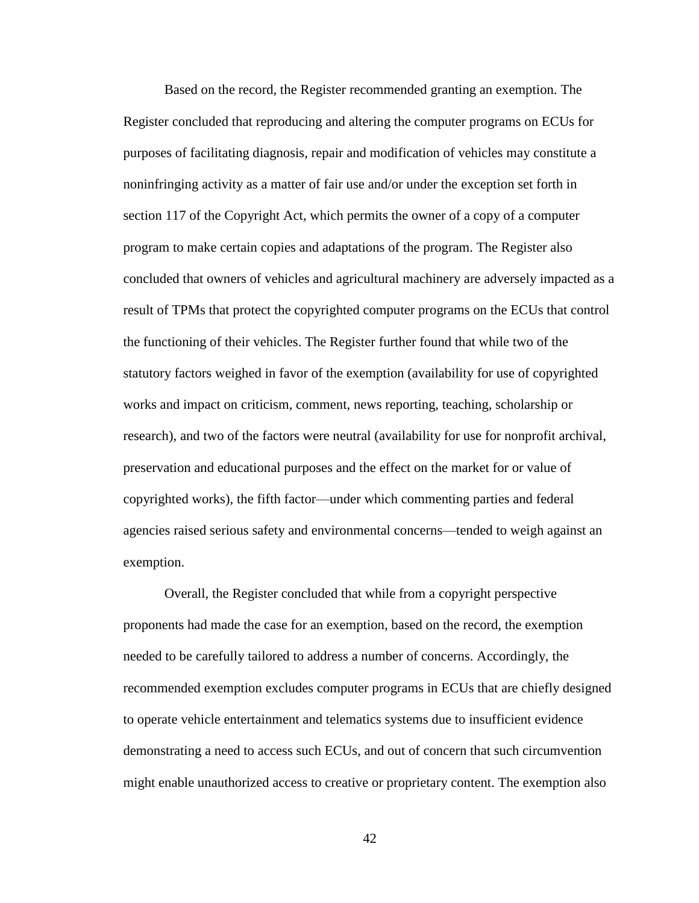Based on the record, the Register recommended granting an exemption. The Register concluded that reproducing and altering the computer programs on ECUs for purposes of facilitating diagnosis, repair and modification of vehicles may constitute a noninfringing activity as a matter of fair use and/or under the exception set forth in section 117 of the Copyright Act, which permits the owner of a copy of a computer program to make certain copies and adaptations of the program. The Register also concluded that owners of vehicles and agricultural machinery are adversely impacted as a result of TPMs that protect the copyrighted computer programs on the ECUs that control the functioning of their vehicles. The Register further found that while two of the statutory factors weighed in favor of the exemption (availability for use of copyrighted works and impact on criticism, comment, news reporting, teaching, scholarship or research), and two of the factors were neutral (availability for use for nonprofit archival, preservation and educational purposes and the effect on the market for or value of copyrighted works), the fifth factor—under which commenting parties and federal agencies raised serious safety and environmental concerns—tended to weigh against an exemption.

Overall, the Register concluded that while from a copyright perspective proponents had made the case for an exemption, based on the record, the exemption needed to be carefully tailored to address a number of concerns. Accordingly, the recommended exemption excludes computer programs in ECUs that are chiefly designed to operate vehicle entertainment and telematics systems due to insufficient evidence demonstrating a need to access such ECUs, and out of concern that such circumvention might enable unauthorized access to creative or proprietary content. The exemption also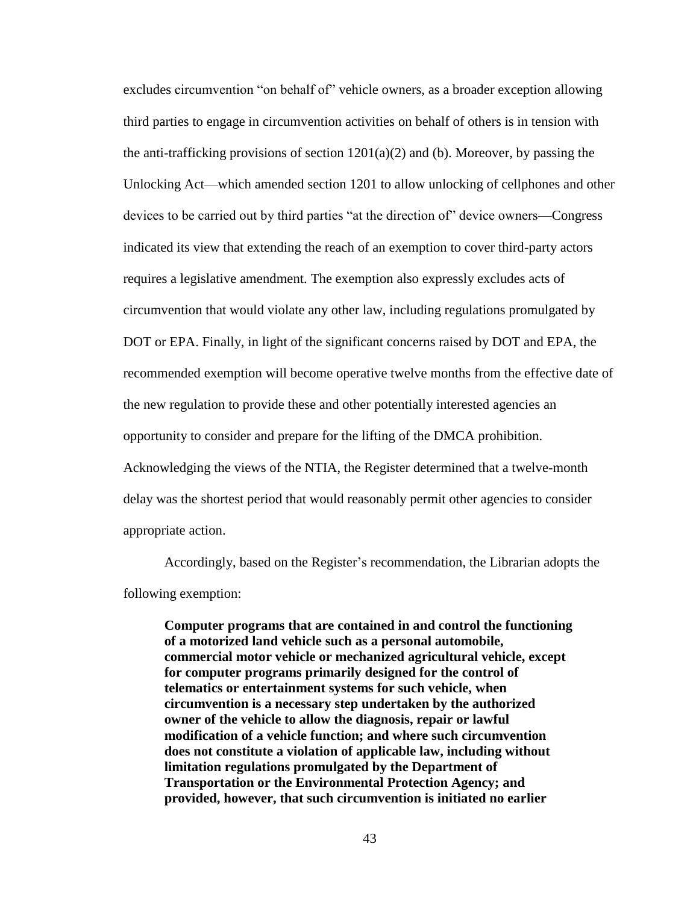excludes circumvention "on behalf of" vehicle owners, as a broader exception allowing third parties to engage in circumvention activities on behalf of others is in tension with the anti-trafficking provisions of section  $1201(a)(2)$  and (b). Moreover, by passing the Unlocking Act—which amended section 1201 to allow unlocking of cellphones and other devices to be carried out by third parties "at the direction of" device owners—Congress indicated its view that extending the reach of an exemption to cover third-party actors requires a legislative amendment. The exemption also expressly excludes acts of circumvention that would violate any other law, including regulations promulgated by DOT or EPA. Finally, in light of the significant concerns raised by DOT and EPA, the recommended exemption will become operative twelve months from the effective date of the new regulation to provide these and other potentially interested agencies an opportunity to consider and prepare for the lifting of the DMCA prohibition. Acknowledging the views of the NTIA, the Register determined that a twelve-month delay was the shortest period that would reasonably permit other agencies to consider appropriate action.

Accordingly, based on the Register's recommendation, the Librarian adopts the following exemption:

**Computer programs that are contained in and control the functioning of a motorized land vehicle such as a personal automobile, commercial motor vehicle or mechanized agricultural vehicle, except for computer programs primarily designed for the control of telematics or entertainment systems for such vehicle, when circumvention is a necessary step undertaken by the authorized owner of the vehicle to allow the diagnosis, repair or lawful modification of a vehicle function; and where such circumvention does not constitute a violation of applicable law, including without limitation regulations promulgated by the Department of Transportation or the Environmental Protection Agency; and provided, however, that such circumvention is initiated no earlier**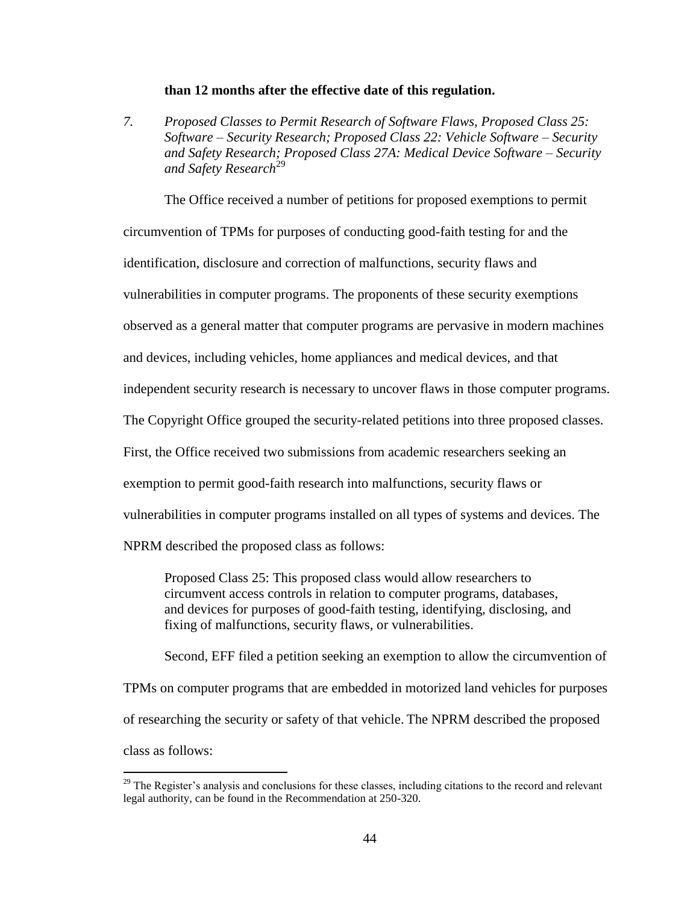#### **than 12 months after the effective date of this regulation.**

*7. Proposed Classes to Permit Research of Software Flaws, Proposed Class 25: Software – Security Research; Proposed Class 22: Vehicle Software – Security and Safety Research; Proposed Class 27A: Medical Device Software – Security*  and Safety Research<sup>29</sup>

The Office received a number of petitions for proposed exemptions to permit circumvention of TPMs for purposes of conducting good-faith testing for and the identification, disclosure and correction of malfunctions, security flaws and vulnerabilities in computer programs. The proponents of these security exemptions observed as a general matter that computer programs are pervasive in modern machines and devices, including vehicles, home appliances and medical devices, and that independent security research is necessary to uncover flaws in those computer programs. The Copyright Office grouped the security-related petitions into three proposed classes. First, the Office received two submissions from academic researchers seeking an exemption to permit good-faith research into malfunctions, security flaws or vulnerabilities in computer programs installed on all types of systems and devices. The NPRM described the proposed class as follows: Proposed Class 25: This proposed class would allow researchers to

circumvent access controls in relation to computer programs, databases, and devices for purposes of good-faith testing, identifying, disclosing, and fixing of malfunctions, security flaws, or vulnerabilities.

Second, EFF filed a petition seeking an exemption to allow the circumvention of TPMs on computer programs that are embedded in motorized land vehicles for purposes of researching the security or safety of that vehicle. The NPRM described the proposed class as follows:

<sup>&</sup>lt;sup>29</sup> The Register's analysis and conclusions for these classes, including citations to the record and relevant legal authority, can be found in the Recommendation at 250-320.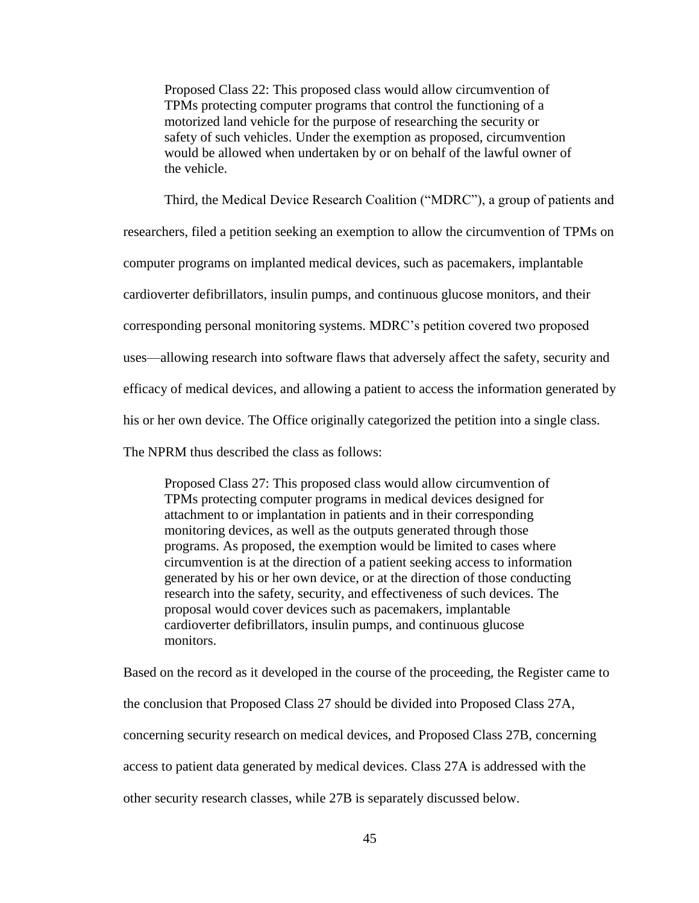Proposed Class 22: This proposed class would allow circumvention of TPMs protecting computer programs that control the functioning of a motorized land vehicle for the purpose of researching the security or safety of such vehicles. Under the exemption as proposed, circumvention would be allowed when undertaken by or on behalf of the lawful owner of the vehicle.

Third, the Medical Device Research Coalition ("MDRC"), a group of patients and

researchers, filed a petition seeking an exemption to allow the circumvention of TPMs on

computer programs on implanted medical devices, such as pacemakers, implantable

cardioverter defibrillators, insulin pumps, and continuous glucose monitors, and their

corresponding personal monitoring systems. MDRC's petition covered two proposed

uses—allowing research into software flaws that adversely affect the safety, security and

efficacy of medical devices, and allowing a patient to access the information generated by

his or her own device. The Office originally categorized the petition into a single class.

The NPRM thus described the class as follows:

Proposed Class 27: This proposed class would allow circumvention of TPMs protecting computer programs in medical devices designed for attachment to or implantation in patients and in their corresponding monitoring devices, as well as the outputs generated through those programs. As proposed, the exemption would be limited to cases where circumvention is at the direction of a patient seeking access to information generated by his or her own device, or at the direction of those conducting research into the safety, security, and effectiveness of such devices. The proposal would cover devices such as pacemakers, implantable cardioverter defibrillators, insulin pumps, and continuous glucose monitors.

Based on the record as it developed in the course of the proceeding, the Register came to the conclusion that Proposed Class 27 should be divided into Proposed Class 27A, concerning security research on medical devices, and Proposed Class 27B, concerning access to patient data generated by medical devices. Class 27A is addressed with the other security research classes, while 27B is separately discussed below.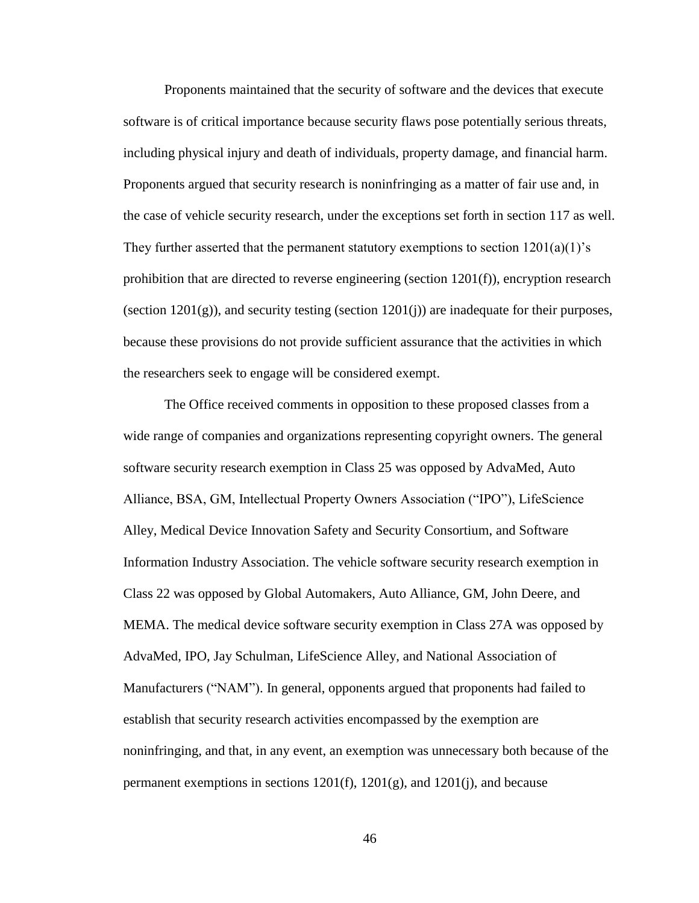Proponents maintained that the security of software and the devices that execute software is of critical importance because security flaws pose potentially serious threats, including physical injury and death of individuals, property damage, and financial harm. Proponents argued that security research is noninfringing as a matter of fair use and, in the case of vehicle security research, under the exceptions set forth in section 117 as well. They further asserted that the permanent statutory exemptions to section  $1201(a)(1)$ 's prohibition that are directed to reverse engineering (section 1201(f)), encryption research (section  $1201(g)$ ), and security testing (section  $1201(i)$ ) are inadequate for their purposes, because these provisions do not provide sufficient assurance that the activities in which the researchers seek to engage will be considered exempt.

The Office received comments in opposition to these proposed classes from a wide range of companies and organizations representing copyright owners. The general software security research exemption in Class 25 was opposed by AdvaMed, Auto Alliance, BSA, GM, Intellectual Property Owners Association ("IPO"), LifeScience Alley, Medical Device Innovation Safety and Security Consortium, and Software Information Industry Association. The vehicle software security research exemption in Class 22 was opposed by Global Automakers, Auto Alliance, GM, John Deere, and MEMA. The medical device software security exemption in Class 27A was opposed by AdvaMed, IPO, Jay Schulman, LifeScience Alley, and National Association of Manufacturers ("NAM"). In general, opponents argued that proponents had failed to establish that security research activities encompassed by the exemption are noninfringing, and that, in any event, an exemption was unnecessary both because of the permanent exemptions in sections  $1201(f)$ ,  $1201(g)$ , and  $1201(i)$ , and because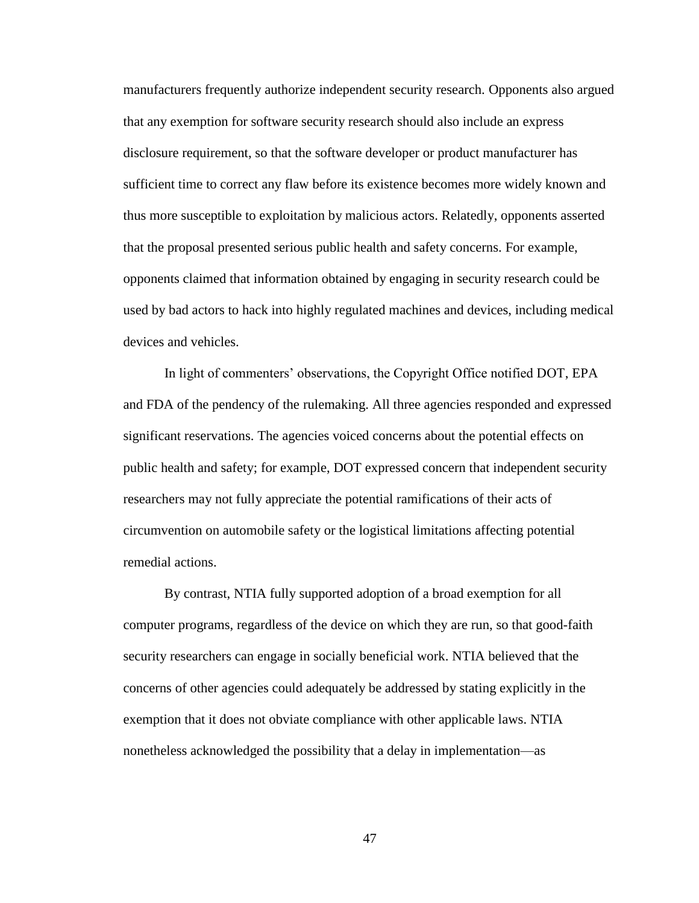manufacturers frequently authorize independent security research. Opponents also argued that any exemption for software security research should also include an express disclosure requirement, so that the software developer or product manufacturer has sufficient time to correct any flaw before its existence becomes more widely known and thus more susceptible to exploitation by malicious actors. Relatedly, opponents asserted that the proposal presented serious public health and safety concerns. For example, opponents claimed that information obtained by engaging in security research could be used by bad actors to hack into highly regulated machines and devices, including medical devices and vehicles.

In light of commenters' observations, the Copyright Office notified DOT, EPA and FDA of the pendency of the rulemaking. All three agencies responded and expressed significant reservations. The agencies voiced concerns about the potential effects on public health and safety; for example, DOT expressed concern that independent security researchers may not fully appreciate the potential ramifications of their acts of circumvention on automobile safety or the logistical limitations affecting potential remedial actions.

By contrast, NTIA fully supported adoption of a broad exemption for all computer programs, regardless of the device on which they are run, so that good-faith security researchers can engage in socially beneficial work. NTIA believed that the concerns of other agencies could adequately be addressed by stating explicitly in the exemption that it does not obviate compliance with other applicable laws. NTIA nonetheless acknowledged the possibility that a delay in implementation—as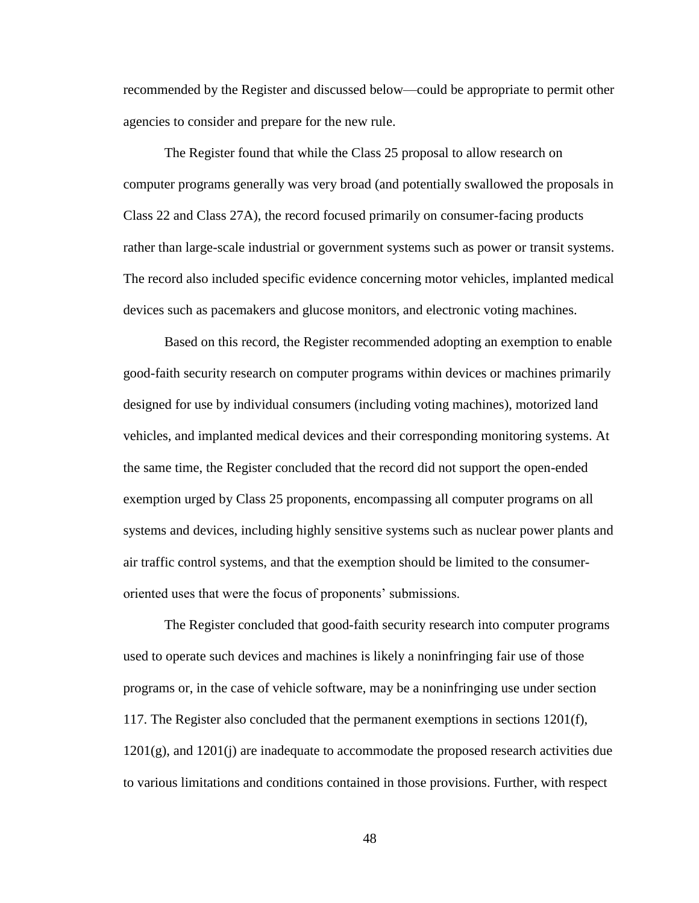recommended by the Register and discussed below—could be appropriate to permit other agencies to consider and prepare for the new rule.

The Register found that while the Class 25 proposal to allow research on computer programs generally was very broad (and potentially swallowed the proposals in Class 22 and Class 27A), the record focused primarily on consumer-facing products rather than large-scale industrial or government systems such as power or transit systems. The record also included specific evidence concerning motor vehicles, implanted medical devices such as pacemakers and glucose monitors, and electronic voting machines.

Based on this record, the Register recommended adopting an exemption to enable good-faith security research on computer programs within devices or machines primarily designed for use by individual consumers (including voting machines), motorized land vehicles, and implanted medical devices and their corresponding monitoring systems. At the same time, the Register concluded that the record did not support the open-ended exemption urged by Class 25 proponents, encompassing all computer programs on all systems and devices, including highly sensitive systems such as nuclear power plants and air traffic control systems, and that the exemption should be limited to the consumeroriented uses that were the focus of proponents' submissions.

The Register concluded that good-faith security research into computer programs used to operate such devices and machines is likely a noninfringing fair use of those programs or, in the case of vehicle software, may be a noninfringing use under section 117. The Register also concluded that the permanent exemptions in sections 1201(f), 1201(g), and 1201(j) are inadequate to accommodate the proposed research activities due to various limitations and conditions contained in those provisions. Further, with respect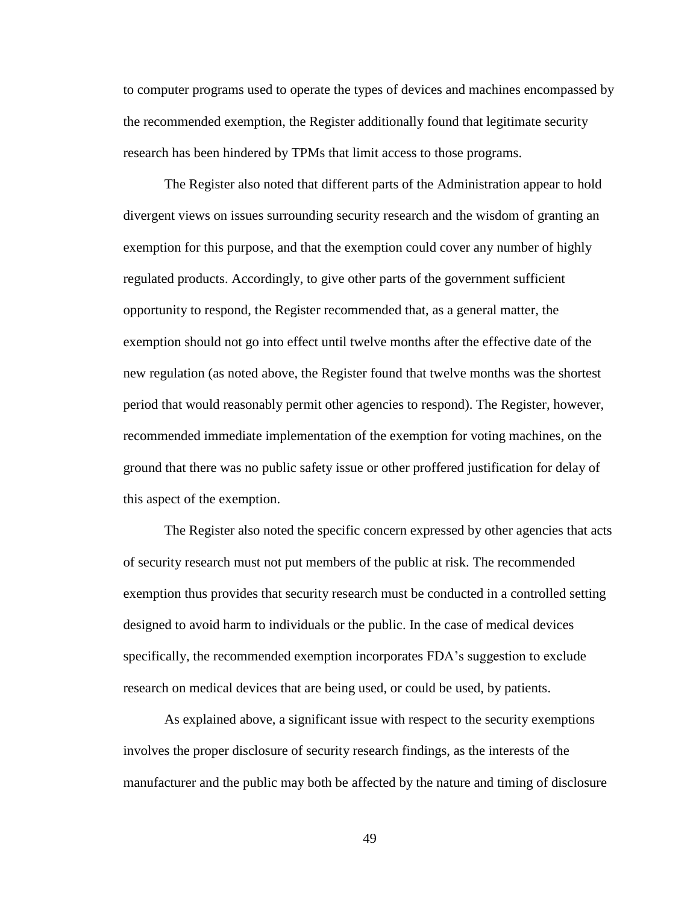to computer programs used to operate the types of devices and machines encompassed by the recommended exemption, the Register additionally found that legitimate security research has been hindered by TPMs that limit access to those programs.

The Register also noted that different parts of the Administration appear to hold divergent views on issues surrounding security research and the wisdom of granting an exemption for this purpose, and that the exemption could cover any number of highly regulated products. Accordingly, to give other parts of the government sufficient opportunity to respond, the Register recommended that, as a general matter, the exemption should not go into effect until twelve months after the effective date of the new regulation (as noted above, the Register found that twelve months was the shortest period that would reasonably permit other agencies to respond). The Register, however, recommended immediate implementation of the exemption for voting machines, on the ground that there was no public safety issue or other proffered justification for delay of this aspect of the exemption.

The Register also noted the specific concern expressed by other agencies that acts of security research must not put members of the public at risk. The recommended exemption thus provides that security research must be conducted in a controlled setting designed to avoid harm to individuals or the public. In the case of medical devices specifically, the recommended exemption incorporates FDA's suggestion to exclude research on medical devices that are being used, or could be used, by patients.

As explained above, a significant issue with respect to the security exemptions involves the proper disclosure of security research findings, as the interests of the manufacturer and the public may both be affected by the nature and timing of disclosure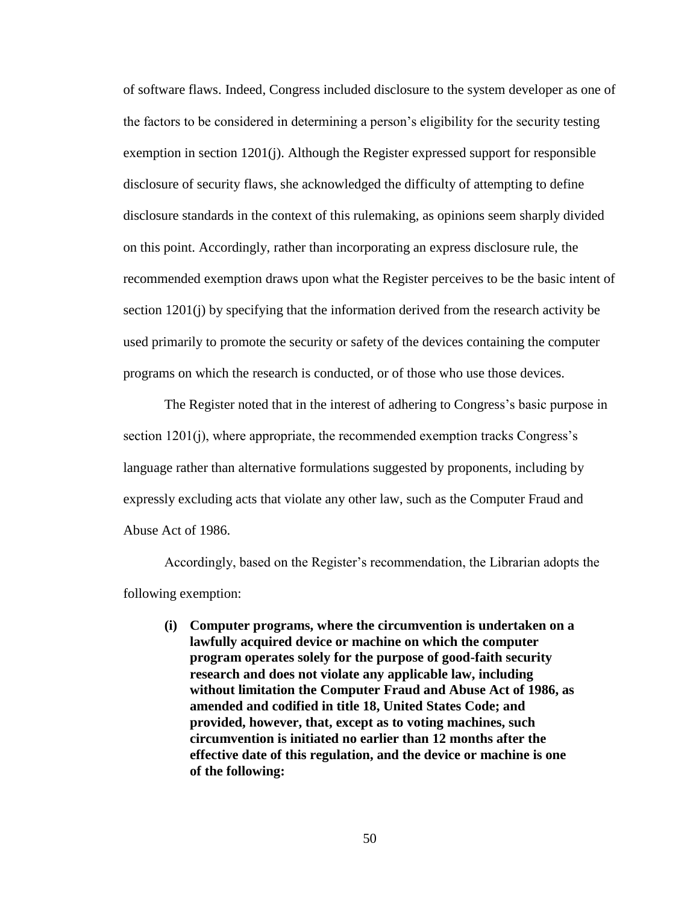of software flaws. Indeed, Congress included disclosure to the system developer as one of the factors to be considered in determining a person's eligibility for the security testing exemption in section  $1201(i)$ . Although the Register expressed support for responsible disclosure of security flaws, she acknowledged the difficulty of attempting to define disclosure standards in the context of this rulemaking, as opinions seem sharply divided on this point. Accordingly, rather than incorporating an express disclosure rule, the recommended exemption draws upon what the Register perceives to be the basic intent of section 1201(j) by specifying that the information derived from the research activity be used primarily to promote the security or safety of the devices containing the computer programs on which the research is conducted, or of those who use those devices.

The Register noted that in the interest of adhering to Congress's basic purpose in section 1201(j), where appropriate, the recommended exemption tracks Congress's language rather than alternative formulations suggested by proponents, including by expressly excluding acts that violate any other law, such as the Computer Fraud and Abuse Act of 1986.

Accordingly, based on the Register's recommendation, the Librarian adopts the following exemption:

**(i) Computer programs, where the circumvention is undertaken on a lawfully acquired device or machine on which the computer program operates solely for the purpose of good-faith security research and does not violate any applicable law, including without limitation the Computer Fraud and Abuse Act of 1986, as amended and codified in title 18, United States Code; and provided, however, that, except as to voting machines, such circumvention is initiated no earlier than 12 months after the effective date of this regulation, and the device or machine is one of the following:**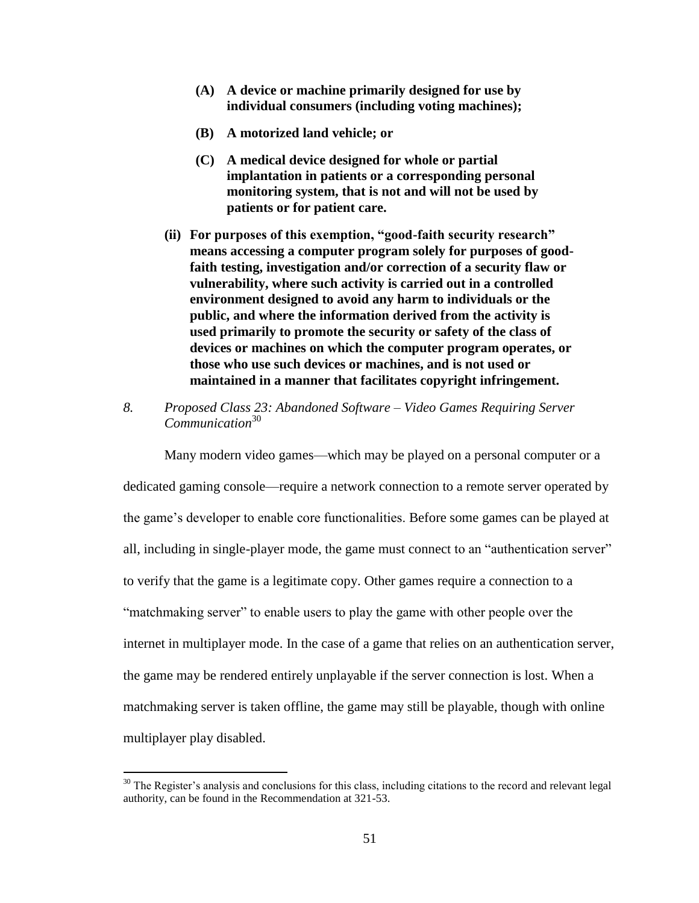- **(A) A device or machine primarily designed for use by individual consumers (including voting machines);**
- **(B) A motorized land vehicle; or**
- **(C) A medical device designed for whole or partial implantation in patients or a corresponding personal monitoring system, that is not and will not be used by patients or for patient care.**
- **(ii) For purposes of this exemption, "good-faith security research" means accessing a computer program solely for purposes of goodfaith testing, investigation and/or correction of a security flaw or vulnerability, where such activity is carried out in a controlled environment designed to avoid any harm to individuals or the public, and where the information derived from the activity is used primarily to promote the security or safety of the class of devices or machines on which the computer program operates, or those who use such devices or machines, and is not used or maintained in a manner that facilitates copyright infringement.**
- *8. Proposed Class 23: Abandoned Software – Video Games Requiring Server Communication*<sup>30</sup>

Many modern video games—which may be played on a personal computer or a dedicated gaming console—require a network connection to a remote server operated by the game's developer to enable core functionalities. Before some games can be played at all, including in single-player mode, the game must connect to an "authentication server" to verify that the game is a legitimate copy. Other games require a connection to a "matchmaking server" to enable users to play the game with other people over the internet in multiplayer mode. In the case of a game that relies on an authentication server, the game may be rendered entirely unplayable if the server connection is lost. When a matchmaking server is taken offline, the game may still be playable, though with online multiplayer play disabled.

 $30$  The Register's analysis and conclusions for this class, including citations to the record and relevant legal authority, can be found in the Recommendation at 321-53.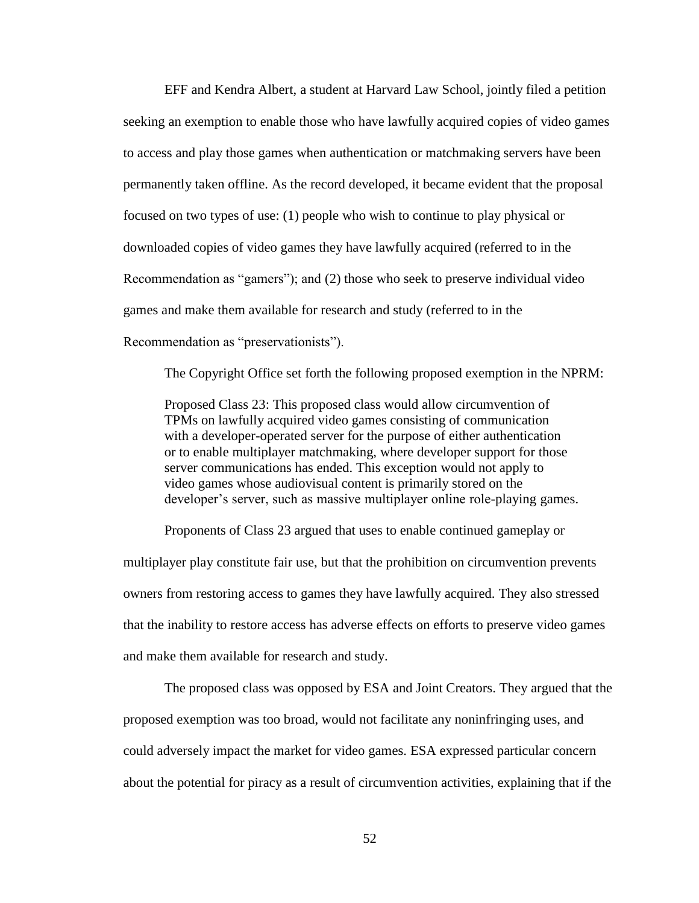EFF and Kendra Albert, a student at Harvard Law School, jointly filed a petition seeking an exemption to enable those who have lawfully acquired copies of video games to access and play those games when authentication or matchmaking servers have been permanently taken offline. As the record developed, it became evident that the proposal focused on two types of use: (1) people who wish to continue to play physical or downloaded copies of video games they have lawfully acquired (referred to in the Recommendation as "gamers"); and (2) those who seek to preserve individual video games and make them available for research and study (referred to in the Recommendation as "preservationists").

The Copyright Office set forth the following proposed exemption in the NPRM:

Proposed Class 23: This proposed class would allow circumvention of TPMs on lawfully acquired video games consisting of communication with a developer-operated server for the purpose of either authentication or to enable multiplayer matchmaking, where developer support for those server communications has ended. This exception would not apply to video games whose audiovisual content is primarily stored on the developer's server, such as massive multiplayer online role-playing games.

Proponents of Class 23 argued that uses to enable continued gameplay or multiplayer play constitute fair use, but that the prohibition on circumvention prevents owners from restoring access to games they have lawfully acquired. They also stressed that the inability to restore access has adverse effects on efforts to preserve video games and make them available for research and study.

The proposed class was opposed by ESA and Joint Creators. They argued that the proposed exemption was too broad, would not facilitate any noninfringing uses, and could adversely impact the market for video games. ESA expressed particular concern about the potential for piracy as a result of circumvention activities, explaining that if the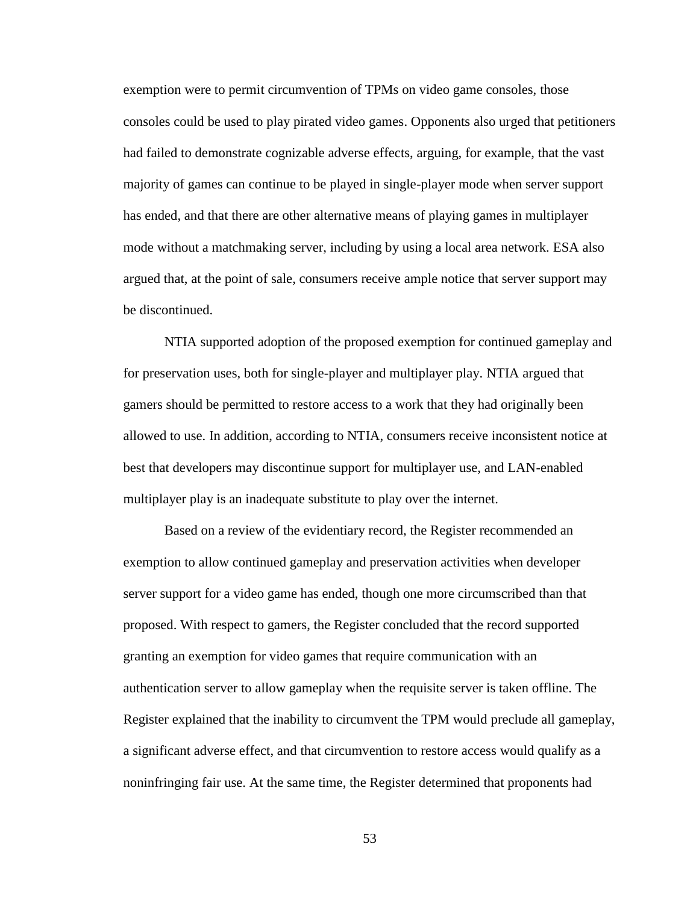exemption were to permit circumvention of TPMs on video game consoles, those consoles could be used to play pirated video games. Opponents also urged that petitioners had failed to demonstrate cognizable adverse effects, arguing, for example, that the vast majority of games can continue to be played in single-player mode when server support has ended, and that there are other alternative means of playing games in multiplayer mode without a matchmaking server, including by using a local area network. ESA also argued that, at the point of sale, consumers receive ample notice that server support may be discontinued.

NTIA supported adoption of the proposed exemption for continued gameplay and for preservation uses, both for single-player and multiplayer play. NTIA argued that gamers should be permitted to restore access to a work that they had originally been allowed to use. In addition, according to NTIA, consumers receive inconsistent notice at best that developers may discontinue support for multiplayer use, and LAN-enabled multiplayer play is an inadequate substitute to play over the internet.

Based on a review of the evidentiary record, the Register recommended an exemption to allow continued gameplay and preservation activities when developer server support for a video game has ended, though one more circumscribed than that proposed. With respect to gamers, the Register concluded that the record supported granting an exemption for video games that require communication with an authentication server to allow gameplay when the requisite server is taken offline. The Register explained that the inability to circumvent the TPM would preclude all gameplay, a significant adverse effect, and that circumvention to restore access would qualify as a noninfringing fair use. At the same time, the Register determined that proponents had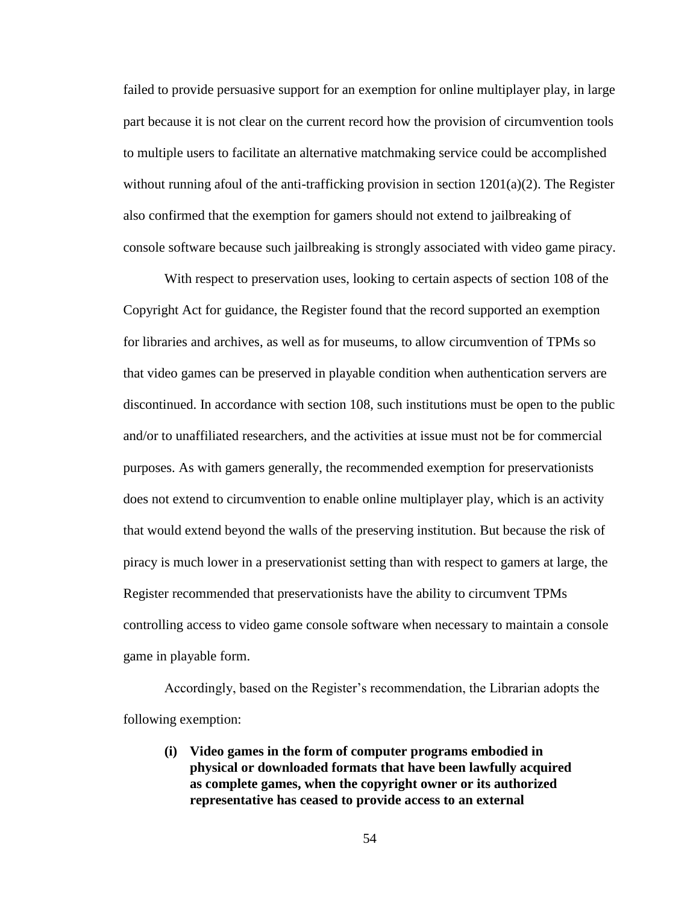failed to provide persuasive support for an exemption for online multiplayer play, in large part because it is not clear on the current record how the provision of circumvention tools to multiple users to facilitate an alternative matchmaking service could be accomplished without running afoul of the anti-trafficking provision in section  $1201(a)(2)$ . The Register also confirmed that the exemption for gamers should not extend to jailbreaking of console software because such jailbreaking is strongly associated with video game piracy.

With respect to preservation uses, looking to certain aspects of section 108 of the Copyright Act for guidance, the Register found that the record supported an exemption for libraries and archives, as well as for museums, to allow circumvention of TPMs so that video games can be preserved in playable condition when authentication servers are discontinued. In accordance with section 108, such institutions must be open to the public and/or to unaffiliated researchers, and the activities at issue must not be for commercial purposes. As with gamers generally, the recommended exemption for preservationists does not extend to circumvention to enable online multiplayer play, which is an activity that would extend beyond the walls of the preserving institution. But because the risk of piracy is much lower in a preservationist setting than with respect to gamers at large, the Register recommended that preservationists have the ability to circumvent TPMs controlling access to video game console software when necessary to maintain a console game in playable form.

Accordingly, based on the Register's recommendation, the Librarian adopts the following exemption:

**(i) Video games in the form of computer programs embodied in physical or downloaded formats that have been lawfully acquired as complete games, when the copyright owner or its authorized representative has ceased to provide access to an external**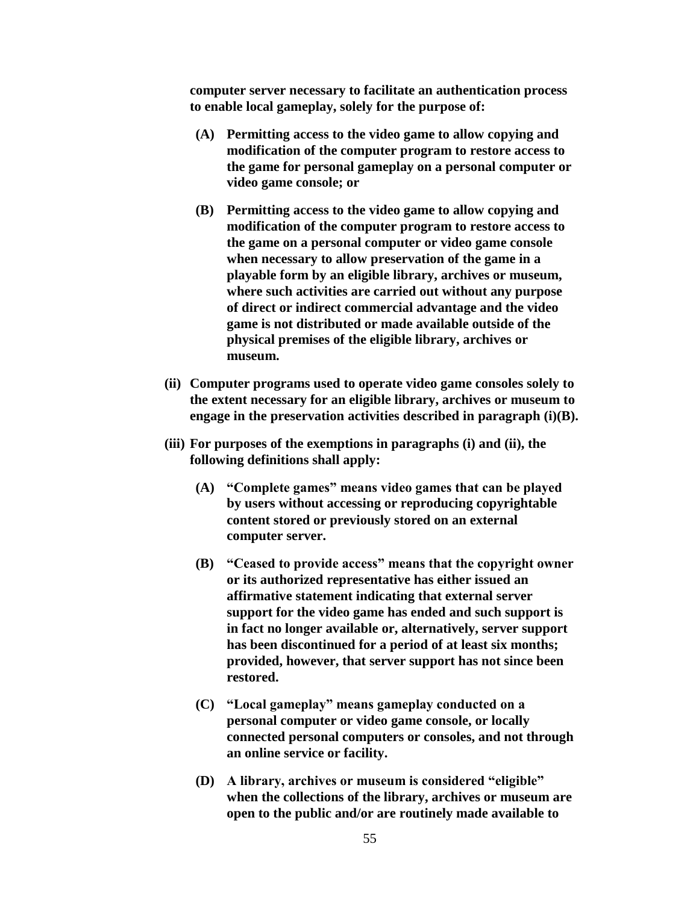**computer server necessary to facilitate an authentication process to enable local gameplay, solely for the purpose of:** 

- **(A) Permitting access to the video game to allow copying and modification of the computer program to restore access to the game for personal gameplay on a personal computer or video game console; or**
- **(B) Permitting access to the video game to allow copying and modification of the computer program to restore access to the game on a personal computer or video game console when necessary to allow preservation of the game in a playable form by an eligible library, archives or museum, where such activities are carried out without any purpose of direct or indirect commercial advantage and the video game is not distributed or made available outside of the physical premises of the eligible library, archives or museum.**
- **(ii) Computer programs used to operate video game consoles solely to the extent necessary for an eligible library, archives or museum to engage in the preservation activities described in paragraph (i)(B).**
- **(iii) For purposes of the exemptions in paragraphs (i) and (ii), the following definitions shall apply:**
	- **(A) "Complete games" means video games that can be played by users without accessing or reproducing copyrightable content stored or previously stored on an external computer server.**
	- **(B) "Ceased to provide access" means that the copyright owner or its authorized representative has either issued an affirmative statement indicating that external server support for the video game has ended and such support is in fact no longer available or, alternatively, server support has been discontinued for a period of at least six months; provided, however, that server support has not since been restored.**
	- **(C) "Local gameplay" means gameplay conducted on a personal computer or video game console, or locally connected personal computers or consoles, and not through an online service or facility.**
	- **(D) A library, archives or museum is considered "eligible" when the collections of the library, archives or museum are open to the public and/or are routinely made available to**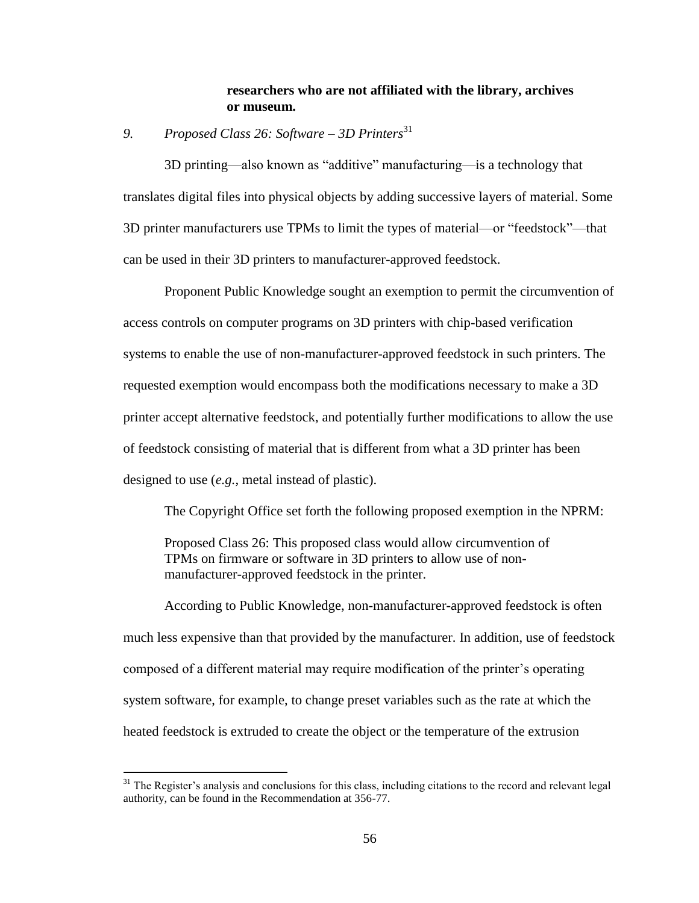## **researchers who are not affiliated with the library, archives or museum.**

# *9. Proposed Class 26: Software – 3D Printers*<sup>31</sup>

3D printing—also known as "additive" manufacturing—is a technology that translates digital files into physical objects by adding successive layers of material. Some 3D printer manufacturers use TPMs to limit the types of material—or "feedstock"—that can be used in their 3D printers to manufacturer-approved feedstock.

Proponent Public Knowledge sought an exemption to permit the circumvention of access controls on computer programs on 3D printers with chip-based verification systems to enable the use of non-manufacturer-approved feedstock in such printers. The requested exemption would encompass both the modifications necessary to make a 3D printer accept alternative feedstock, and potentially further modifications to allow the use of feedstock consisting of material that is different from what a 3D printer has been designed to use (*e.g.*, metal instead of plastic).

The Copyright Office set forth the following proposed exemption in the NPRM:

Proposed Class 26: This proposed class would allow circumvention of TPMs on firmware or software in 3D printers to allow use of nonmanufacturer-approved feedstock in the printer.

According to Public Knowledge, non-manufacturer-approved feedstock is often much less expensive than that provided by the manufacturer. In addition, use of feedstock composed of a different material may require modification of the printer's operating system software, for example, to change preset variables such as the rate at which the heated feedstock is extruded to create the object or the temperature of the extrusion

 $31$  The Register's analysis and conclusions for this class, including citations to the record and relevant legal authority, can be found in the Recommendation at 356-77.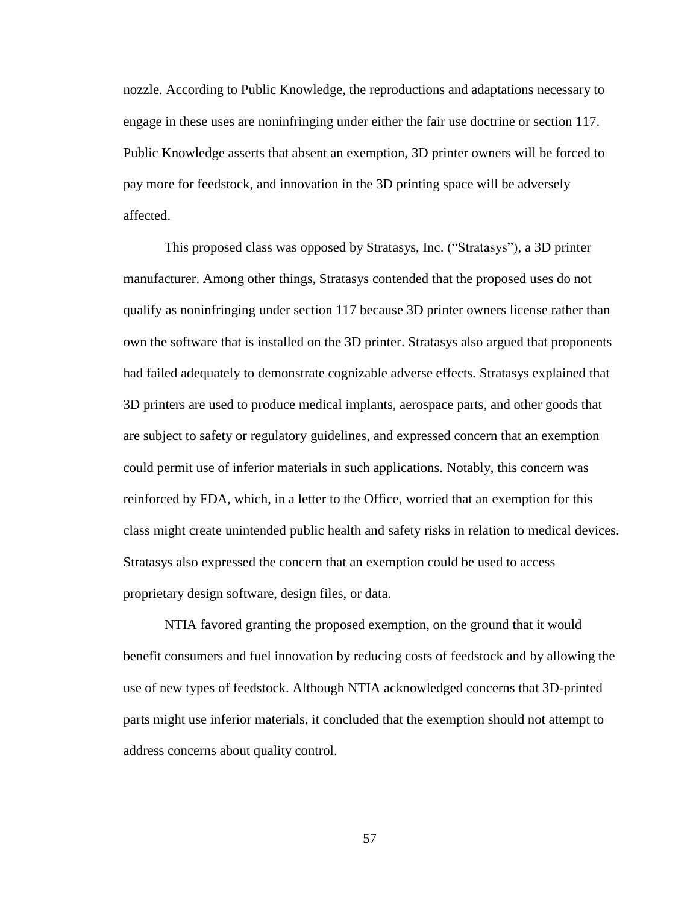nozzle. According to Public Knowledge, the reproductions and adaptations necessary to engage in these uses are noninfringing under either the fair use doctrine or section 117. Public Knowledge asserts that absent an exemption, 3D printer owners will be forced to pay more for feedstock, and innovation in the 3D printing space will be adversely affected.

This proposed class was opposed by Stratasys, Inc. ("Stratasys"), a 3D printer manufacturer. Among other things, Stratasys contended that the proposed uses do not qualify as noninfringing under section 117 because 3D printer owners license rather than own the software that is installed on the 3D printer. Stratasys also argued that proponents had failed adequately to demonstrate cognizable adverse effects. Stratasys explained that 3D printers are used to produce medical implants, aerospace parts, and other goods that are subject to safety or regulatory guidelines, and expressed concern that an exemption could permit use of inferior materials in such applications. Notably, this concern was reinforced by FDA, which, in a letter to the Office, worried that an exemption for this class might create unintended public health and safety risks in relation to medical devices. Stratasys also expressed the concern that an exemption could be used to access proprietary design software, design files, or data.

NTIA favored granting the proposed exemption, on the ground that it would benefit consumers and fuel innovation by reducing costs of feedstock and by allowing the use of new types of feedstock. Although NTIA acknowledged concerns that 3D-printed parts might use inferior materials, it concluded that the exemption should not attempt to address concerns about quality control.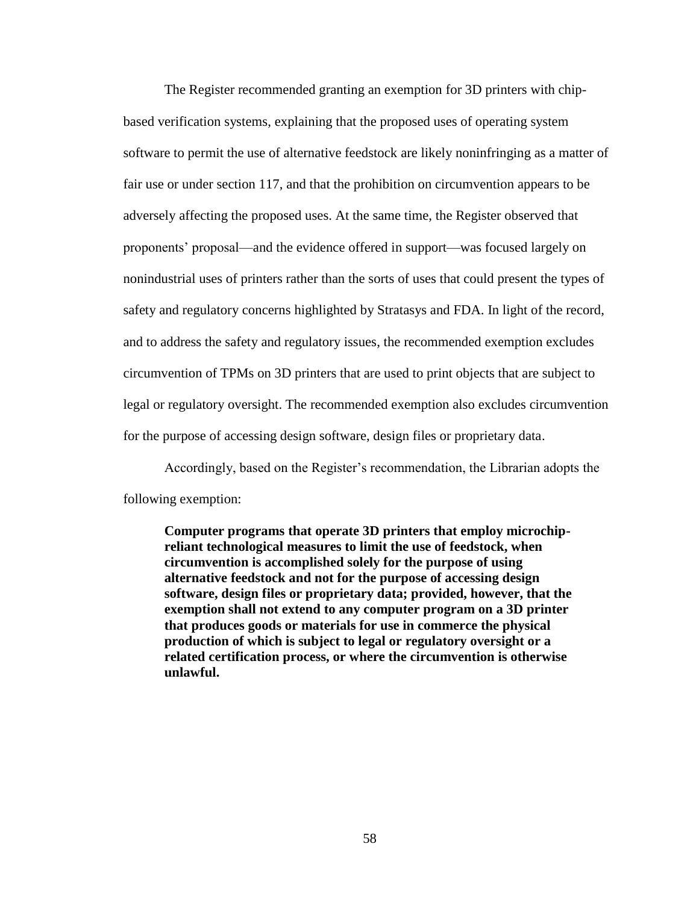The Register recommended granting an exemption for 3D printers with chipbased verification systems, explaining that the proposed uses of operating system software to permit the use of alternative feedstock are likely noninfringing as a matter of fair use or under section 117, and that the prohibition on circumvention appears to be adversely affecting the proposed uses. At the same time, the Register observed that proponents' proposal—and the evidence offered in support—was focused largely on nonindustrial uses of printers rather than the sorts of uses that could present the types of safety and regulatory concerns highlighted by Stratasys and FDA. In light of the record, and to address the safety and regulatory issues, the recommended exemption excludes circumvention of TPMs on 3D printers that are used to print objects that are subject to legal or regulatory oversight. The recommended exemption also excludes circumvention for the purpose of accessing design software, design files or proprietary data.

Accordingly, based on the Register's recommendation, the Librarian adopts the following exemption:

**Computer programs that operate 3D printers that employ microchipreliant technological measures to limit the use of feedstock, when circumvention is accomplished solely for the purpose of using alternative feedstock and not for the purpose of accessing design software, design files or proprietary data; provided, however, that the exemption shall not extend to any computer program on a 3D printer that produces goods or materials for use in commerce the physical production of which is subject to legal or regulatory oversight or a related certification process, or where the circumvention is otherwise unlawful.**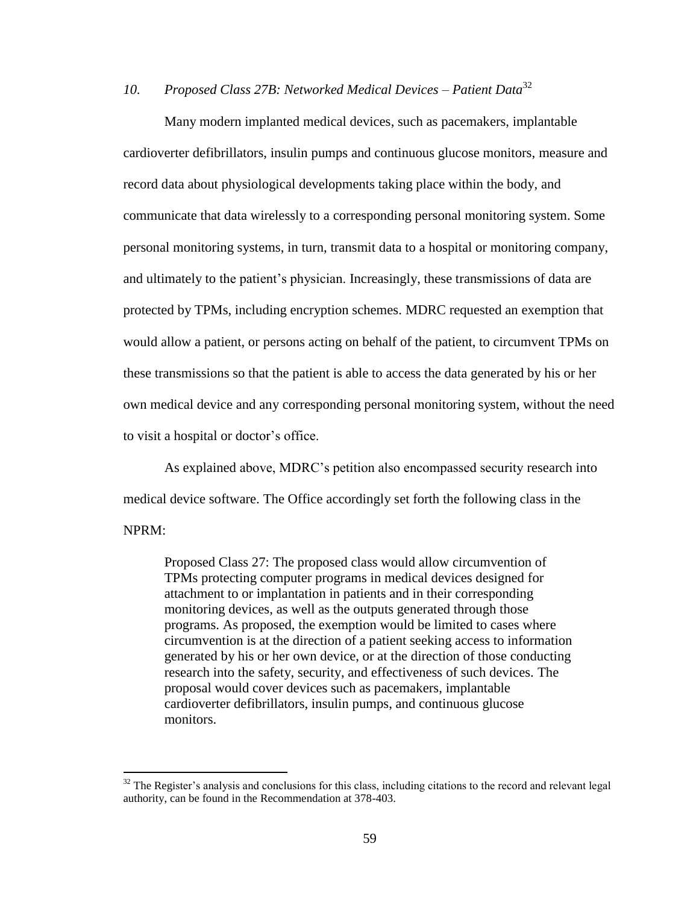## *10. Proposed Class 27B: Networked Medical Devices – Patient Data*<sup>32</sup>

Many modern implanted medical devices, such as pacemakers, implantable cardioverter defibrillators, insulin pumps and continuous glucose monitors, measure and record data about physiological developments taking place within the body, and communicate that data wirelessly to a corresponding personal monitoring system. Some personal monitoring systems, in turn, transmit data to a hospital or monitoring company, and ultimately to the patient's physician. Increasingly, these transmissions of data are protected by TPMs, including encryption schemes. MDRC requested an exemption that would allow a patient, or persons acting on behalf of the patient, to circumvent TPMs on these transmissions so that the patient is able to access the data generated by his or her own medical device and any corresponding personal monitoring system, without the need to visit a hospital or doctor's office.

As explained above, MDRC's petition also encompassed security research into medical device software. The Office accordingly set forth the following class in the NPRM:

Proposed Class 27: The proposed class would allow circumvention of TPMs protecting computer programs in medical devices designed for attachment to or implantation in patients and in their corresponding monitoring devices, as well as the outputs generated through those programs. As proposed, the exemption would be limited to cases where circumvention is at the direction of a patient seeking access to information generated by his or her own device, or at the direction of those conducting research into the safety, security, and effectiveness of such devices. The proposal would cover devices such as pacemakers, implantable cardioverter defibrillators, insulin pumps, and continuous glucose monitors.

 $32$  The Register's analysis and conclusions for this class, including citations to the record and relevant legal authority, can be found in the Recommendation at 378-403.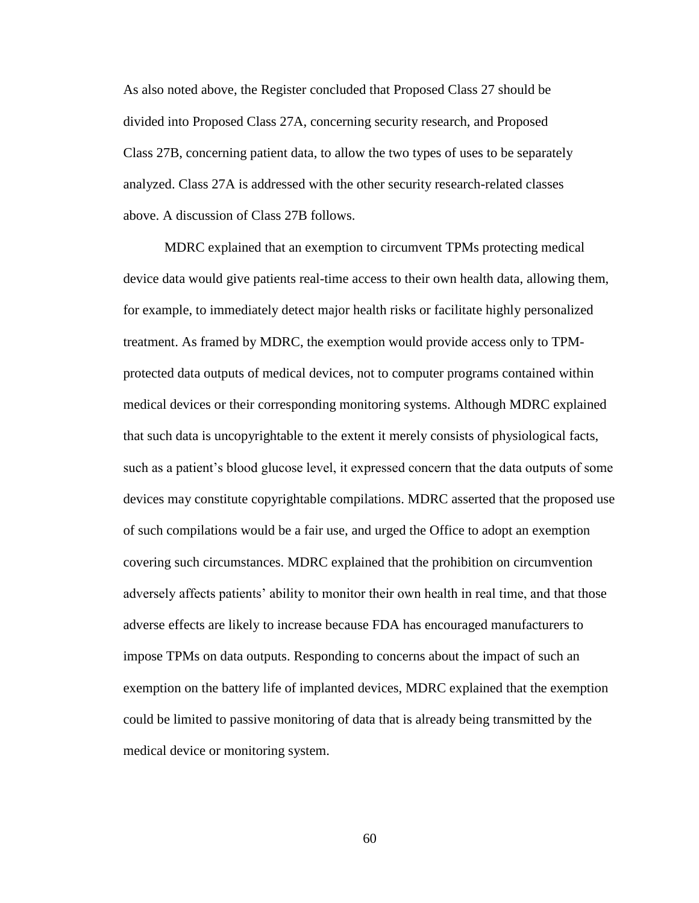As also noted above, the Register concluded that Proposed Class 27 should be divided into Proposed Class 27A, concerning security research, and Proposed Class 27B, concerning patient data, to allow the two types of uses to be separately analyzed. Class 27A is addressed with the other security research-related classes above. A discussion of Class 27B follows.

MDRC explained that an exemption to circumvent TPMs protecting medical device data would give patients real-time access to their own health data, allowing them, for example, to immediately detect major health risks or facilitate highly personalized treatment. As framed by MDRC, the exemption would provide access only to TPMprotected data outputs of medical devices, not to computer programs contained within medical devices or their corresponding monitoring systems. Although MDRC explained that such data is uncopyrightable to the extent it merely consists of physiological facts, such as a patient's blood glucose level, it expressed concern that the data outputs of some devices may constitute copyrightable compilations. MDRC asserted that the proposed use of such compilations would be a fair use, and urged the Office to adopt an exemption covering such circumstances. MDRC explained that the prohibition on circumvention adversely affects patients' ability to monitor their own health in real time, and that those adverse effects are likely to increase because FDA has encouraged manufacturers to impose TPMs on data outputs. Responding to concerns about the impact of such an exemption on the battery life of implanted devices, MDRC explained that the exemption could be limited to passive monitoring of data that is already being transmitted by the medical device or monitoring system.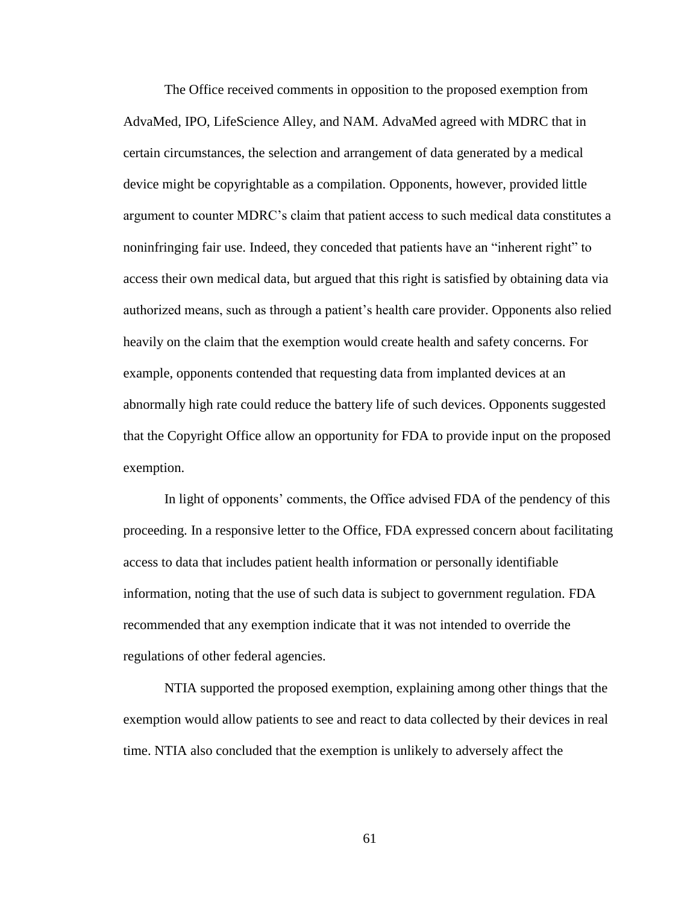The Office received comments in opposition to the proposed exemption from AdvaMed, IPO, LifeScience Alley, and NAM. AdvaMed agreed with MDRC that in certain circumstances, the selection and arrangement of data generated by a medical device might be copyrightable as a compilation. Opponents, however, provided little argument to counter MDRC's claim that patient access to such medical data constitutes a noninfringing fair use. Indeed, they conceded that patients have an "inherent right" to access their own medical data, but argued that this right is satisfied by obtaining data via authorized means, such as through a patient's health care provider. Opponents also relied heavily on the claim that the exemption would create health and safety concerns. For example, opponents contended that requesting data from implanted devices at an abnormally high rate could reduce the battery life of such devices. Opponents suggested that the Copyright Office allow an opportunity for FDA to provide input on the proposed exemption.

In light of opponents' comments, the Office advised FDA of the pendency of this proceeding. In a responsive letter to the Office, FDA expressed concern about facilitating access to data that includes patient health information or personally identifiable information, noting that the use of such data is subject to government regulation. FDA recommended that any exemption indicate that it was not intended to override the regulations of other federal agencies.

NTIA supported the proposed exemption, explaining among other things that the exemption would allow patients to see and react to data collected by their devices in real time. NTIA also concluded that the exemption is unlikely to adversely affect the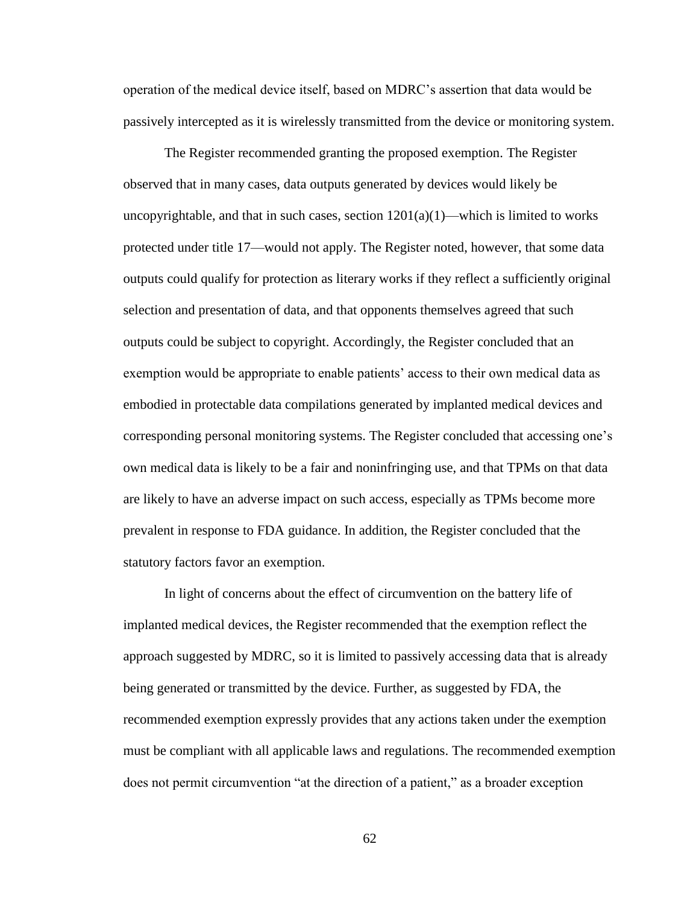operation of the medical device itself, based on MDRC's assertion that data would be passively intercepted as it is wirelessly transmitted from the device or monitoring system.

The Register recommended granting the proposed exemption. The Register observed that in many cases, data outputs generated by devices would likely be uncopyrightable, and that in such cases, section  $1201(a)(1)$ —which is limited to works protected under title 17—would not apply. The Register noted, however, that some data outputs could qualify for protection as literary works if they reflect a sufficiently original selection and presentation of data, and that opponents themselves agreed that such outputs could be subject to copyright. Accordingly, the Register concluded that an exemption would be appropriate to enable patients' access to their own medical data as embodied in protectable data compilations generated by implanted medical devices and corresponding personal monitoring systems. The Register concluded that accessing one's own medical data is likely to be a fair and noninfringing use, and that TPMs on that data are likely to have an adverse impact on such access, especially as TPMs become more prevalent in response to FDA guidance. In addition, the Register concluded that the statutory factors favor an exemption.

In light of concerns about the effect of circumvention on the battery life of implanted medical devices, the Register recommended that the exemption reflect the approach suggested by MDRC, so it is limited to passively accessing data that is already being generated or transmitted by the device. Further, as suggested by FDA, the recommended exemption expressly provides that any actions taken under the exemption must be compliant with all applicable laws and regulations. The recommended exemption does not permit circumvention "at the direction of a patient," as a broader exception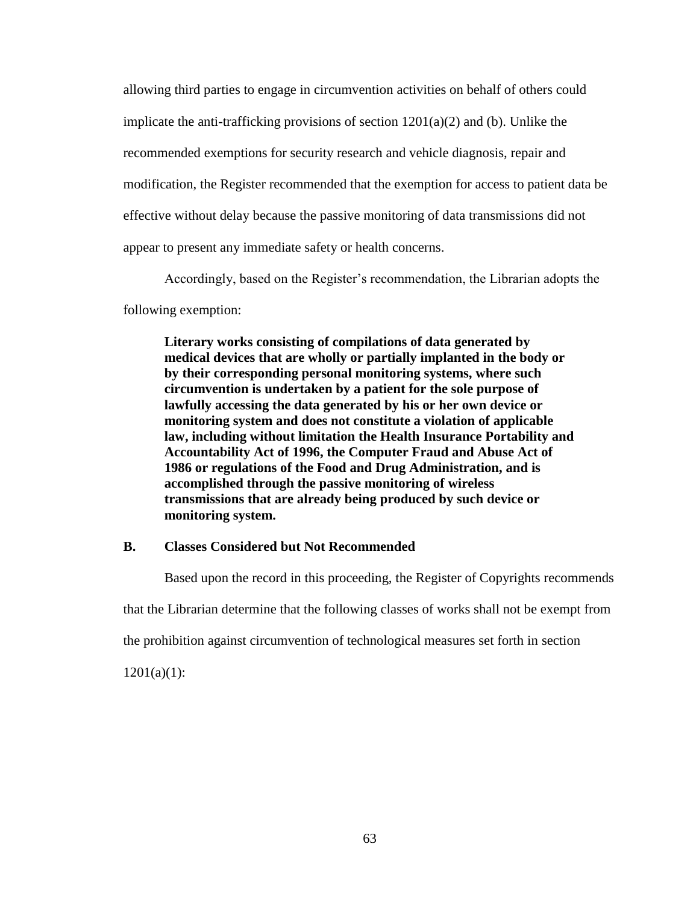allowing third parties to engage in circumvention activities on behalf of others could implicate the anti-trafficking provisions of section  $1201(a)(2)$  and (b). Unlike the recommended exemptions for security research and vehicle diagnosis, repair and modification, the Register recommended that the exemption for access to patient data be effective without delay because the passive monitoring of data transmissions did not appear to present any immediate safety or health concerns.

Accordingly, based on the Register's recommendation, the Librarian adopts the

following exemption:

**Literary works consisting of compilations of data generated by medical devices that are wholly or partially implanted in the body or by their corresponding personal monitoring systems, where such circumvention is undertaken by a patient for the sole purpose of lawfully accessing the data generated by his or her own device or monitoring system and does not constitute a violation of applicable law, including without limitation the Health Insurance Portability and Accountability Act of 1996, the Computer Fraud and Abuse Act of 1986 or regulations of the Food and Drug Administration, and is accomplished through the passive monitoring of wireless transmissions that are already being produced by such device or monitoring system.**

#### **B. Classes Considered but Not Recommended**

Based upon the record in this proceeding, the Register of Copyrights recommends that the Librarian determine that the following classes of works shall not be exempt from the prohibition against circumvention of technological measures set forth in section

 $1201(a)(1)$ :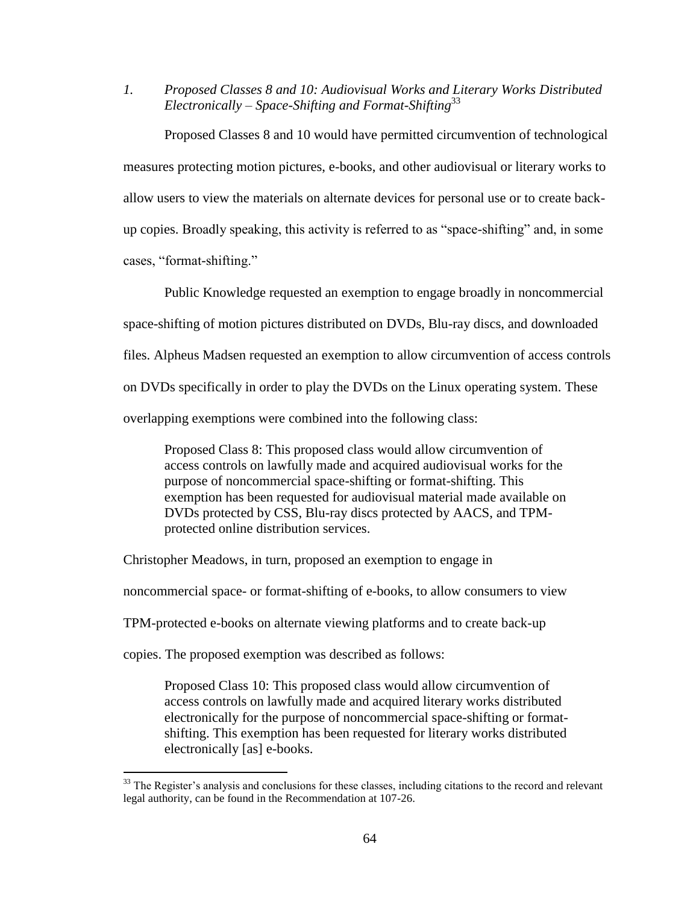*1. Proposed Classes 8 and 10: Audiovisual Works and Literary Works Distributed Electronically – Space-Shifting and Format-Shifting*<sup>33</sup>

Proposed Classes 8 and 10 would have permitted circumvention of technological measures protecting motion pictures, e-books, and other audiovisual or literary works to allow users to view the materials on alternate devices for personal use or to create backup copies. Broadly speaking, this activity is referred to as "space-shifting" and, in some cases, "format-shifting."

Public Knowledge requested an exemption to engage broadly in noncommercial space-shifting of motion pictures distributed on DVDs, Blu-ray discs, and downloaded files. Alpheus Madsen requested an exemption to allow circumvention of access controls on DVDs specifically in order to play the DVDs on the Linux operating system. These overlapping exemptions were combined into the following class:

Proposed Class 8: This proposed class would allow circumvention of access controls on lawfully made and acquired audiovisual works for the purpose of noncommercial space-shifting or format-shifting. This exemption has been requested for audiovisual material made available on DVDs protected by CSS, Blu-ray discs protected by AACS, and TPMprotected online distribution services.

Christopher Meadows, in turn, proposed an exemption to engage in

noncommercial space- or format-shifting of e-books, to allow consumers to view

TPM-protected e-books on alternate viewing platforms and to create back-up

copies. The proposed exemption was described as follows:

 $\overline{a}$ 

Proposed Class 10: This proposed class would allow circumvention of access controls on lawfully made and acquired literary works distributed electronically for the purpose of noncommercial space-shifting or formatshifting. This exemption has been requested for literary works distributed electronically [as] e-books.

<sup>&</sup>lt;sup>33</sup> The Register's analysis and conclusions for these classes, including citations to the record and relevant legal authority, can be found in the Recommendation at 107-26.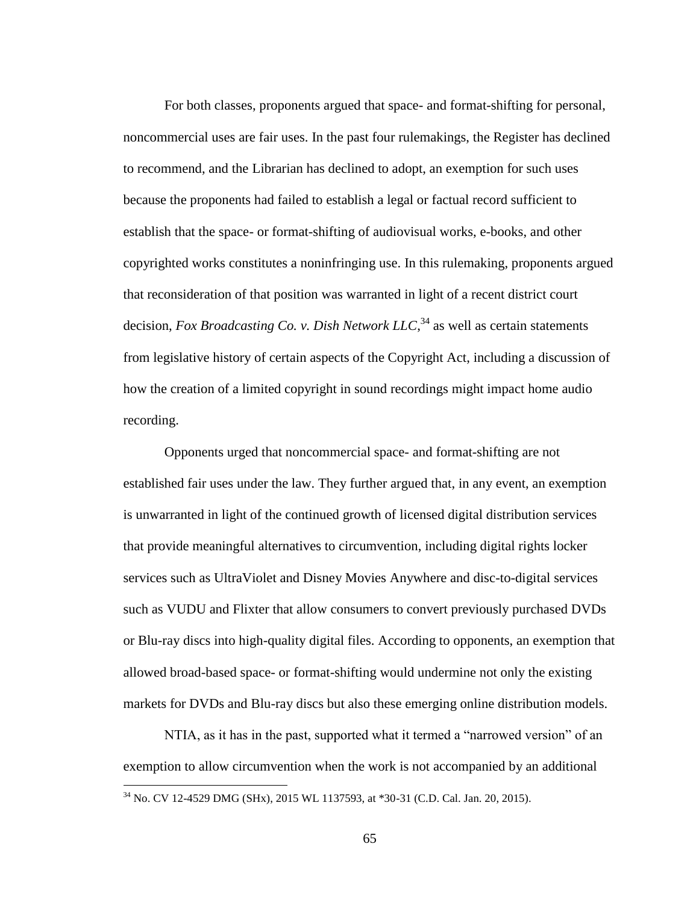For both classes, proponents argued that space- and format-shifting for personal, noncommercial uses are fair uses. In the past four rulemakings, the Register has declined to recommend, and the Librarian has declined to adopt, an exemption for such uses because the proponents had failed to establish a legal or factual record sufficient to establish that the space- or format-shifting of audiovisual works, e-books, and other copyrighted works constitutes a noninfringing use. In this rulemaking, proponents argued that reconsideration of that position was warranted in light of a recent district court decision, *Fox Broadcasting Co. v. Dish Network LLC*, <sup>34</sup> as well as certain statements from legislative history of certain aspects of the Copyright Act, including a discussion of how the creation of a limited copyright in sound recordings might impact home audio recording.

Opponents urged that noncommercial space- and format-shifting are not established fair uses under the law. They further argued that, in any event, an exemption is unwarranted in light of the continued growth of licensed digital distribution services that provide meaningful alternatives to circumvention, including digital rights locker services such as UltraViolet and Disney Movies Anywhere and disc-to-digital services such as VUDU and Flixter that allow consumers to convert previously purchased DVDs or Blu-ray discs into high-quality digital files. According to opponents, an exemption that allowed broad-based space- or format-shifting would undermine not only the existing markets for DVDs and Blu-ray discs but also these emerging online distribution models.

NTIA, as it has in the past, supported what it termed a "narrowed version" of an exemption to allow circumvention when the work is not accompanied by an additional  $\overline{a}$ 

<sup>34</sup> No. CV 12-4529 DMG (SHx), 2015 WL 1137593, at \*30-31 (C.D. Cal. Jan. 20, 2015).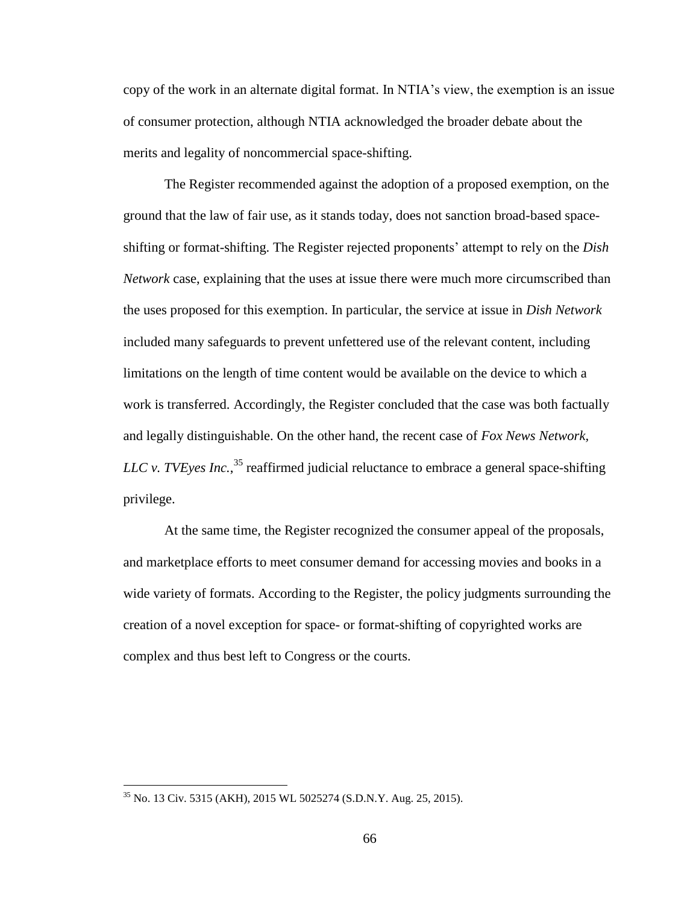copy of the work in an alternate digital format. In NTIA's view, the exemption is an issue of consumer protection, although NTIA acknowledged the broader debate about the merits and legality of noncommercial space-shifting.

The Register recommended against the adoption of a proposed exemption, on the ground that the law of fair use, as it stands today, does not sanction broad-based spaceshifting or format-shifting. The Register rejected proponents' attempt to rely on the *Dish Network* case, explaining that the uses at issue there were much more circumscribed than the uses proposed for this exemption. In particular, the service at issue in *Dish Network* included many safeguards to prevent unfettered use of the relevant content, including limitations on the length of time content would be available on the device to which a work is transferred. Accordingly, the Register concluded that the case was both factually and legally distinguishable. On the other hand, the recent case of *Fox News Network, LLC v. TVEyes Inc.*,<sup>35</sup> reaffirmed judicial reluctance to embrace a general space-shifting privilege.

At the same time, the Register recognized the consumer appeal of the proposals, and marketplace efforts to meet consumer demand for accessing movies and books in a wide variety of formats. According to the Register, the policy judgments surrounding the creation of a novel exception for space- or format-shifting of copyrighted works are complex and thus best left to Congress or the courts.

<sup>35</sup> No. 13 Civ. 5315 (AKH), 2015 WL 5025274 (S.D.N.Y. Aug. 25, 2015).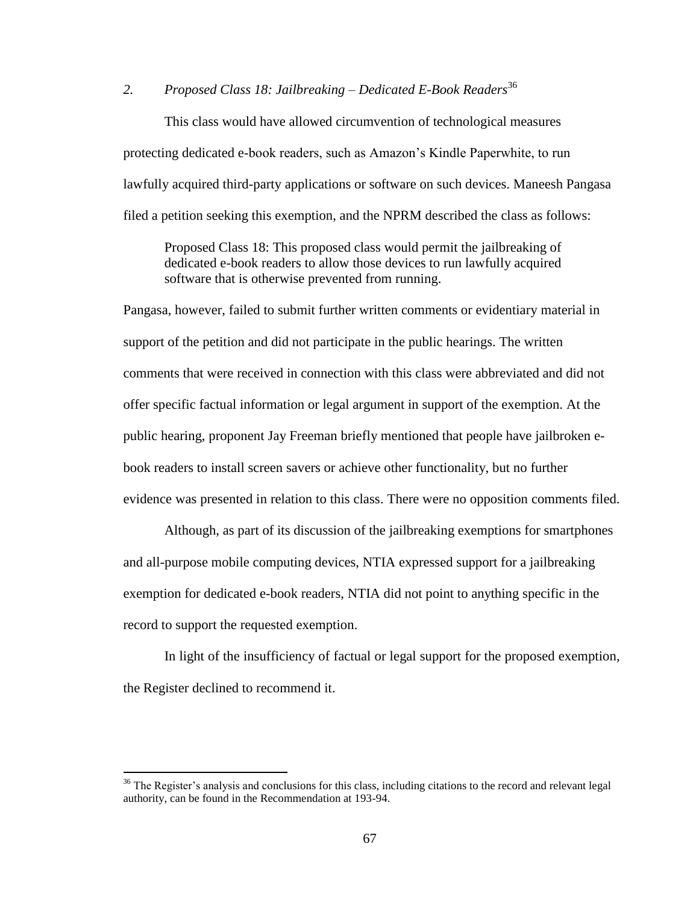*2. Proposed Class 18: Jailbreaking – Dedicated E-Book Readers*<sup>36</sup>

This class would have allowed circumvention of technological measures protecting dedicated e-book readers, such as Amazon's Kindle Paperwhite, to run lawfully acquired third-party applications or software on such devices. Maneesh Pangasa filed a petition seeking this exemption, and the NPRM described the class as follows:

Proposed Class 18: This proposed class would permit the jailbreaking of dedicated e-book readers to allow those devices to run lawfully acquired software that is otherwise prevented from running.

Pangasa, however, failed to submit further written comments or evidentiary material in support of the petition and did not participate in the public hearings. The written comments that were received in connection with this class were abbreviated and did not offer specific factual information or legal argument in support of the exemption. At the public hearing, proponent Jay Freeman briefly mentioned that people have jailbroken ebook readers to install screen savers or achieve other functionality, but no further evidence was presented in relation to this class. There were no opposition comments filed.

Although, as part of its discussion of the jailbreaking exemptions for smartphones and all-purpose mobile computing devices, NTIA expressed support for a jailbreaking exemption for dedicated e-book readers, NTIA did not point to anything specific in the record to support the requested exemption.

In light of the insufficiency of factual or legal support for the proposed exemption, the Register declined to recommend it.

<sup>&</sup>lt;sup>36</sup> The Register's analysis and conclusions for this class, including citations to the record and relevant legal authority, can be found in the Recommendation at 193-94.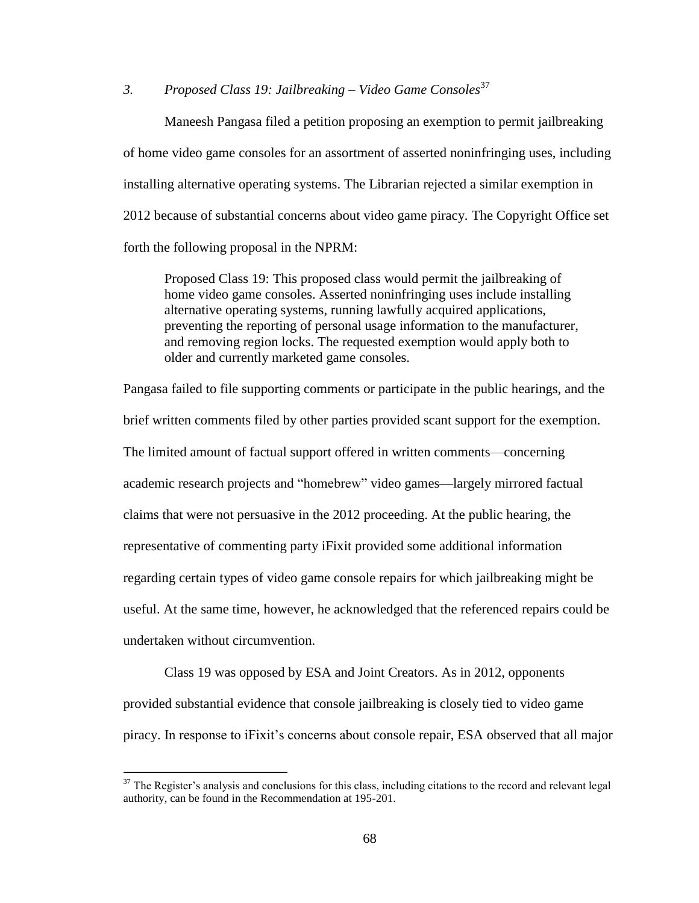*3. Proposed Class 19: Jailbreaking – Video Game Consoles*<sup>37</sup>

Maneesh Pangasa filed a petition proposing an exemption to permit jailbreaking of home video game consoles for an assortment of asserted noninfringing uses, including installing alternative operating systems. The Librarian rejected a similar exemption in 2012 because of substantial concerns about video game piracy. The Copyright Office set forth the following proposal in the NPRM:

Proposed Class 19: This proposed class would permit the jailbreaking of home video game consoles. Asserted noninfringing uses include installing alternative operating systems, running lawfully acquired applications, preventing the reporting of personal usage information to the manufacturer, and removing region locks. The requested exemption would apply both to older and currently marketed game consoles.

Pangasa failed to file supporting comments or participate in the public hearings, and the brief written comments filed by other parties provided scant support for the exemption. The limited amount of factual support offered in written comments—concerning academic research projects and "homebrew" video games—largely mirrored factual claims that were not persuasive in the 2012 proceeding. At the public hearing, the representative of commenting party iFixit provided some additional information regarding certain types of video game console repairs for which jailbreaking might be useful. At the same time, however, he acknowledged that the referenced repairs could be undertaken without circumvention.

Class 19 was opposed by ESA and Joint Creators. As in 2012, opponents provided substantial evidence that console jailbreaking is closely tied to video game piracy. In response to iFixit's concerns about console repair, ESA observed that all major

 $37$  The Register's analysis and conclusions for this class, including citations to the record and relevant legal authority, can be found in the Recommendation at 195-201.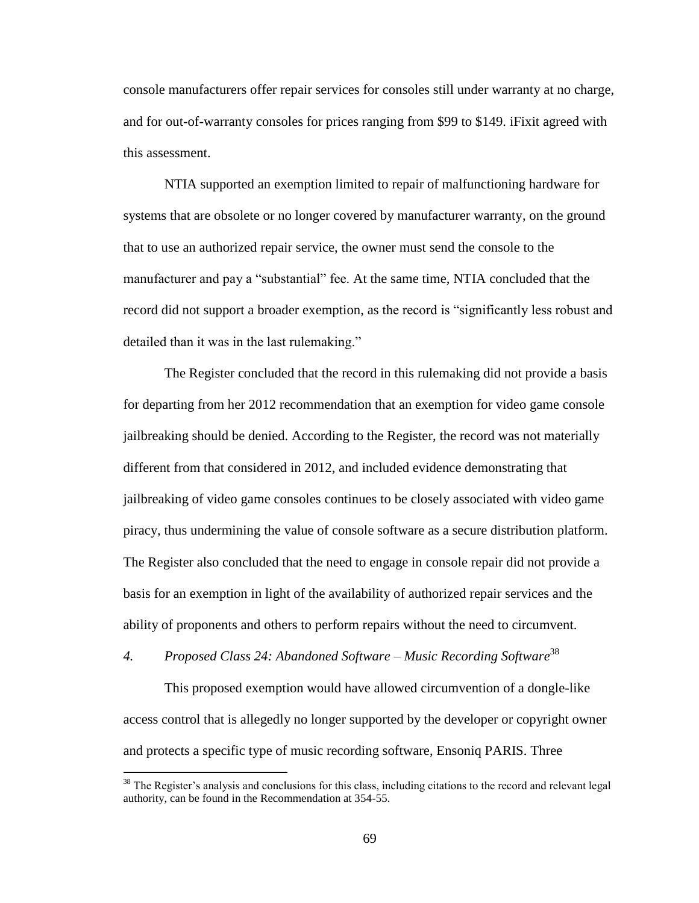console manufacturers offer repair services for consoles still under warranty at no charge, and for out-of-warranty consoles for prices ranging from \$99 to \$149. iFixit agreed with this assessment.

NTIA supported an exemption limited to repair of malfunctioning hardware for systems that are obsolete or no longer covered by manufacturer warranty, on the ground that to use an authorized repair service, the owner must send the console to the manufacturer and pay a "substantial" fee. At the same time, NTIA concluded that the record did not support a broader exemption, as the record is "significantly less robust and detailed than it was in the last rulemaking."

The Register concluded that the record in this rulemaking did not provide a basis for departing from her 2012 recommendation that an exemption for video game console jailbreaking should be denied. According to the Register, the record was not materially different from that considered in 2012, and included evidence demonstrating that jailbreaking of video game consoles continues to be closely associated with video game piracy, thus undermining the value of console software as a secure distribution platform. The Register also concluded that the need to engage in console repair did not provide a basis for an exemption in light of the availability of authorized repair services and the ability of proponents and others to perform repairs without the need to circumvent.

*4. Proposed Class 24: Abandoned Software – Music Recording Software*<sup>38</sup>

 $\overline{a}$ 

This proposed exemption would have allowed circumvention of a dongle-like access control that is allegedly no longer supported by the developer or copyright owner and protects a specific type of music recording software, Ensoniq PARIS. Three

<sup>&</sup>lt;sup>38</sup> The Register's analysis and conclusions for this class, including citations to the record and relevant legal authority, can be found in the Recommendation at 354-55.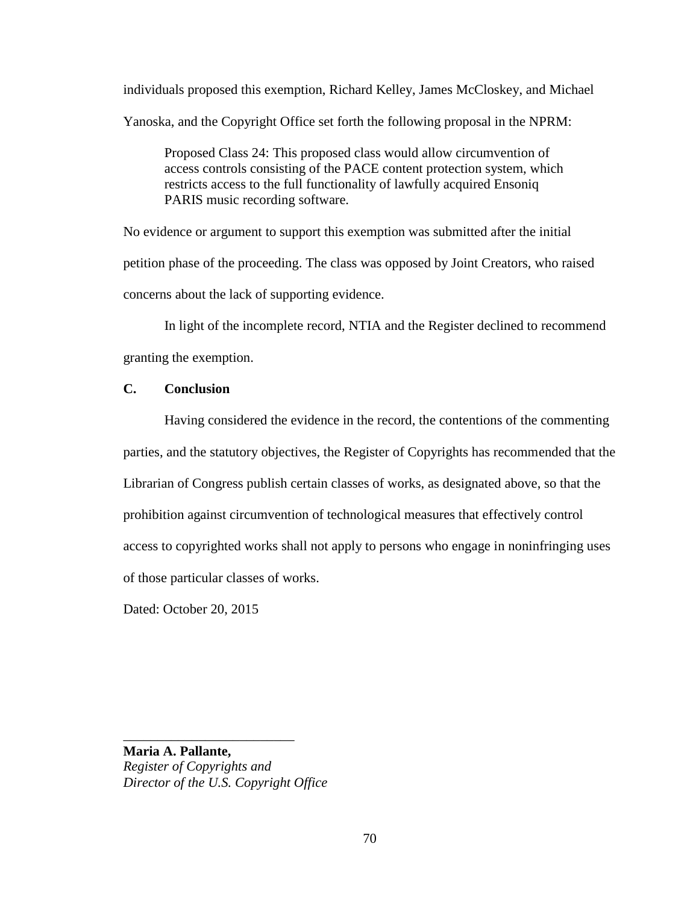individuals proposed this exemption, Richard Kelley, James McCloskey, and Michael Yanoska, and the Copyright Office set forth the following proposal in the NPRM:

Proposed Class 24: This proposed class would allow circumvention of access controls consisting of the PACE content protection system, which restricts access to the full functionality of lawfully acquired Ensoniq PARIS music recording software.

No evidence or argument to support this exemption was submitted after the initial petition phase of the proceeding. The class was opposed by Joint Creators, who raised concerns about the lack of supporting evidence.

In light of the incomplete record, NTIA and the Register declined to recommend granting the exemption.

## **C. Conclusion**

Having considered the evidence in the record, the contentions of the commenting parties, and the statutory objectives, the Register of Copyrights has recommended that the Librarian of Congress publish certain classes of works, as designated above, so that the prohibition against circumvention of technological measures that effectively control access to copyrighted works shall not apply to persons who engage in noninfringing uses of those particular classes of works.

Dated: October 20, 2015

**Maria A. Pallante,**  *Register of Copyrights and Director of the U.S. Copyright Office* 

\_\_\_\_\_\_\_\_\_\_\_\_\_\_\_\_\_\_\_\_\_\_\_\_\_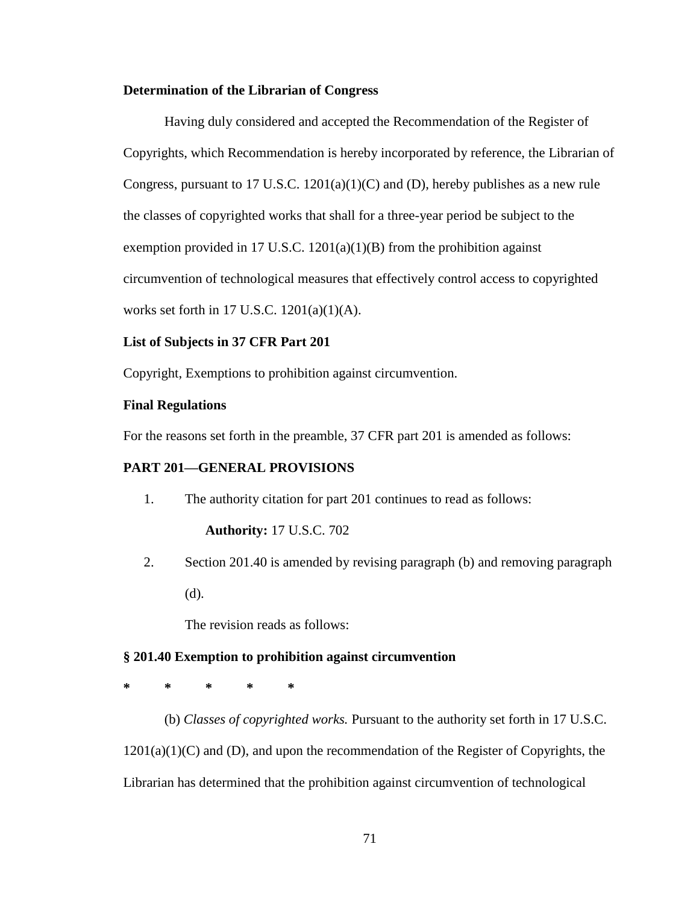#### **Determination of the Librarian of Congress**

Having duly considered and accepted the Recommendation of the Register of Copyrights, which Recommendation is hereby incorporated by reference, the Librarian of Congress, pursuant to 17 U.S.C.  $1201(a)(1)(C)$  and (D), hereby publishes as a new rule the classes of copyrighted works that shall for a three-year period be subject to the exemption provided in 17 U.S.C.  $1201(a)(1)(B)$  from the prohibition against circumvention of technological measures that effectively control access to copyrighted works set forth in 17 U.S.C. 1201(a)(1)(A).

## **List of Subjects in 37 CFR Part 201**

Copyright, Exemptions to prohibition against circumvention.

#### **Final Regulations**

For the reasons set forth in the preamble, 37 CFR part 201 is amended as follows:

## **PART 201—GENERAL PROVISIONS**

1. The authority citation for part 201 continues to read as follows:

**Authority:** 17 U.S.C. 702

2. Section 201.40 is amended by revising paragraph (b) and removing paragraph (d).

The revision reads as follows:

#### **§ 201.40 Exemption to prohibition against circumvention**

**\* \* \* \* \***

(b) *Classes of copyrighted works.* Pursuant to the authority set forth in 17 U.S.C.  $1201(a)(1)(C)$  and (D), and upon the recommendation of the Register of Copyrights, the Librarian has determined that the prohibition against circumvention of technological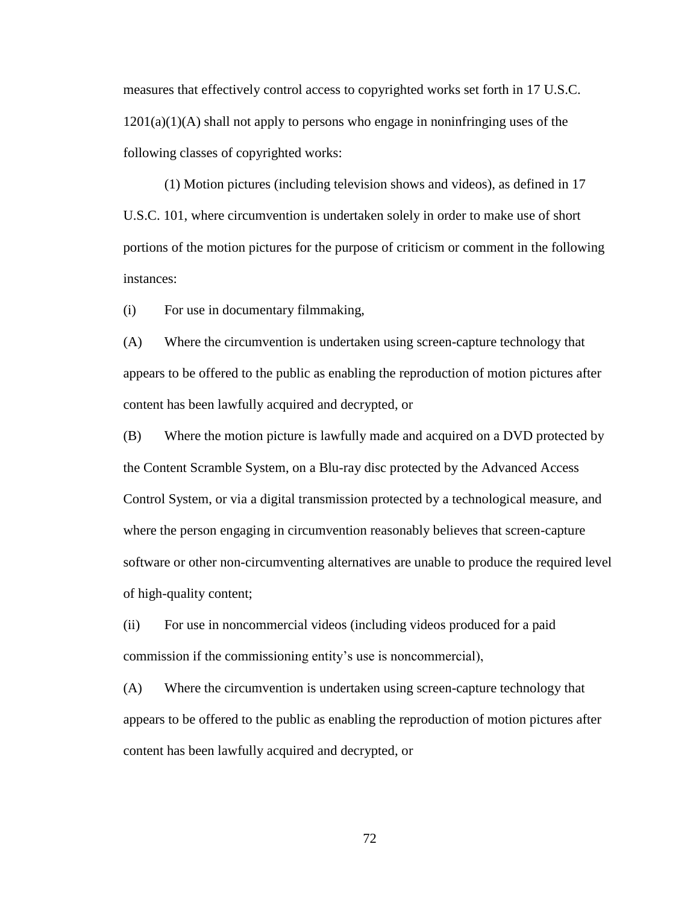measures that effectively control access to copyrighted works set forth in 17 U.S.C.  $1201(a)(1)(A)$  shall not apply to persons who engage in noninfringing uses of the following classes of copyrighted works:

(1) Motion pictures (including television shows and videos), as defined in 17 U.S.C. 101, where circumvention is undertaken solely in order to make use of short portions of the motion pictures for the purpose of criticism or comment in the following instances:

(i) For use in documentary filmmaking,

(A) Where the circumvention is undertaken using screen-capture technology that appears to be offered to the public as enabling the reproduction of motion pictures after content has been lawfully acquired and decrypted, or

(B) Where the motion picture is lawfully made and acquired on a DVD protected by the Content Scramble System, on a Blu-ray disc protected by the Advanced Access Control System, or via a digital transmission protected by a technological measure, and where the person engaging in circumvention reasonably believes that screen-capture software or other non-circumventing alternatives are unable to produce the required level of high-quality content;

(ii) For use in noncommercial videos (including videos produced for a paid commission if the commissioning entity's use is noncommercial),

(A) Where the circumvention is undertaken using screen-capture technology that appears to be offered to the public as enabling the reproduction of motion pictures after content has been lawfully acquired and decrypted, or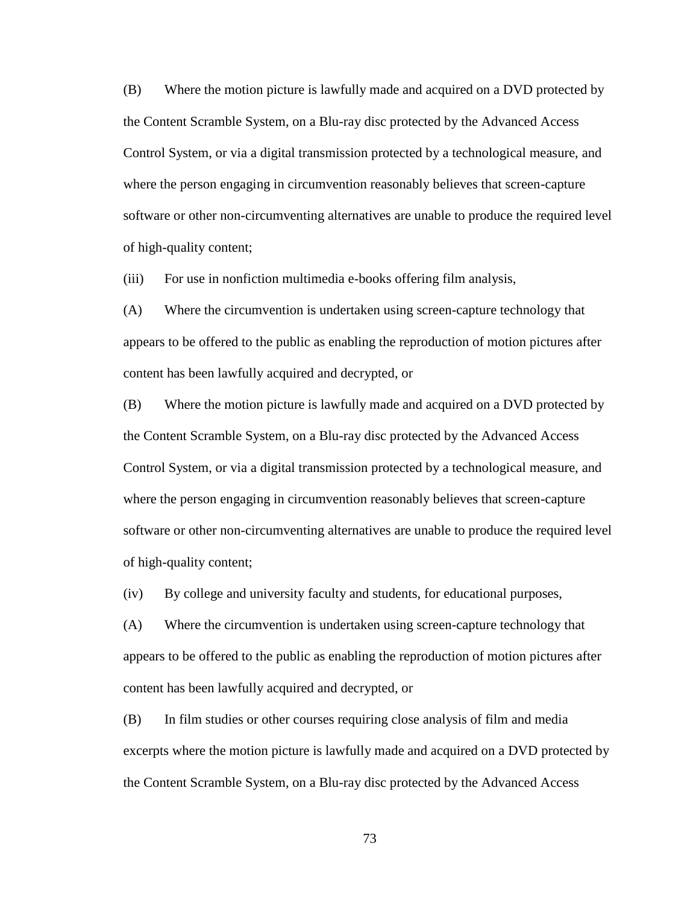(B) Where the motion picture is lawfully made and acquired on a DVD protected by the Content Scramble System, on a Blu-ray disc protected by the Advanced Access Control System, or via a digital transmission protected by a technological measure, and where the person engaging in circumvention reasonably believes that screen-capture software or other non-circumventing alternatives are unable to produce the required level of high-quality content;

(iii) For use in nonfiction multimedia e-books offering film analysis,

(A) Where the circumvention is undertaken using screen-capture technology that appears to be offered to the public as enabling the reproduction of motion pictures after content has been lawfully acquired and decrypted, or

(B) Where the motion picture is lawfully made and acquired on a DVD protected by the Content Scramble System, on a Blu-ray disc protected by the Advanced Access Control System, or via a digital transmission protected by a technological measure, and where the person engaging in circumvention reasonably believes that screen-capture software or other non-circumventing alternatives are unable to produce the required level of high-quality content;

(iv) By college and university faculty and students, for educational purposes,

(A) Where the circumvention is undertaken using screen-capture technology that appears to be offered to the public as enabling the reproduction of motion pictures after content has been lawfully acquired and decrypted, or

(B) In film studies or other courses requiring close analysis of film and media excerpts where the motion picture is lawfully made and acquired on a DVD protected by the Content Scramble System, on a Blu-ray disc protected by the Advanced Access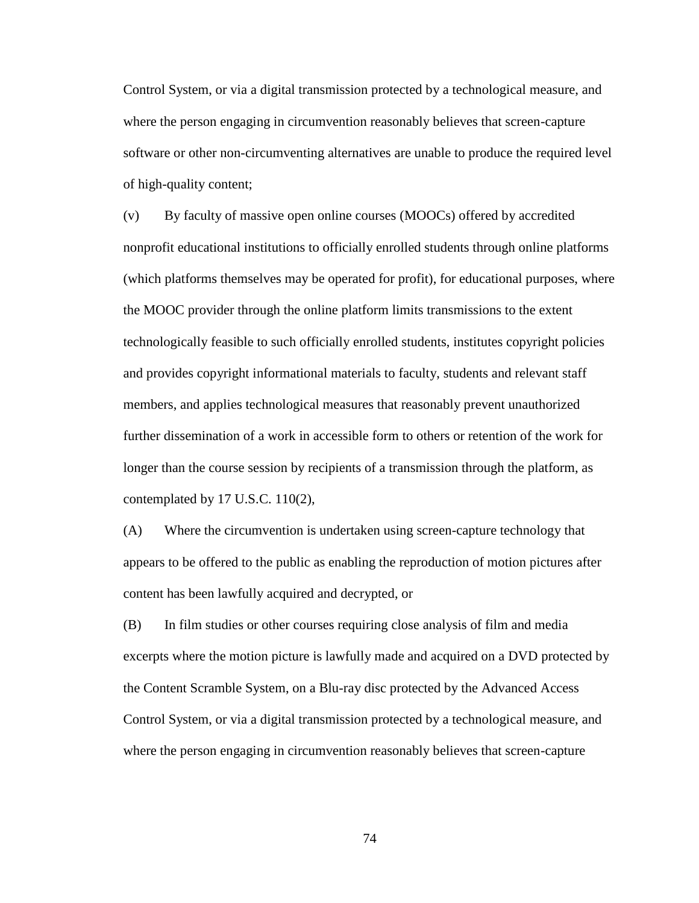Control System, or via a digital transmission protected by a technological measure, and where the person engaging in circumvention reasonably believes that screen-capture software or other non-circumventing alternatives are unable to produce the required level of high-quality content;

(v) By faculty of massive open online courses (MOOCs) offered by accredited nonprofit educational institutions to officially enrolled students through online platforms (which platforms themselves may be operated for profit), for educational purposes, where the MOOC provider through the online platform limits transmissions to the extent technologically feasible to such officially enrolled students, institutes copyright policies and provides copyright informational materials to faculty, students and relevant staff members, and applies technological measures that reasonably prevent unauthorized further dissemination of a work in accessible form to others or retention of the work for longer than the course session by recipients of a transmission through the platform, as contemplated by 17 U.S.C. 110(2),

(A) Where the circumvention is undertaken using screen-capture technology that appears to be offered to the public as enabling the reproduction of motion pictures after content has been lawfully acquired and decrypted, or

(B) In film studies or other courses requiring close analysis of film and media excerpts where the motion picture is lawfully made and acquired on a DVD protected by the Content Scramble System, on a Blu-ray disc protected by the Advanced Access Control System, or via a digital transmission protected by a technological measure, and where the person engaging in circumvention reasonably believes that screen-capture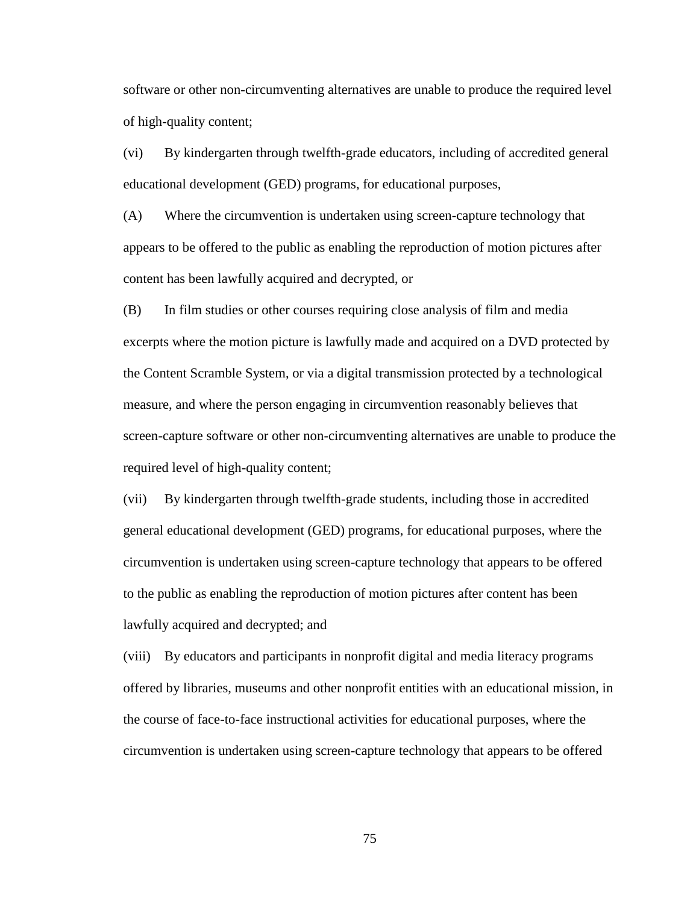software or other non-circumventing alternatives are unable to produce the required level of high-quality content;

(vi) By kindergarten through twelfth-grade educators, including of accredited general educational development (GED) programs, for educational purposes,

(A) Where the circumvention is undertaken using screen-capture technology that appears to be offered to the public as enabling the reproduction of motion pictures after content has been lawfully acquired and decrypted, or

(B) In film studies or other courses requiring close analysis of film and media excerpts where the motion picture is lawfully made and acquired on a DVD protected by the Content Scramble System, or via a digital transmission protected by a technological measure, and where the person engaging in circumvention reasonably believes that screen-capture software or other non-circumventing alternatives are unable to produce the required level of high-quality content;

(vii) By kindergarten through twelfth-grade students, including those in accredited general educational development (GED) programs, for educational purposes, where the circumvention is undertaken using screen-capture technology that appears to be offered to the public as enabling the reproduction of motion pictures after content has been lawfully acquired and decrypted; and

(viii) By educators and participants in nonprofit digital and media literacy programs offered by libraries, museums and other nonprofit entities with an educational mission, in the course of face-to-face instructional activities for educational purposes, where the circumvention is undertaken using screen-capture technology that appears to be offered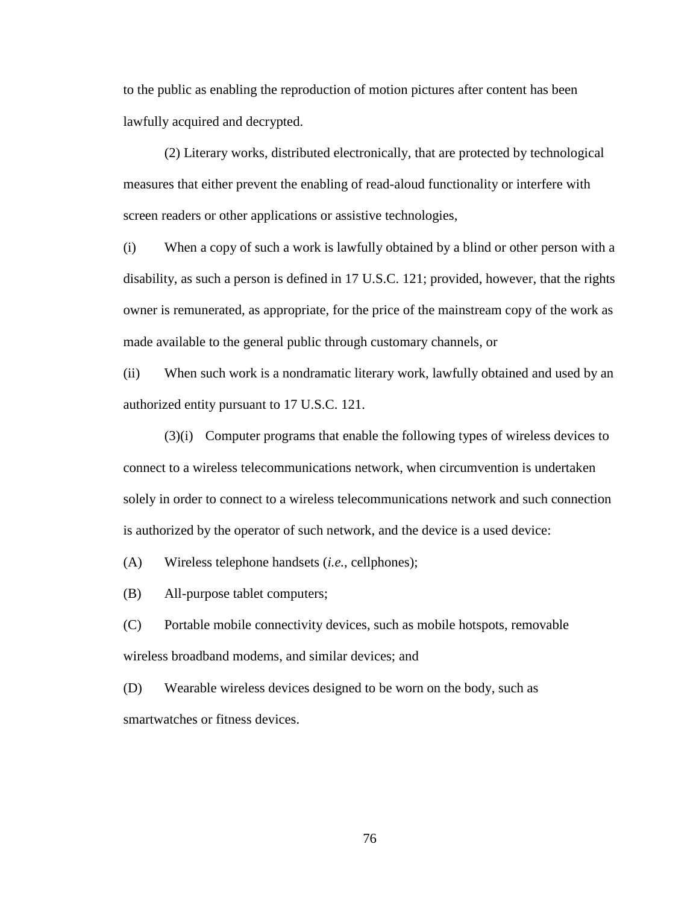to the public as enabling the reproduction of motion pictures after content has been lawfully acquired and decrypted.

(2) Literary works, distributed electronically, that are protected by technological measures that either prevent the enabling of read-aloud functionality or interfere with screen readers or other applications or assistive technologies,

(i) When a copy of such a work is lawfully obtained by a blind or other person with a disability, as such a person is defined in 17 U.S.C. 121; provided, however, that the rights owner is remunerated, as appropriate, for the price of the mainstream copy of the work as made available to the general public through customary channels, or

(ii) When such work is a nondramatic literary work, lawfully obtained and used by an authorized entity pursuant to 17 U.S.C. 121.

(3)(i) Computer programs that enable the following types of wireless devices to connect to a wireless telecommunications network, when circumvention is undertaken solely in order to connect to a wireless telecommunications network and such connection is authorized by the operator of such network, and the device is a used device:

(A) Wireless telephone handsets (*i.e.*, cellphones);

(B) All-purpose tablet computers;

(C) Portable mobile connectivity devices, such as mobile hotspots, removable wireless broadband modems, and similar devices; and

(D) Wearable wireless devices designed to be worn on the body, such as smartwatches or fitness devices.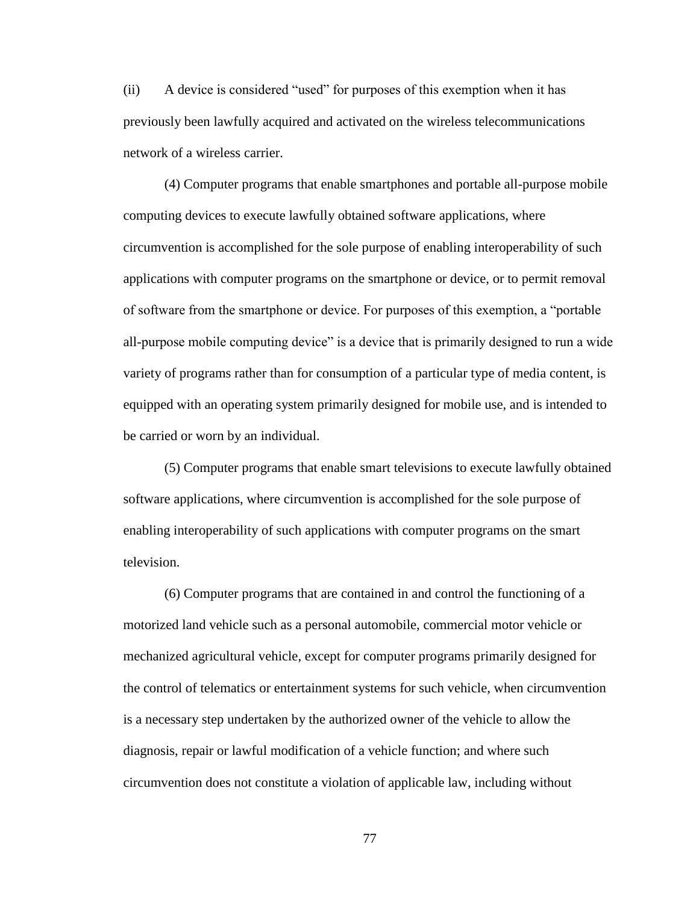(ii) A device is considered "used" for purposes of this exemption when it has previously been lawfully acquired and activated on the wireless telecommunications network of a wireless carrier.

(4) Computer programs that enable smartphones and portable all-purpose mobile computing devices to execute lawfully obtained software applications, where circumvention is accomplished for the sole purpose of enabling interoperability of such applications with computer programs on the smartphone or device, or to permit removal of software from the smartphone or device. For purposes of this exemption, a "portable all-purpose mobile computing device" is a device that is primarily designed to run a wide variety of programs rather than for consumption of a particular type of media content, is equipped with an operating system primarily designed for mobile use, and is intended to be carried or worn by an individual.

(5) Computer programs that enable smart televisions to execute lawfully obtained software applications, where circumvention is accomplished for the sole purpose of enabling interoperability of such applications with computer programs on the smart television.

(6) Computer programs that are contained in and control the functioning of a motorized land vehicle such as a personal automobile, commercial motor vehicle or mechanized agricultural vehicle, except for computer programs primarily designed for the control of telematics or entertainment systems for such vehicle, when circumvention is a necessary step undertaken by the authorized owner of the vehicle to allow the diagnosis, repair or lawful modification of a vehicle function; and where such circumvention does not constitute a violation of applicable law, including without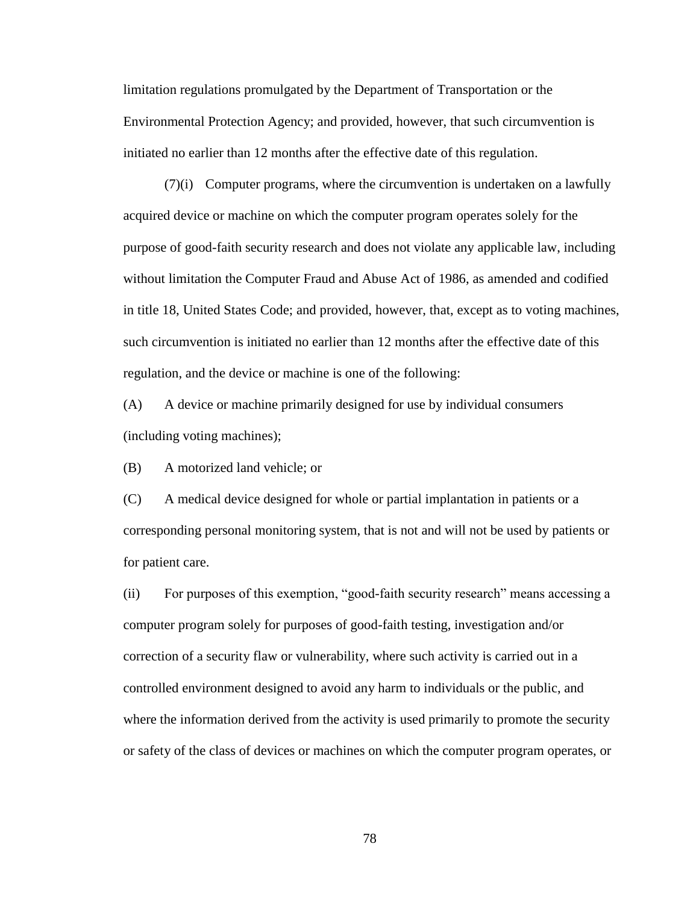limitation regulations promulgated by the Department of Transportation or the Environmental Protection Agency; and provided, however, that such circumvention is initiated no earlier than 12 months after the effective date of this regulation.

(7)(i) Computer programs, where the circumvention is undertaken on a lawfully acquired device or machine on which the computer program operates solely for the purpose of good-faith security research and does not violate any applicable law, including without limitation the Computer Fraud and Abuse Act of 1986, as amended and codified in title 18, United States Code; and provided, however, that, except as to voting machines, such circumvention is initiated no earlier than 12 months after the effective date of this regulation, and the device or machine is one of the following:

(A) A device or machine primarily designed for use by individual consumers (including voting machines);

(B) A motorized land vehicle; or

(C) A medical device designed for whole or partial implantation in patients or a corresponding personal monitoring system, that is not and will not be used by patients or for patient care.

(ii) For purposes of this exemption, "good-faith security research" means accessing a computer program solely for purposes of good-faith testing, investigation and/or correction of a security flaw or vulnerability, where such activity is carried out in a controlled environment designed to avoid any harm to individuals or the public, and where the information derived from the activity is used primarily to promote the security or safety of the class of devices or machines on which the computer program operates, or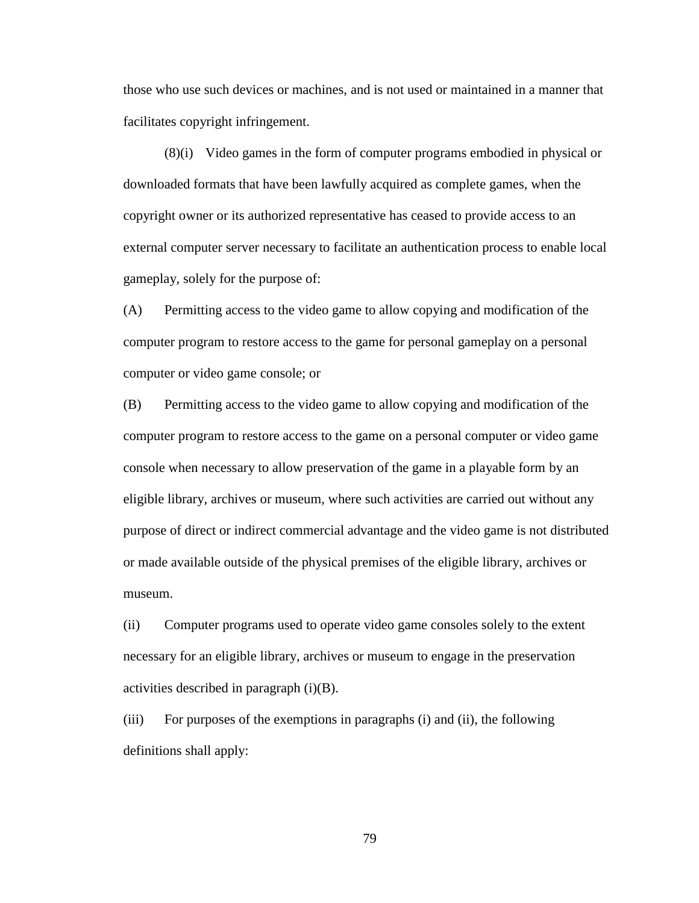those who use such devices or machines, and is not used or maintained in a manner that facilitates copyright infringement.

(8)(i) Video games in the form of computer programs embodied in physical or downloaded formats that have been lawfully acquired as complete games, when the copyright owner or its authorized representative has ceased to provide access to an external computer server necessary to facilitate an authentication process to enable local gameplay, solely for the purpose of:

(A) Permitting access to the video game to allow copying and modification of the computer program to restore access to the game for personal gameplay on a personal computer or video game console; or

(B) Permitting access to the video game to allow copying and modification of the computer program to restore access to the game on a personal computer or video game console when necessary to allow preservation of the game in a playable form by an eligible library, archives or museum, where such activities are carried out without any purpose of direct or indirect commercial advantage and the video game is not distributed or made available outside of the physical premises of the eligible library, archives or museum.

(ii) Computer programs used to operate video game consoles solely to the extent necessary for an eligible library, archives or museum to engage in the preservation activities described in paragraph (i)(B).

(iii) For purposes of the exemptions in paragraphs (i) and (ii), the following definitions shall apply: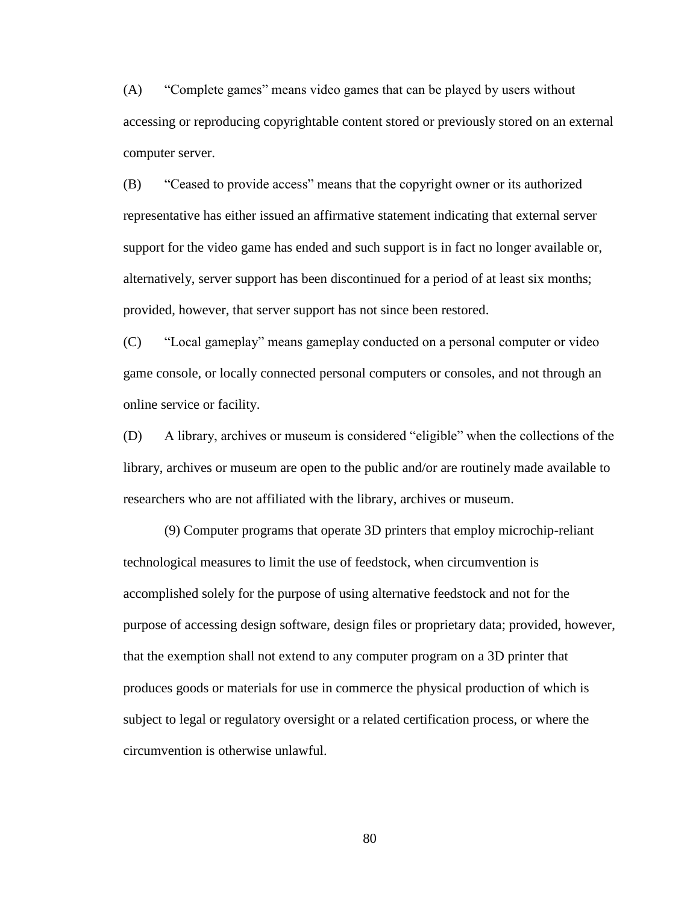(A) "Complete games" means video games that can be played by users without accessing or reproducing copyrightable content stored or previously stored on an external computer server.

(B) "Ceased to provide access" means that the copyright owner or its authorized representative has either issued an affirmative statement indicating that external server support for the video game has ended and such support is in fact no longer available or, alternatively, server support has been discontinued for a period of at least six months; provided, however, that server support has not since been restored.

(C) "Local gameplay" means gameplay conducted on a personal computer or video game console, or locally connected personal computers or consoles, and not through an online service or facility.

(D) A library, archives or museum is considered "eligible" when the collections of the library, archives or museum are open to the public and/or are routinely made available to researchers who are not affiliated with the library, archives or museum.

(9) Computer programs that operate 3D printers that employ microchip-reliant technological measures to limit the use of feedstock, when circumvention is accomplished solely for the purpose of using alternative feedstock and not for the purpose of accessing design software, design files or proprietary data; provided, however, that the exemption shall not extend to any computer program on a 3D printer that produces goods or materials for use in commerce the physical production of which is subject to legal or regulatory oversight or a related certification process, or where the circumvention is otherwise unlawful.